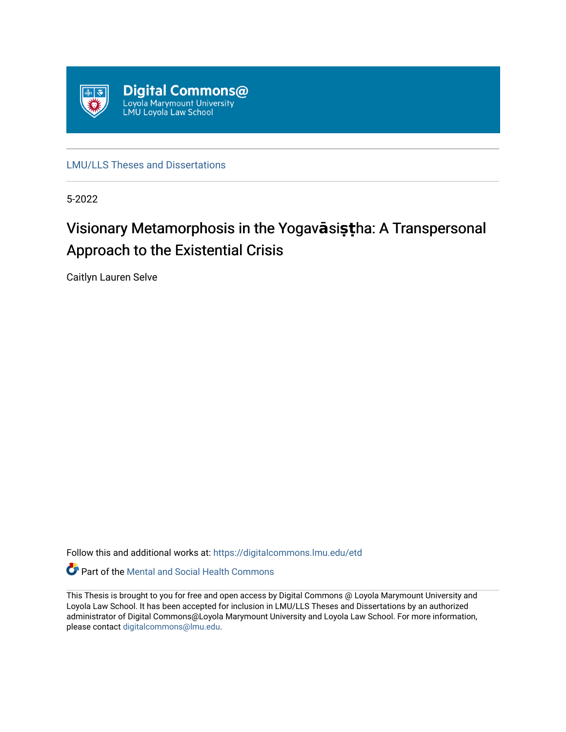

[LMU/LLS Theses and Dissertations](https://digitalcommons.lmu.edu/etd)

5-2022

# Visionary Metamorphosis in the Yogav**ā**si**ș**țha: A Transpersonal Approach to the Existential Crisis

Caitlyn Lauren Selve

Follow this and additional works at: [https://digitalcommons.lmu.edu/etd](https://digitalcommons.lmu.edu/etd?utm_source=digitalcommons.lmu.edu%2Fetd%2F1144&utm_medium=PDF&utm_campaign=PDFCoverPages) 

Part of the [Mental and Social Health Commons](https://network.bepress.com/hgg/discipline/709?utm_source=digitalcommons.lmu.edu%2Fetd%2F1144&utm_medium=PDF&utm_campaign=PDFCoverPages) 

This Thesis is brought to you for free and open access by Digital Commons @ Loyola Marymount University and Loyola Law School. It has been accepted for inclusion in LMU/LLS Theses and Dissertations by an authorized administrator of Digital Commons@Loyola Marymount University and Loyola Law School. For more information, please contact [digitalcommons@lmu.edu](mailto:digitalcommons@lmu.edu).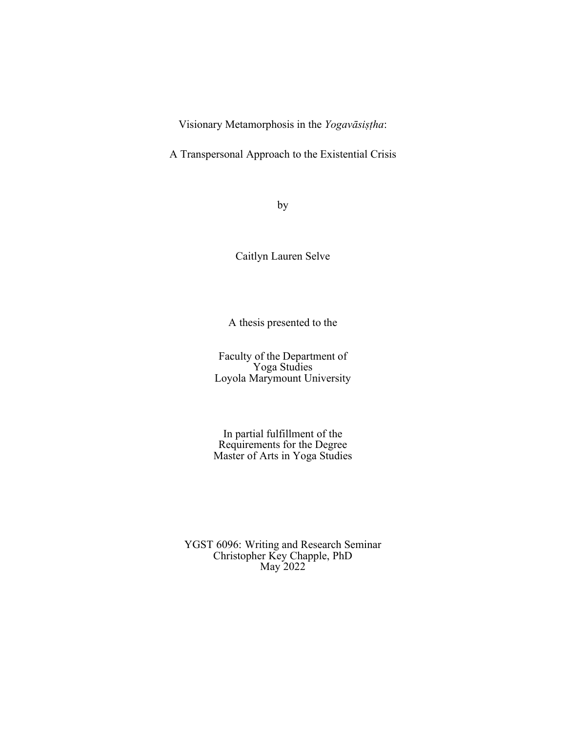Visionary Metamorphosis in the *Yogavāsiṣṭha*:

A Transpersonal Approach to the Existential Crisis

by

Caitlyn Lauren Selve

A thesis presented to the

Faculty of the Department of Yoga Studies Loyola Marymount University

In partial fulfillment of the Requirements for the Degree Master of Arts in Yoga Studies

YGST 6096: Writing and Research Seminar Christopher Key Chapple, PhD May 2022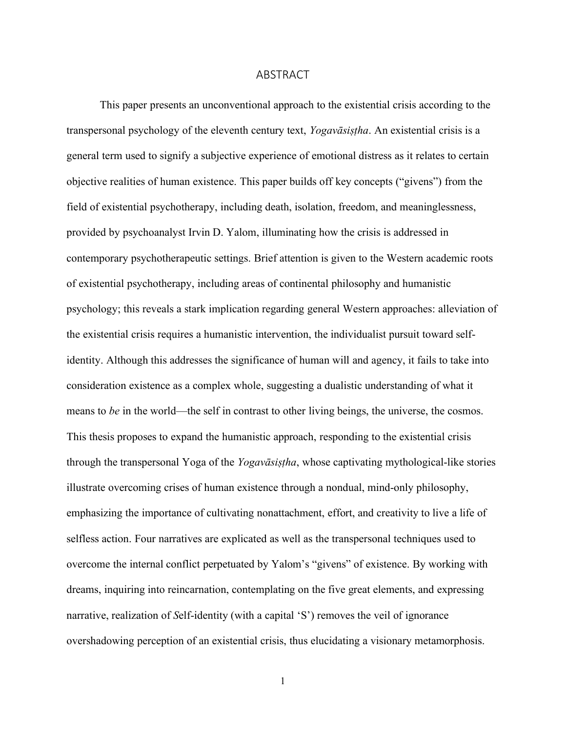#### ABSTRACT

This paper presents an unconventional approach to the existential crisis according to the transpersonal psychology of the eleventh century text, *Yogavāsiṣṭha*. An existential crisis is a general term used to signify a subjective experience of emotional distress as it relates to certain objective realities of human existence. This paper builds off key concepts ("givens") from the field of existential psychotherapy, including death, isolation, freedom, and meaninglessness, provided by psychoanalyst Irvin D. Yalom, illuminating how the crisis is addressed in contemporary psychotherapeutic settings. Brief attention is given to the Western academic roots of existential psychotherapy, including areas of continental philosophy and humanistic psychology; this reveals a stark implication regarding general Western approaches: alleviation of the existential crisis requires a humanistic intervention, the individualist pursuit toward selfidentity. Although this addresses the significance of human will and agency, it fails to take into consideration existence as a complex whole, suggesting a dualistic understanding of what it means to *be* in the world—the self in contrast to other living beings, the universe, the cosmos. This thesis proposes to expand the humanistic approach, responding to the existential crisis through the transpersonal Yoga of the *Yogavāsiṣṭha*, whose captivating mythological-like stories illustrate overcoming crises of human existence through a nondual, mind-only philosophy, emphasizing the importance of cultivating nonattachment, effort, and creativity to live a life of selfless action. Four narratives are explicated as well as the transpersonal techniques used to overcome the internal conflict perpetuated by Yalom's "givens" of existence. By working with dreams, inquiring into reincarnation, contemplating on the five great elements, and expressing narrative, realization of *S*elf-identity (with a capital 'S') removes the veil of ignorance overshadowing perception of an existential crisis, thus elucidating a visionary metamorphosis.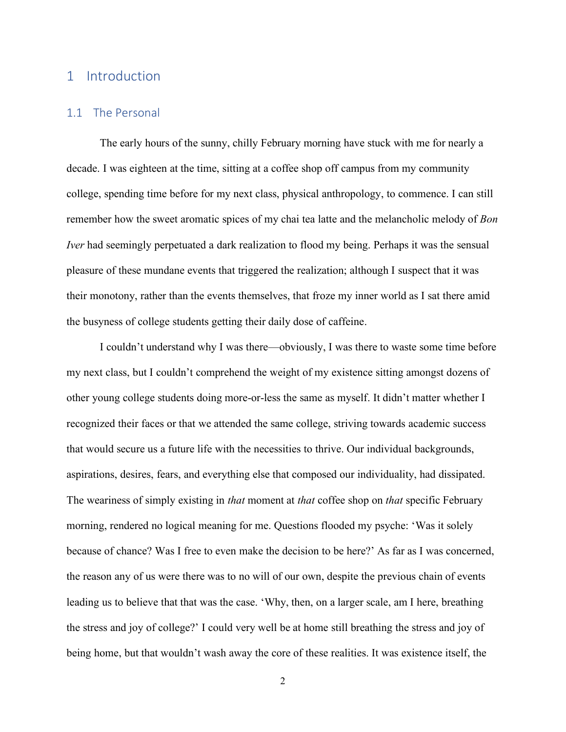# 1 Introduction

## 1.1 The Personal

The early hours of the sunny, chilly February morning have stuck with me for nearly a decade. I was eighteen at the time, sitting at a coffee shop off campus from my community college, spending time before for my next class, physical anthropology, to commence. I can still remember how the sweet aromatic spices of my chai tea latte and the melancholic melody of *Bon Iver* had seemingly perpetuated a dark realization to flood my being. Perhaps it was the sensual pleasure of these mundane events that triggered the realization; although I suspect that it was their monotony, rather than the events themselves, that froze my inner world as I sat there amid the busyness of college students getting their daily dose of caffeine.

I couldn't understand why I was there—obviously, I was there to waste some time before my next class, but I couldn't comprehend the weight of my existence sitting amongst dozens of other young college students doing more-or-less the same as myself. It didn't matter whether I recognized their faces or that we attended the same college, striving towards academic success that would secure us a future life with the necessities to thrive. Our individual backgrounds, aspirations, desires, fears, and everything else that composed our individuality, had dissipated. The weariness of simply existing in *that* moment at *that* coffee shop on *that* specific February morning, rendered no logical meaning for me. Questions flooded my psyche: 'Was it solely because of chance? Was I free to even make the decision to be here?' As far as I was concerned, the reason any of us were there was to no will of our own, despite the previous chain of events leading us to believe that that was the case. 'Why, then, on a larger scale, am I here, breathing the stress and joy of college?' I could very well be at home still breathing the stress and joy of being home, but that wouldn't wash away the core of these realities. It was existence itself, the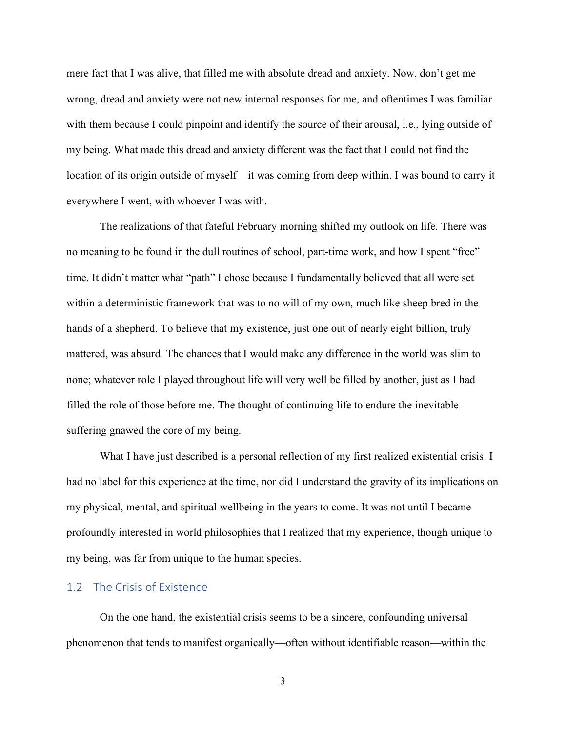mere fact that I was alive, that filled me with absolute dread and anxiety. Now, don't get me wrong, dread and anxiety were not new internal responses for me, and oftentimes I was familiar with them because I could pinpoint and identify the source of their arousal, i.e., lying outside of my being. What made this dread and anxiety different was the fact that I could not find the location of its origin outside of myself—it was coming from deep within. I was bound to carry it everywhere I went, with whoever I was with.

The realizations of that fateful February morning shifted my outlook on life. There was no meaning to be found in the dull routines of school, part-time work, and how I spent "free" time. It didn't matter what "path" I chose because I fundamentally believed that all were set within a deterministic framework that was to no will of my own, much like sheep bred in the hands of a shepherd. To believe that my existence, just one out of nearly eight billion, truly mattered, was absurd. The chances that I would make any difference in the world was slim to none; whatever role I played throughout life will very well be filled by another, just as I had filled the role of those before me. The thought of continuing life to endure the inevitable suffering gnawed the core of my being.

What I have just described is a personal reflection of my first realized existential crisis. I had no label for this experience at the time, nor did I understand the gravity of its implications on my physical, mental, and spiritual wellbeing in the years to come. It was not until I became profoundly interested in world philosophies that I realized that my experience, though unique to my being, was far from unique to the human species.

#### 1.2 The Crisis of Existence

On the one hand, the existential crisis seems to be a sincere, confounding universal phenomenon that tends to manifest organically—often without identifiable reason—within the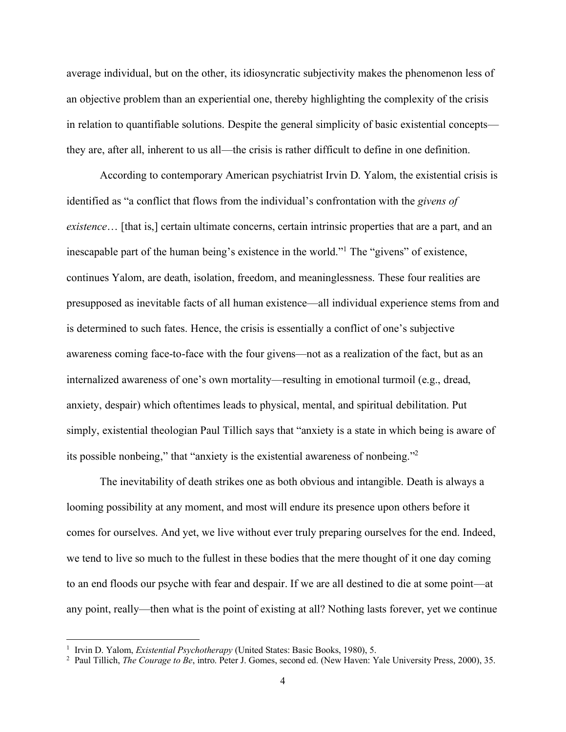average individual, but on the other, its idiosyncratic subjectivity makes the phenomenon less of an objective problem than an experiential one, thereby highlighting the complexity of the crisis in relation to quantifiable solutions. Despite the general simplicity of basic existential concepts they are, after all, inherent to us all—the crisis is rather difficult to define in one definition.

According to contemporary American psychiatrist Irvin D. Yalom, the existential crisis is identified as "a conflict that flows from the individual's confrontation with the *givens of existence*… [that is,] certain ultimate concerns, certain intrinsic properties that are a part, and an inescapable part of the human being's existence in the world."<sup>1</sup> The "givens" of existence, continues Yalom, are death, isolation, freedom, and meaninglessness. These four realities are presupposed as inevitable facts of all human existence—all individual experience stems from and is determined to such fates. Hence, the crisis is essentially a conflict of one's subjective awareness coming face-to-face with the four givens—not as a realization of the fact, but as an internalized awareness of one's own mortality—resulting in emotional turmoil (e.g., dread, anxiety, despair) which oftentimes leads to physical, mental, and spiritual debilitation. Put simply, existential theologian Paul Tillich says that "anxiety is a state in which being is aware of its possible nonbeing," that "anxiety is the existential awareness of nonbeing."<sup>2</sup>

The inevitability of death strikes one as both obvious and intangible. Death is always a looming possibility at any moment, and most will endure its presence upon others before it comes for ourselves. And yet, we live without ever truly preparing ourselves for the end. Indeed, we tend to live so much to the fullest in these bodies that the mere thought of it one day coming to an end floods our psyche with fear and despair. If we are all destined to die at some point—at any point, really—then what is the point of existing at all? Nothing lasts forever, yet we continue

<sup>&</sup>lt;sup>1</sup> Irvin D. Yalom, *Existential Psychotherapy* (United States: Basic Books, 1980), 5.

<sup>2</sup> Paul Tillich, *The Courage to Be*, intro. Peter J. Gomes, second ed. (New Haven: Yale University Press, 2000), 35.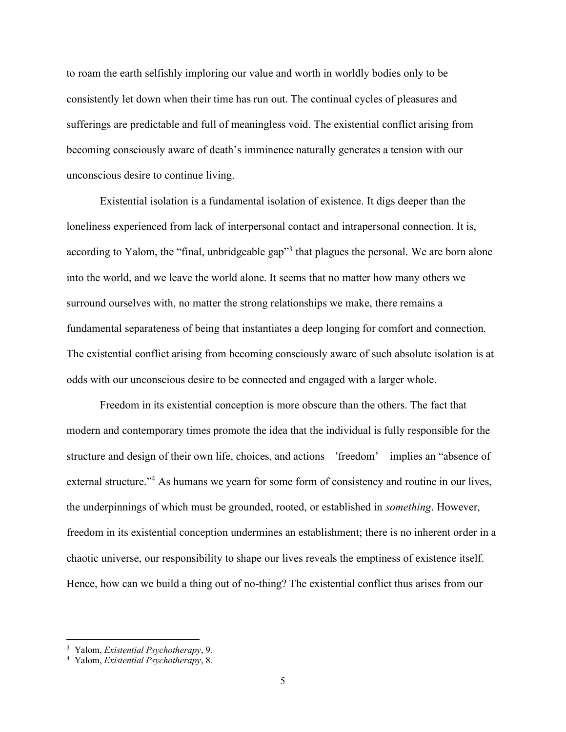to roam the earth selfishly imploring our value and worth in worldly bodies only to be consistently let down when their time has run out. The continual cycles of pleasures and sufferings are predictable and full of meaningless void. The existential conflict arising from becoming consciously aware of death's imminence naturally generates a tension with our unconscious desire to continue living.

Existential isolation is a fundamental isolation of existence. It digs deeper than the loneliness experienced from lack of interpersonal contact and intrapersonal connection. It is, according to Yalom, the "final, unbridgeable gap"<sup>3</sup> that plagues the personal. We are born alone into the world, and we leave the world alone. It seems that no matter how many others we surround ourselves with, no matter the strong relationships we make, there remains a fundamental separateness of being that instantiates a deep longing for comfort and connection. The existential conflict arising from becoming consciously aware of such absolute isolation is at odds with our unconscious desire to be connected and engaged with a larger whole.

Freedom in its existential conception is more obscure than the others. The fact that modern and contemporary times promote the idea that the individual is fully responsible for the structure and design of their own life, choices, and actions—'freedom'—implies an "absence of external structure."<sup>4</sup> As humans we yearn for some form of consistency and routine in our lives, the underpinnings of which must be grounded, rooted, or established in *something*. However, freedom in its existential conception undermines an establishment; there is no inherent order in a chaotic universe, our responsibility to shape our lives reveals the emptiness of existence itself. Hence, how can we build a thing out of no-thing? The existential conflict thus arises from our

<sup>3</sup> Yalom, *Existential Psychotherapy*, 9.

<sup>4</sup> Yalom, *Existential Psychotherapy*, 8.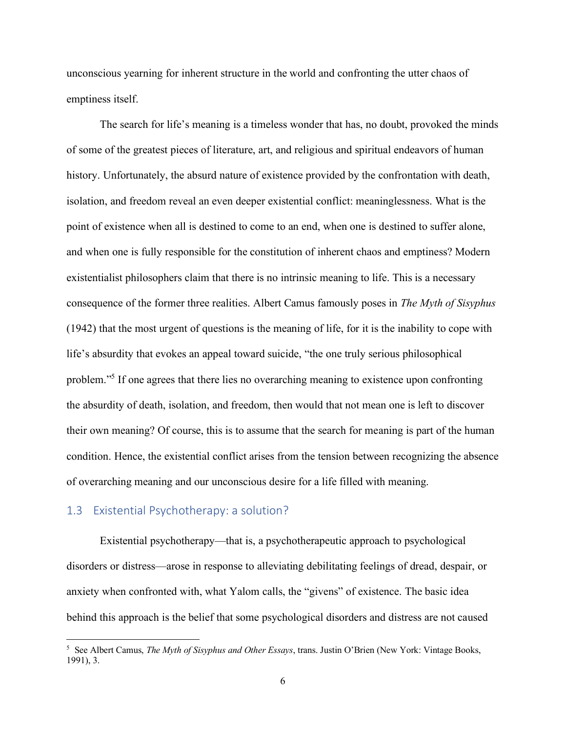unconscious yearning for inherent structure in the world and confronting the utter chaos of emptiness itself.

The search for life's meaning is a timeless wonder that has, no doubt, provoked the minds of some of the greatest pieces of literature, art, and religious and spiritual endeavors of human history. Unfortunately, the absurd nature of existence provided by the confrontation with death, isolation, and freedom reveal an even deeper existential conflict: meaninglessness. What is the point of existence when all is destined to come to an end, when one is destined to suffer alone, and when one is fully responsible for the constitution of inherent chaos and emptiness? Modern existentialist philosophers claim that there is no intrinsic meaning to life. This is a necessary consequence of the former three realities. Albert Camus famously poses in *The Myth of Sisyphus*  (1942) that the most urgent of questions is the meaning of life, for it is the inability to cope with life's absurdity that evokes an appeal toward suicide, "the one truly serious philosophical problem."<sup>5</sup> If one agrees that there lies no overarching meaning to existence upon confronting the absurdity of death, isolation, and freedom, then would that not mean one is left to discover their own meaning? Of course, this is to assume that the search for meaning is part of the human condition. Hence, the existential conflict arises from the tension between recognizing the absence of overarching meaning and our unconscious desire for a life filled with meaning.

## 1.3 Existential Psychotherapy: a solution?

Existential psychotherapy—that is, a psychotherapeutic approach to psychological disorders or distress—arose in response to alleviating debilitating feelings of dread, despair, or anxiety when confronted with, what Yalom calls, the "givens" of existence. The basic idea behind this approach is the belief that some psychological disorders and distress are not caused

<sup>5</sup> See Albert Camus, *The Myth of Sisyphus and Other Essays*, trans. Justin O'Brien (New York: Vintage Books, 1991), 3.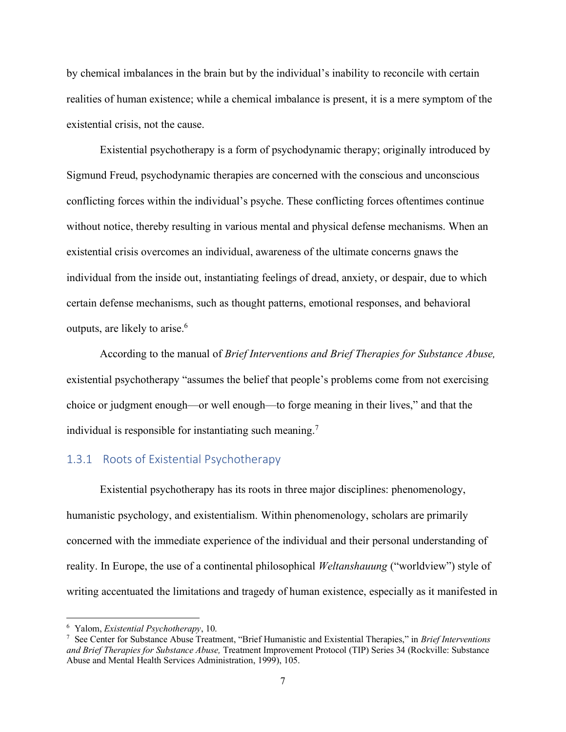by chemical imbalances in the brain but by the individual's inability to reconcile with certain realities of human existence; while a chemical imbalance is present, it is a mere symptom of the existential crisis, not the cause.

Existential psychotherapy is a form of psychodynamic therapy; originally introduced by Sigmund Freud, psychodynamic therapies are concerned with the conscious and unconscious conflicting forces within the individual's psyche. These conflicting forces oftentimes continue without notice, thereby resulting in various mental and physical defense mechanisms. When an existential crisis overcomes an individual, awareness of the ultimate concerns gnaws the individual from the inside out, instantiating feelings of dread, anxiety, or despair, due to which certain defense mechanisms, such as thought patterns, emotional responses, and behavioral outputs, are likely to arise.<sup>6</sup>

According to the manual of *Brief Interventions and Brief Therapies for Substance Abuse,* existential psychotherapy "assumes the belief that people's problems come from not exercising choice or judgment enough—or well enough—to forge meaning in their lives," and that the individual is responsible for instantiating such meaning.<sup>7</sup>

#### 1.3.1 Roots of Existential Psychotherapy

Existential psychotherapy has its roots in three major disciplines: phenomenology, humanistic psychology, and existentialism. Within phenomenology, scholars are primarily concerned with the immediate experience of the individual and their personal understanding of reality. In Europe, the use of a continental philosophical *Weltanshauung* ("worldview") style of writing accentuated the limitations and tragedy of human existence, especially as it manifested in

<sup>6</sup> Yalom, *Existential Psychotherapy*, 10.

<sup>7</sup> See Center for Substance Abuse Treatment, "Brief Humanistic and Existential Therapies," in *Brief Interventions and Brief Therapies for Substance Abuse,* Treatment Improvement Protocol (TIP) Series 34 (Rockville: Substance Abuse and Mental Health Services Administration, 1999), 105.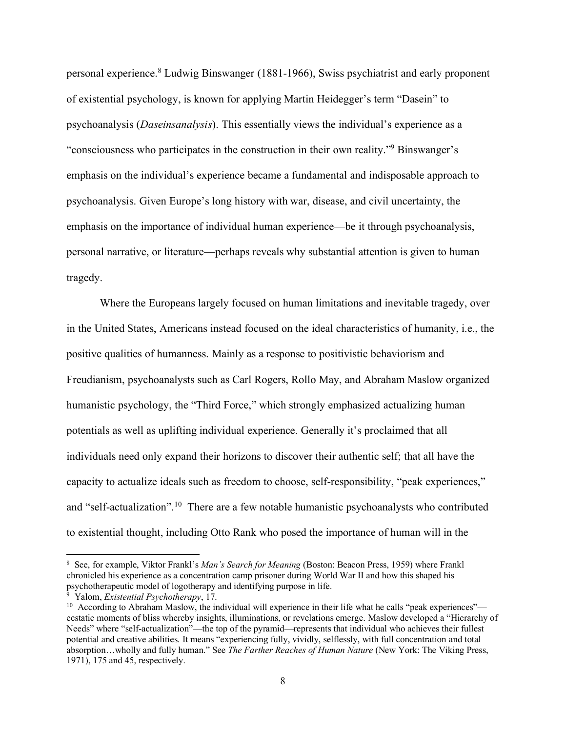personal experience.<sup>8</sup> Ludwig Binswanger (1881-1966), Swiss psychiatrist and early proponent of existential psychology, is known for applying Martin Heidegger's term "Dasein" to psychoanalysis (*Daseinsanalysis*). This essentially views the individual's experience as a "consciousness who participates in the construction in their own reality."<sup>9</sup> Binswanger's emphasis on the individual's experience became a fundamental and indisposable approach to psychoanalysis. Given Europe's long history with war, disease, and civil uncertainty, the emphasis on the importance of individual human experience—be it through psychoanalysis, personal narrative, or literature—perhaps reveals why substantial attention is given to human tragedy.

Where the Europeans largely focused on human limitations and inevitable tragedy, over in the United States, Americans instead focused on the ideal characteristics of humanity, i.e., the positive qualities of humanness. Mainly as a response to positivistic behaviorism and Freudianism, psychoanalysts such as Carl Rogers, Rollo May, and Abraham Maslow organized humanistic psychology, the "Third Force," which strongly emphasized actualizing human potentials as well as uplifting individual experience. Generally it's proclaimed that all individuals need only expand their horizons to discover their authentic self; that all have the capacity to actualize ideals such as freedom to choose, self-responsibility, "peak experiences," and "self-actualization".<sup>10</sup> There are a few notable humanistic psychoanalysts who contributed to existential thought, including Otto Rank who posed the importance of human will in the

<sup>8</sup> See, for example, Viktor Frankl's *Man's Search for Meaning* (Boston: Beacon Press, 1959) where Frankl chronicled his experience as a concentration camp prisoner during World War II and how this shaped his psychotherapeutic model of logotherapy and identifying purpose in life.

<sup>9</sup> Yalom, *Existential Psychotherapy*, 17.

<sup>&</sup>lt;sup>10</sup> According to Abraham Maslow, the individual will experience in their life what he calls "peak experiences" ecstatic moments of bliss whereby insights, illuminations, or revelations emerge. Maslow developed a "Hierarchy of Needs" where "self-actualization"—the top of the pyramid—represents that individual who achieves their fullest potential and creative abilities. It means "experiencing fully, vividly, selflessly, with full concentration and total absorption…wholly and fully human." See *The Farther Reaches of Human Nature* (New York: The Viking Press, 1971), 175 and 45, respectively.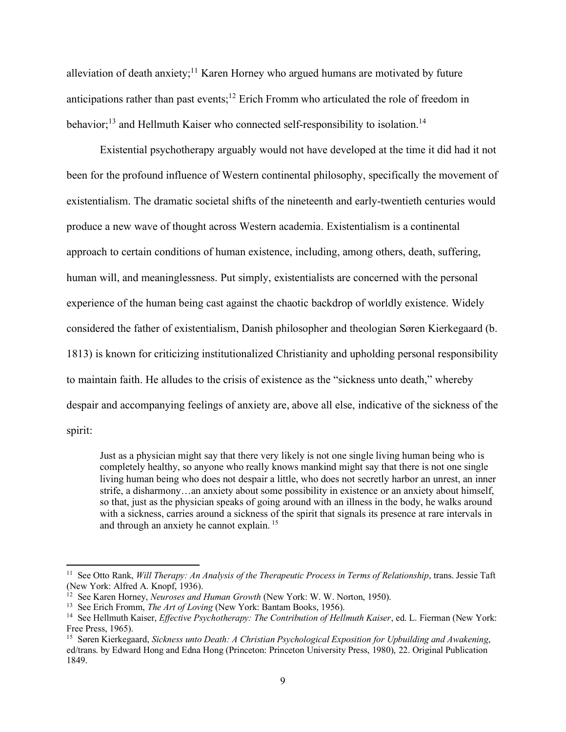alleviation of death anxiety;<sup>11</sup> Karen Horney who argued humans are motivated by future anticipations rather than past events;<sup>12</sup> Erich Fromm who articulated the role of freedom in behavior;<sup>13</sup> and Hellmuth Kaiser who connected self-responsibility to isolation.<sup>14</sup>

Existential psychotherapy arguably would not have developed at the time it did had it not been for the profound influence of Western continental philosophy, specifically the movement of existentialism. The dramatic societal shifts of the nineteenth and early-twentieth centuries would produce a new wave of thought across Western academia. Existentialism is a continental approach to certain conditions of human existence, including, among others, death, suffering, human will, and meaninglessness. Put simply, existentialists are concerned with the personal experience of the human being cast against the chaotic backdrop of worldly existence. Widely considered the father of existentialism, Danish philosopher and theologian Søren Kierkegaard (b. 1813) is known for criticizing institutionalized Christianity and upholding personal responsibility to maintain faith. He alludes to the crisis of existence as the "sickness unto death," whereby despair and accompanying feelings of anxiety are, above all else, indicative of the sickness of the spirit:

Just as a physician might say that there very likely is not one single living human being who is completely healthy, so anyone who really knows mankind might say that there is not one single living human being who does not despair a little, who does not secretly harbor an unrest, an inner strife, a disharmony…an anxiety about some possibility in existence or an anxiety about himself, so that, just as the physician speaks of going around with an illness in the body, he walks around with a sickness, carries around a sickness of the spirit that signals its presence at rare intervals in and through an anxiety he cannot explain.<sup>15</sup>

<sup>11</sup> See Otto Rank, *Will Therapy: An Analysis of the Therapeutic Process in Terms of Relationship*, trans. Jessie Taft (New York: Alfred A. Knopf, 1936).

<sup>&</sup>lt;sup>12</sup> See Karen Horney, *Neuroses and Human Growth* (New York: W. W. Norton, 1950).

<sup>13</sup> See Erich Fromm, *The Art of Loving* (New York: Bantam Books, 1956).

<sup>&</sup>lt;sup>14</sup> See Hellmuth Kaiser, *Effective Psychotherapy: The Contribution of Hellmuth Kaiser*, ed. L. Fierman (New York: Free Press, 1965).

<sup>15</sup> Søren Kierkegaard, *Sickness unto Death: A Christian Psychological Exposition for Upbuilding and Awakening*, ed/trans. by Edward Hong and Edna Hong (Princeton: Princeton University Press, 1980), 22. Original Publication 1849.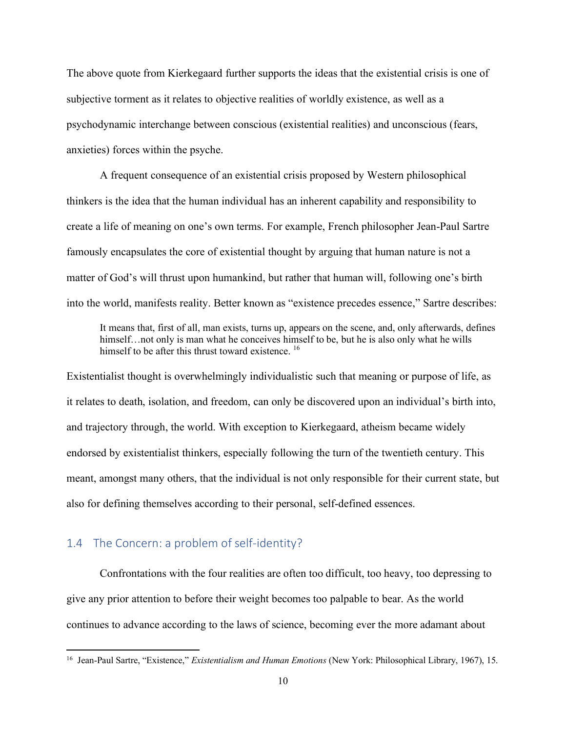The above quote from Kierkegaard further supports the ideas that the existential crisis is one of subjective torment as it relates to objective realities of worldly existence, as well as a psychodynamic interchange between conscious (existential realities) and unconscious (fears, anxieties) forces within the psyche.

A frequent consequence of an existential crisis proposed by Western philosophical thinkers is the idea that the human individual has an inherent capability and responsibility to create a life of meaning on one's own terms. For example, French philosopher Jean-Paul Sartre famously encapsulates the core of existential thought by arguing that human nature is not a matter of God's will thrust upon humankind, but rather that human will, following one's birth into the world, manifests reality. Better known as "existence precedes essence," Sartre describes:

It means that, first of all, man exists, turns up, appears on the scene, and, only afterwards, defines himself...not only is man what he conceives himself to be, but he is also only what he wills himself to be after this thrust toward existence.<sup>16</sup>

Existentialist thought is overwhelmingly individualistic such that meaning or purpose of life, as it relates to death, isolation, and freedom, can only be discovered upon an individual's birth into, and trajectory through, the world. With exception to Kierkegaard, atheism became widely endorsed by existentialist thinkers, especially following the turn of the twentieth century. This meant, amongst many others, that the individual is not only responsible for their current state, but also for defining themselves according to their personal, self-defined essences.

## 1.4 The Concern: a problem of self-identity?

Confrontations with the four realities are often too difficult, too heavy, too depressing to give any prior attention to before their weight becomes too palpable to bear. As the world continues to advance according to the laws of science, becoming ever the more adamant about

<sup>16</sup> Jean-Paul Sartre, "Existence," *Existentialism and Human Emotions* (New York: Philosophical Library, 1967), 15.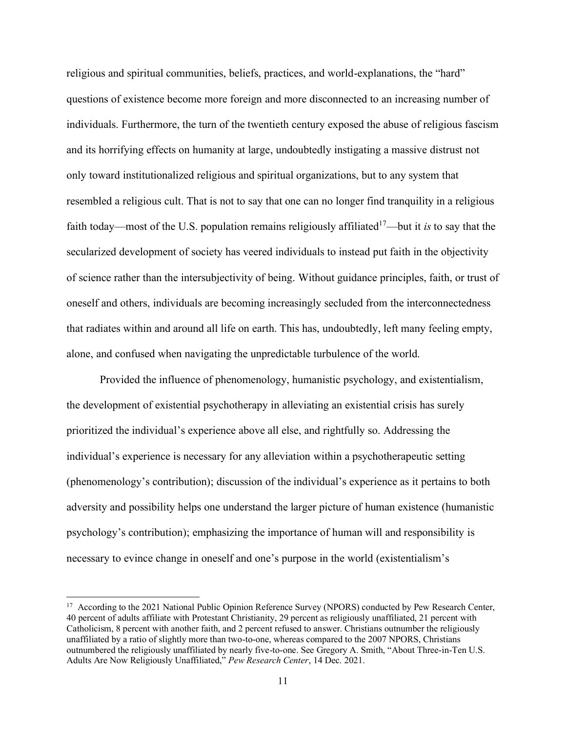religious and spiritual communities, beliefs, practices, and world-explanations, the "hard" questions of existence become more foreign and more disconnected to an increasing number of individuals. Furthermore, the turn of the twentieth century exposed the abuse of religious fascism and its horrifying effects on humanity at large, undoubtedly instigating a massive distrust not only toward institutionalized religious and spiritual organizations, but to any system that resembled a religious cult. That is not to say that one can no longer find tranquility in a religious faith today—most of the U.S. population remains religiously affiliated<sup>17</sup>—but it *is* to say that the secularized development of society has veered individuals to instead put faith in the objectivity of science rather than the intersubjectivity of being. Without guidance principles, faith, or trust of oneself and others, individuals are becoming increasingly secluded from the interconnectedness that radiates within and around all life on earth. This has, undoubtedly, left many feeling empty, alone, and confused when navigating the unpredictable turbulence of the world.

Provided the influence of phenomenology, humanistic psychology, and existentialism, the development of existential psychotherapy in alleviating an existential crisis has surely prioritized the individual's experience above all else, and rightfully so. Addressing the individual's experience is necessary for any alleviation within a psychotherapeutic setting (phenomenology's contribution); discussion of the individual's experience as it pertains to both adversity and possibility helps one understand the larger picture of human existence (humanistic psychology's contribution); emphasizing the importance of human will and responsibility is necessary to evince change in oneself and one's purpose in the world (existentialism's

<sup>&</sup>lt;sup>17</sup> According to the 2021 National Public Opinion Reference Survey (NPORS) conducted by Pew Research Center, 40 percent of adults affiliate with Protestant Christianity, 29 percent as religiously unaffiliated, 21 percent with Catholicism, 8 percent with another faith, and 2 percent refused to answer. Christians outnumber the religiously unaffiliated by a ratio of slightly more than two-to-one, whereas compared to the 2007 NPORS, Christians outnumbered the religiously unaffiliated by nearly five-to-one. See Gregory A. Smith, "About Three-in-Ten U.S. Adults Are Now Religiously Unaffiliated," *Pew Research Center*, 14 Dec. 2021.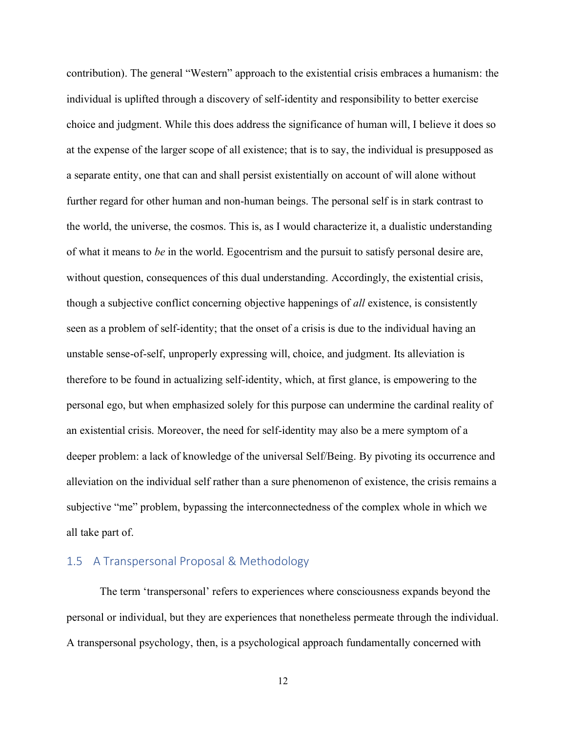contribution). The general "Western" approach to the existential crisis embraces a humanism: the individual is uplifted through a discovery of self-identity and responsibility to better exercise choice and judgment. While this does address the significance of human will, I believe it does so at the expense of the larger scope of all existence; that is to say, the individual is presupposed as a separate entity, one that can and shall persist existentially on account of will alone without further regard for other human and non-human beings. The personal self is in stark contrast to the world, the universe, the cosmos. This is, as I would characterize it, a dualistic understanding of what it means to *be* in the world. Egocentrism and the pursuit to satisfy personal desire are, without question, consequences of this dual understanding. Accordingly, the existential crisis, though a subjective conflict concerning objective happenings of *all* existence, is consistently seen as a problem of self-identity; that the onset of a crisis is due to the individual having an unstable sense-of-self, unproperly expressing will, choice, and judgment. Its alleviation is therefore to be found in actualizing self-identity, which, at first glance, is empowering to the personal ego, but when emphasized solely for this purpose can undermine the cardinal reality of an existential crisis. Moreover, the need for self-identity may also be a mere symptom of a deeper problem: a lack of knowledge of the universal Self/Being. By pivoting its occurrence and alleviation on the individual self rather than a sure phenomenon of existence, the crisis remains a subjective "me" problem, bypassing the interconnectedness of the complex whole in which we all take part of.

## 1.5 A Transpersonal Proposal & Methodology

The term 'transpersonal' refers to experiences where consciousness expands beyond the personal or individual, but they are experiences that nonetheless permeate through the individual. A transpersonal psychology, then, is a psychological approach fundamentally concerned with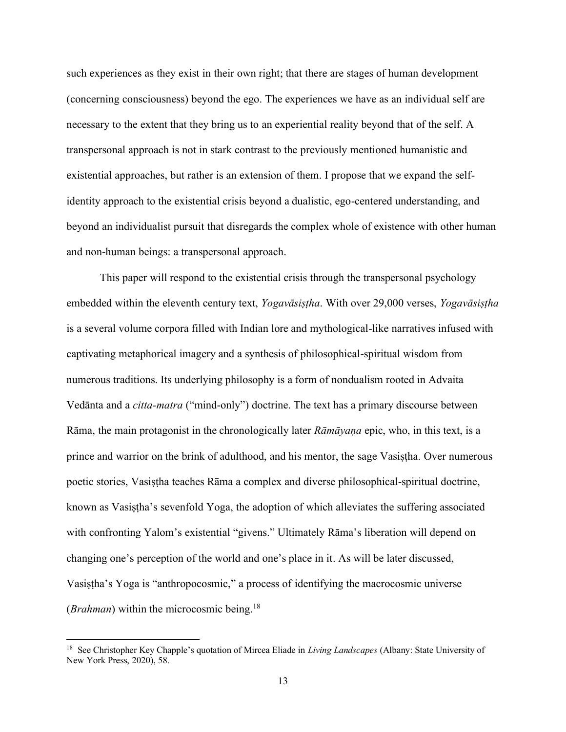such experiences as they exist in their own right; that there are stages of human development (concerning consciousness) beyond the ego. The experiences we have as an individual self are necessary to the extent that they bring us to an experiential reality beyond that of the self. A transpersonal approach is not in stark contrast to the previously mentioned humanistic and existential approaches, but rather is an extension of them. I propose that we expand the selfidentity approach to the existential crisis beyond a dualistic, ego-centered understanding, and beyond an individualist pursuit that disregards the complex whole of existence with other human and non-human beings: a transpersonal approach.

This paper will respond to the existential crisis through the transpersonal psychology embedded within the eleventh century text, *Yogavāsiṣṭha*. With over 29,000 verses, *Yogavāsiṣṭha* is a several volume corpora filled with Indian lore and mythological-like narratives infused with captivating metaphorical imagery and a synthesis of philosophical-spiritual wisdom from numerous traditions. Its underlying philosophy is a form of nondualism rooted in Advaita Vedānta and a *citta-matra* ("mind-only") doctrine. The text has a primary discourse between Rāma, the main protagonist in the chronologically later *Rāmāyaṇa* epic, who, in this text, is a prince and warrior on the brink of adulthood, and his mentor, the sage Vasiṣṭha. Over numerous poetic stories, Vasiṣṭha teaches Rāma a complex and diverse philosophical-spiritual doctrine, known as Vasiṣṭha's sevenfold Yoga, the adoption of which alleviates the suffering associated with confronting Yalom's existential "givens." Ultimately Rāma's liberation will depend on changing one's perception of the world and one's place in it. As will be later discussed, Vasiṣṭha's Yoga is "anthropocosmic," a process of identifying the macrocosmic universe (*Brahman*) within the microcosmic being.<sup>18</sup>

<sup>18</sup> See Christopher Key Chapple's quotation of Mircea Eliade in *Living Landscapes* (Albany: State University of New York Press, 2020), 58.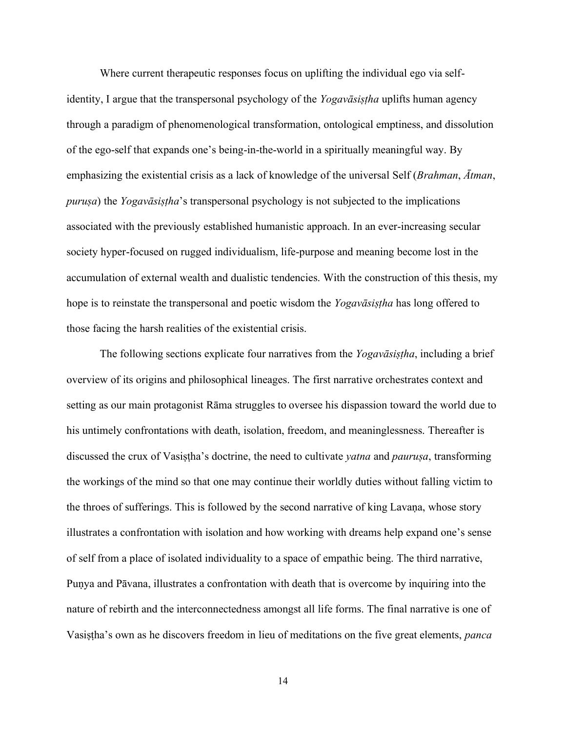Where current therapeutic responses focus on uplifting the individual ego via selfidentity, I argue that the transpersonal psychology of the *Yogavāsiṣṭha* uplifts human agency through a paradigm of phenomenological transformation, ontological emptiness, and dissolution of the ego-self that expands one's being-in-the-world in a spiritually meaningful way. By emphasizing the existential crisis as a lack of knowledge of the universal Self (*Brahman*, *Ātman*, *puruṣa*) the *Yogavāsiṣṭha*'s transpersonal psychology is not subjected to the implications associated with the previously established humanistic approach. In an ever-increasing secular society hyper-focused on rugged individualism, life-purpose and meaning become lost in the accumulation of external wealth and dualistic tendencies. With the construction of this thesis, my hope is to reinstate the transpersonal and poetic wisdom the *Yogavāsiṣṭha* has long offered to those facing the harsh realities of the existential crisis.

The following sections explicate four narratives from the *Yogavāsiṣṭha*, including a brief overview of its origins and philosophical lineages. The first narrative orchestrates context and setting as our main protagonist Rāma struggles to oversee his dispassion toward the world due to his untimely confrontations with death, isolation, freedom, and meaninglessness. Thereafter is discussed the crux of Vasiṣṭha's doctrine, the need to cultivate *yatna* and *pauruṣa*, transforming the workings of the mind so that one may continue their worldly duties without falling victim to the throes of sufferings. This is followed by the second narrative of king Lavaṇa, whose story illustrates a confrontation with isolation and how working with dreams help expand one's sense of self from a place of isolated individuality to a space of empathic being. The third narrative, Puṇya and Pāvana, illustrates a confrontation with death that is overcome by inquiring into the nature of rebirth and the interconnectedness amongst all life forms. The final narrative is one of Vasiṣṭha's own as he discovers freedom in lieu of meditations on the five great elements, *panca*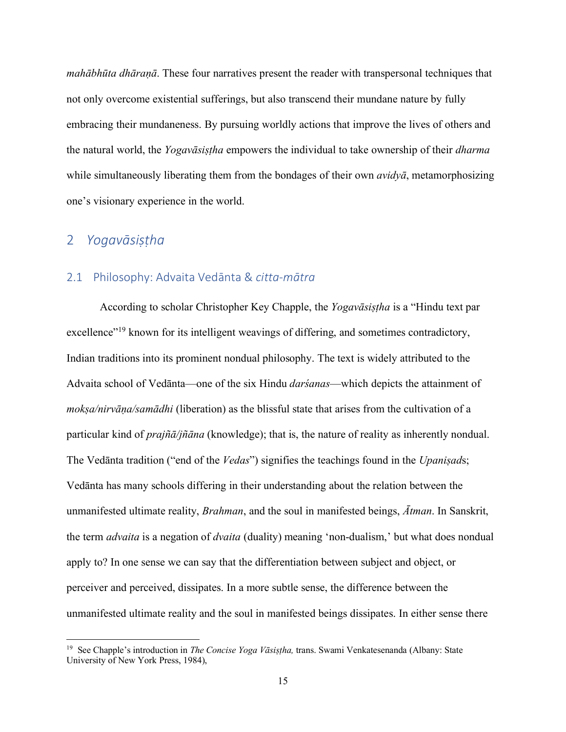*mahābhūta dhāraṇā*. These four narratives present the reader with transpersonal techniques that not only overcome existential sufferings, but also transcend their mundane nature by fully embracing their mundaneness. By pursuing worldly actions that improve the lives of others and the natural world, the *Yogavāsiṣṭha* empowers the individual to take ownership of their *dharma* while simultaneously liberating them from the bondages of their own *avidyā*, metamorphosizing one's visionary experience in the world.

# 2 *Yogavāsiṣṭha*

#### 2.1 Philosophy: Advaita Vedānta & *citta*-*mātra*

According to scholar Christopher Key Chapple, the *Yogavāsiṣṭha* is a "Hindu text par excellence"<sup>19</sup> known for its intelligent weavings of differing, and sometimes contradictory, Indian traditions into its prominent nondual philosophy. The text is widely attributed to the Advaita school of Vedānta—one of the six Hindu *darśanas*—which depicts the attainment of *mokṣa/nirvāṇa/samādhi* (liberation) as the blissful state that arises from the cultivation of a particular kind of *prajñā/jñāna* (knowledge); that is, the nature of reality as inherently nondual. The Vedānta tradition ("end of the *Vedas*") signifies the teachings found in the *Upaniṣad*s; Vedānta has many schools differing in their understanding about the relation between the unmanifested ultimate reality, *Brahman*, and the soul in manifested beings, *Ātman*. In Sanskrit, the term *advaita* is a negation of *dvaita* (duality) meaning 'non-dualism,' but what does nondual apply to? In one sense we can say that the differentiation between subject and object, or perceiver and perceived, dissipates. In a more subtle sense, the difference between the unmanifested ultimate reality and the soul in manifested beings dissipates. In either sense there

<sup>19</sup> See Chapple's introduction in *The Concise Yoga Vāsiṣṭha,* trans. Swami Venkatesenanda (Albany: State University of New York Press, 1984),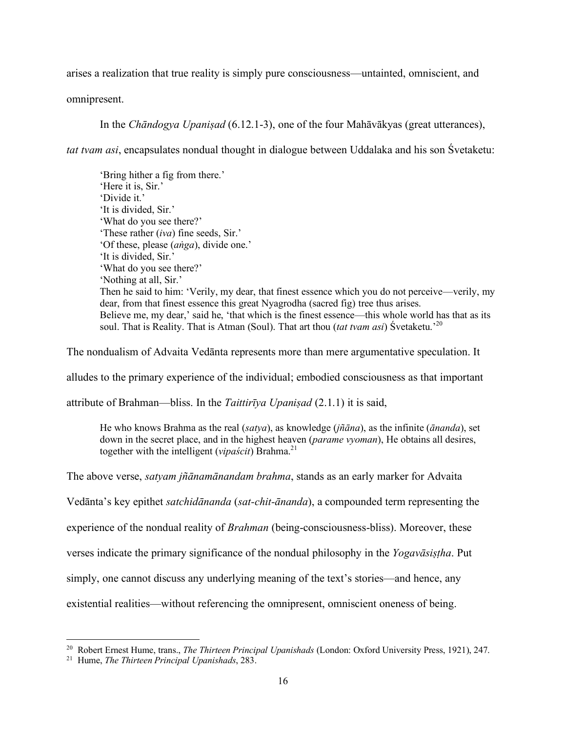arises a realization that true reality is simply pure consciousness—untainted, omniscient, and

omnipresent.

In the *Chāndogya Upaniṣad* (6.12.1-3), one of the four Mahāvākyas (great utterances),

*tat tvam asi*, encapsulates nondual thought in dialogue between Uddalaka and his son Śvetaketu:

'Bring hither a fig from there.' 'Here it is, Sir.' 'Divide it.' 'It is divided, Sir.' 'What do you see there?' 'These rather (*iva*) fine seeds, Sir.' 'Of these, please (*aṅga*), divide one.' 'It is divided, Sir.' 'What do you see there?' 'Nothing at all, Sir.' Then he said to him: 'Verily, my dear, that finest essence which you do not perceive—verily, my dear, from that finest essence this great Nyagrodha (sacred fig) tree thus arises. Believe me, my dear,' said he, 'that which is the finest essence—this whole world has that as its soul. That is Reality. That is Atman (Soul). That art thou (*tat tvam asi*) Śvetaketu.'<sup>20</sup>

The nondualism of Advaita Vedānta represents more than mere argumentative speculation. It

alludes to the primary experience of the individual; embodied consciousness as that important

attribute of Brahman—bliss. In the *Taittirīya Upaniṣad* (2.1.1) it is said,

He who knows Brahma as the real (*satya*), as knowledge (*jñāna*), as the infinite (*ānanda*), set down in the secret place, and in the highest heaven (*parame vyoman*), He obtains all desires, together with the intelligent (*vipaścit*) Brahma.<sup>21</sup>

The above verse, *satyam jñānamānandam brahma*, stands as an early marker for Advaita

Vedānta's key epithet *satchidānanda* (*sat-chit-ānanda*), a compounded term representing the

experience of the nondual reality of *Brahman* (being-consciousness-bliss). Moreover, these

verses indicate the primary significance of the nondual philosophy in the *Yogavāsiṣṭha*. Put

simply, one cannot discuss any underlying meaning of the text's stories—and hence, any

existential realities—without referencing the omnipresent, omniscient oneness of being.

<sup>20</sup> Robert Ernest Hume, trans., *The Thirteen Principal Upanishads* (London: Oxford University Press, 1921), 247.

<sup>21</sup> Hume, *The Thirteen Principal Upanishads*, 283.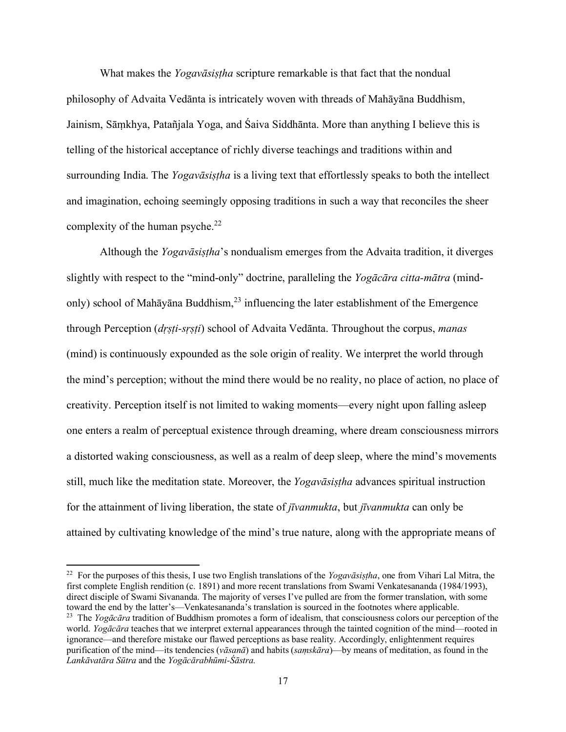What makes the *Yogavāsiṣṭha* scripture remarkable is that fact that the nondual philosophy of Advaita Vedānta is intricately woven with threads of Mahāyāna Buddhism, Jainism, Sāṃkhya, Patañjala Yoga, and Śaiva Siddhānta. More than anything I believe this is telling of the historical acceptance of richly diverse teachings and traditions within and surrounding India. The *Yogavāsiṣṭha* is a living text that effortlessly speaks to both the intellect and imagination, echoing seemingly opposing traditions in such a way that reconciles the sheer complexity of the human psyche. $^{22}$ 

Although the *Yogavāsiṣṭha*'s nondualism emerges from the Advaita tradition, it diverges slightly with respect to the "mind-only" doctrine, paralleling the *Yogācāra citta-mātra* (mindonly) school of Mahāyāna Buddhism, <sup>23</sup> influencing the later establishment of the Emergence through Perception (*dṛṣṭi-sṛṣṭi*) school of Advaita Vedānta. Throughout the corpus, *manas* (mind) is continuously expounded as the sole origin of reality. We interpret the world through the mind's perception; without the mind there would be no reality, no place of action, no place of creativity. Perception itself is not limited to waking moments—every night upon falling asleep one enters a realm of perceptual existence through dreaming, where dream consciousness mirrors a distorted waking consciousness, as well as a realm of deep sleep, where the mind's movements still, much like the meditation state. Moreover, the *Yogavāsiṣṭha* advances spiritual instruction for the attainment of living liberation, the state of *jīvanmukta*, but *jīvanmukta* can only be attained by cultivating knowledge of the mind's true nature, along with the appropriate means of

<sup>22</sup> For the purposes of this thesis, I use two English translations of the *Yogavāsiṣṭha*, one from Vihari Lal Mitra, the first complete English rendition (c. 1891) and more recent translations from Swami Venkatesananda (1984/1993), direct disciple of Swami Sivananda. The majority of verses I've pulled are from the former translation, with some toward the end by the latter's—Venkatesananda's translation is sourced in the footnotes where applicable. <sup>23</sup> The *Yogācāra* tradition of Buddhism promotes a form of idealism, that consciousness colors our perception of the world. *Yogācāra* teaches that we interpret external appearances through the tainted cognition of the mind—rooted in ignorance—and therefore mistake our flawed perceptions as base reality. Accordingly, enlightenment requires purification of the mind—its tendencies (*vāsanā*) and habits (*saṃskāra*)—by means of meditation, as found in the *Lankāvatāra Sūtra* and the *Yogācārabhūmi-Śāstra.*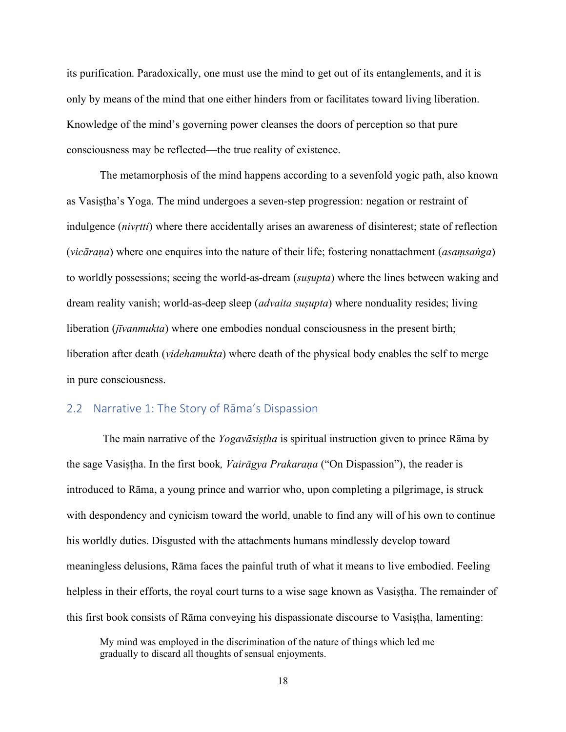its purification. Paradoxically, one must use the mind to get out of its entanglements, and it is only by means of the mind that one either hinders from or facilitates toward living liberation. Knowledge of the mind's governing power cleanses the doors of perception so that pure consciousness may be reflected—the true reality of existence.

The metamorphosis of the mind happens according to a sevenfold yogic path, also known as Vasiṣṭha's Yoga. The mind undergoes a seven-step progression: negation or restraint of indulgence (*nivṛtti*) where there accidentally arises an awareness of disinterest; state of reflection (*vicāraṇa*) where one enquires into the nature of their life; fostering nonattachment (*asaṃsaṅga*) to worldly possessions; seeing the world-as-dream (*suṣupta*) where the lines between waking and dream reality vanish; world-as-deep sleep (*advaita suṣupta*) where nonduality resides; living liberation (*jīvanmukta*) where one embodies nondual consciousness in the present birth; liberation after death (*videhamukta*) where death of the physical body enables the self to merge in pure consciousness.

## 2.2 Narrative 1: The Story of Rāma's Dispassion

The main narrative of the *Yogavāsiṣṭha* is spiritual instruction given to prince Rāma by the sage Vasiṣṭha. In the first book*, Vairāgya Prakaraṇa* ("On Dispassion"), the reader is introduced to Rāma, a young prince and warrior who, upon completing a pilgrimage, is struck with despondency and cynicism toward the world, unable to find any will of his own to continue his worldly duties. Disgusted with the attachments humans mindlessly develop toward meaningless delusions, Rāma faces the painful truth of what it means to live embodied. Feeling helpless in their efforts, the royal court turns to a wise sage known as Vasistha. The remainder of this first book consists of Rāma conveying his dispassionate discourse to Vasiṣṭha, lamenting:

My mind was employed in the discrimination of the nature of things which led me gradually to discard all thoughts of sensual enjoyments.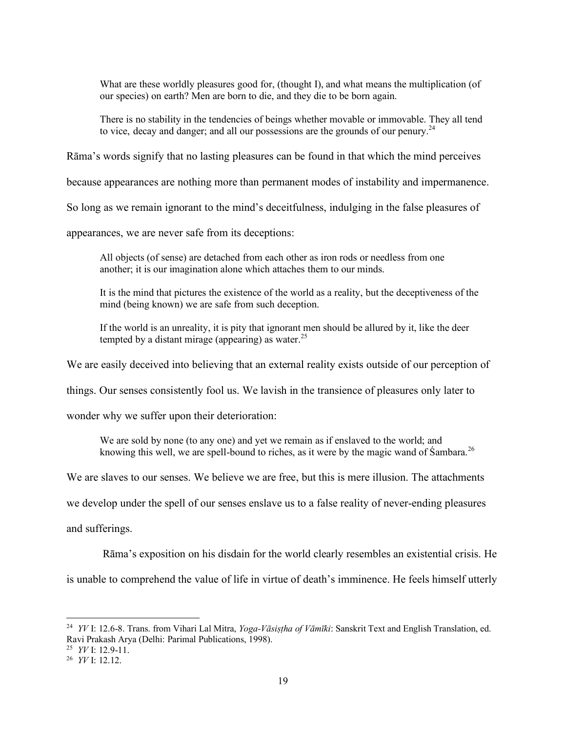What are these worldly pleasures good for, (thought I), and what means the multiplication (of our species) on earth? Men are born to die, and they die to be born again.

There is no stability in the tendencies of beings whether movable or immovable. They all tend to vice, decay and danger; and all our possessions are the grounds of our penury.<sup>24</sup>

Rāma's words signify that no lasting pleasures can be found in that which the mind perceives

because appearances are nothing more than permanent modes of instability and impermanence.

So long as we remain ignorant to the mind's deceitfulness, indulging in the false pleasures of

appearances, we are never safe from its deceptions:

All objects (of sense) are detached from each other as iron rods or needless from one another; it is our imagination alone which attaches them to our minds.

It is the mind that pictures the existence of the world as a reality, but the deceptiveness of the mind (being known) we are safe from such deception.

If the world is an unreality, it is pity that ignorant men should be allured by it, like the deer tempted by a distant mirage (appearing) as water.<sup>25</sup>

We are easily deceived into believing that an external reality exists outside of our perception of

things. Our senses consistently fool us. We lavish in the transience of pleasures only later to

wonder why we suffer upon their deterioration:

We are sold by none (to any one) and yet we remain as if enslaved to the world; and knowing this well, we are spell-bound to riches, as it were by the magic wand of Sambara.<sup>26</sup>

We are slaves to our senses. We believe we are free, but this is mere illusion. The attachments

we develop under the spell of our senses enslave us to a false reality of never-ending pleasures

and sufferings.

Rāma's exposition on his disdain for the world clearly resembles an existential crisis. He

is unable to comprehend the value of life in virtue of death's imminence. He feels himself utterly

<sup>24</sup> *YV* I: 12.6-8. Trans. from Vihari Lal Mitra, *Yoga-Vāsiṣṭha of Vāmīki*: Sanskrit Text and English Translation, ed. Ravi Prakash Arya (Delhi: Parimal Publications, 1998).

<sup>25</sup> *YV* I: 12.9-11.

<sup>26</sup> *YV* I: 12.12.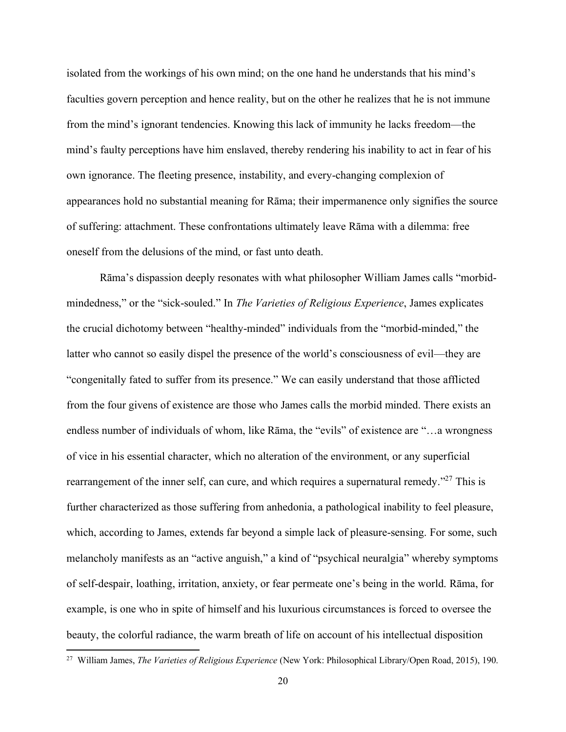isolated from the workings of his own mind; on the one hand he understands that his mind's faculties govern perception and hence reality, but on the other he realizes that he is not immune from the mind's ignorant tendencies. Knowing this lack of immunity he lacks freedom—the mind's faulty perceptions have him enslaved, thereby rendering his inability to act in fear of his own ignorance. The fleeting presence, instability, and every-changing complexion of appearances hold no substantial meaning for Rāma; their impermanence only signifies the source of suffering: attachment. These confrontations ultimately leave Rāma with a dilemma: free oneself from the delusions of the mind, or fast unto death.

Rāma's dispassion deeply resonates with what philosopher William James calls "morbidmindedness," or the "sick-souled." In *The Varieties of Religious Experience*, James explicates the crucial dichotomy between "healthy-minded" individuals from the "morbid-minded," the latter who cannot so easily dispel the presence of the world's consciousness of evil—they are "congenitally fated to suffer from its presence." We can easily understand that those afflicted from the four givens of existence are those who James calls the morbid minded. There exists an endless number of individuals of whom, like Rāma, the "evils" of existence are "…a wrongness of vice in his essential character, which no alteration of the environment, or any superficial rearrangement of the inner self, can cure, and which requires a supernatural remedy."<sup>27</sup> This is further characterized as those suffering from anhedonia, a pathological inability to feel pleasure, which, according to James, extends far beyond a simple lack of pleasure-sensing. For some, such melancholy manifests as an "active anguish," a kind of "psychical neuralgia" whereby symptoms of self-despair, loathing, irritation, anxiety, or fear permeate one's being in the world. Rāma, for example, is one who in spite of himself and his luxurious circumstances is forced to oversee the beauty, the colorful radiance, the warm breath of life on account of his intellectual disposition

<sup>27</sup> William James, *The Varieties of Religious Experience* (New York: Philosophical Library/Open Road, 2015), 190.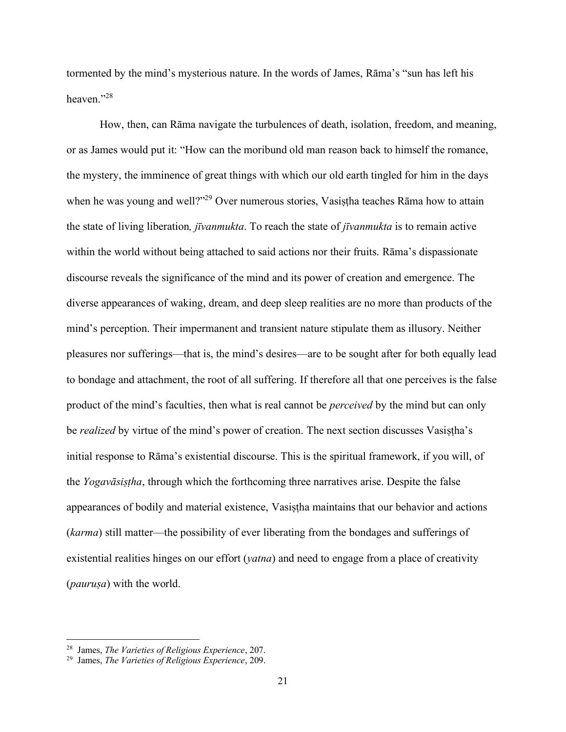tormented by the mind's mysterious nature. In the words of James, Rāma's "sun has left his heaven<sup>"28</sup>

How, then, can Rāma navigate the turbulences of death, isolation, freedom, and meaning, or as James would put it: "How can the moribund old man reason back to himself the romance, the mystery, the imminence of great things with which our old earth tingled for him in the days when he was young and well?"<sup>29</sup> Over numerous stories, Vasistha teaches Rāma how to attain the state of living liberation*, jīvanmukta*. To reach the state of *jīvanmukta* is to remain active within the world without being attached to said actions nor their fruits. Rāma's dispassionate discourse reveals the significance of the mind and its power of creation and emergence. The diverse appearances of waking, dream, and deep sleep realities are no more than products of the mind's perception. Their impermanent and transient nature stipulate them as illusory. Neither pleasures nor sufferings—that is, the mind's desires—are to be sought after for both equally lead to bondage and attachment, the root of all suffering. If therefore all that one perceives is the false product of the mind's faculties, then what is real cannot be *perceived* by the mind but can only be *realized* by virtue of the mind's power of creation. The next section discusses Vasiṣṭha's initial response to Rāma's existential discourse. This is the spiritual framework, if you will, of the *Yogavāsiṣṭha*, through which the forthcoming three narratives arise. Despite the false appearances of bodily and material existence, Vasiṣṭha maintains that our behavior and actions (*karma*) still matter—the possibility of ever liberating from the bondages and sufferings of existential realities hinges on our effort (*yatna*) and need to engage from a place of creativity (*pauruṣa*) with the world.

<sup>28</sup> James, *The Varieties of Religious Experience*, 207.

<sup>29</sup> James, *The Varieties of Religious Experience*, 209.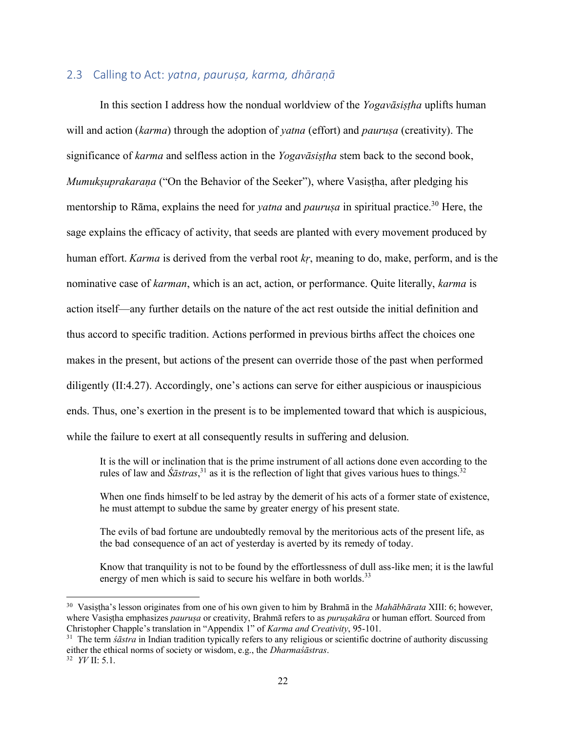#### 2.3 Calling to Act: *yatna*, *pauruṣa, karma, dhāraṇā*

In this section I address how the nondual worldview of the *Yogavāsiṣṭha* uplifts human will and action (*karma*) through the adoption of *yatna* (effort) and *pauruṣa* (creativity). The significance of *karma* and selfless action in the *Yogavāsiṣṭha* stem back to the second book, *Mumukṣuprakaraṇa* ("On the Behavior of the Seeker"), where Vasiṣṭha, after pledging his mentorship to Rāma, explains the need for *yatna* and *paurusa* in spiritual practice.<sup>30</sup> Here, the sage explains the efficacy of activity, that seeds are planted with every movement produced by human effort. *Karma* is derived from the verbal root *kṛ*, meaning to do, make, perform, and is the nominative case of *karman*, which is an act, action, or performance. Quite literally, *karma* is action itself—any further details on the nature of the act rest outside the initial definition and thus accord to specific tradition. Actions performed in previous births affect the choices one makes in the present, but actions of the present can override those of the past when performed diligently (II:4.27). Accordingly, one's actions can serve for either auspicious or inauspicious ends. Thus, one's exertion in the present is to be implemented toward that which is auspicious, while the failure to exert at all consequently results in suffering and delusion.

It is the will or inclination that is the prime instrument of all actions done even according to the rules of law and  $\hat{S}$ *āstras*,<sup>31</sup> as it is the reflection of light that gives various hues to things.<sup>32</sup>

When one finds himself to be led astray by the demerit of his acts of a former state of existence, he must attempt to subdue the same by greater energy of his present state.

The evils of bad fortune are undoubtedly removal by the meritorious acts of the present life, as the bad consequence of an act of yesterday is averted by its remedy of today.

Know that tranquility is not to be found by the effortlessness of dull ass-like men; it is the lawful energy of men which is said to secure his welfare in both worlds.<sup>33</sup>

<sup>30</sup> Vasiṣṭha's lesson originates from one of his own given to him by Brahmā in the *Mahābhārata* XIII: 6; however, where Vasiṣṭha emphasizes *pauruṣa* or creativity, Brahmā refers to as *puruṣakāra* or human effort. Sourced from Christopher Chapple's translation in "Appendix 1" of *Karma and Creativity*, 95-101.

<sup>&</sup>lt;sup>31</sup> The term *śāstra* in Indian tradition typically refers to any religious or scientific doctrine of authority discussing either the ethical norms of society or wisdom, e.g., the *Dharmaśāstras*. <sup>32</sup> *YV* II: 5.1.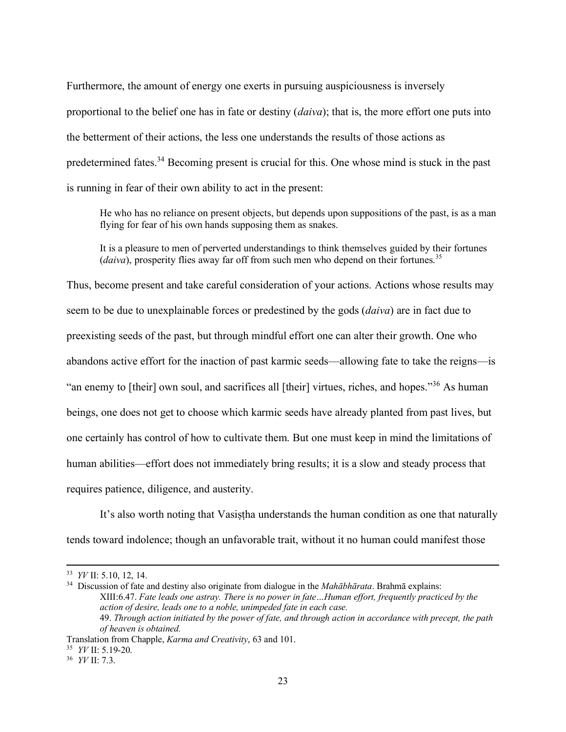Furthermore, the amount of energy one exerts in pursuing auspiciousness is inversely proportional to the belief one has in fate or destiny (*daiva*); that is, the more effort one puts into the betterment of their actions, the less one understands the results of those actions as predetermined fates.<sup>34</sup> Becoming present is crucial for this. One whose mind is stuck in the past is running in fear of their own ability to act in the present:

He who has no reliance on present objects, but depends upon suppositions of the past, is as a man flying for fear of his own hands supposing them as snakes.

It is a pleasure to men of perverted understandings to think themselves guided by their fortunes (*daiva*), prosperity flies away far off from such men who depend on their fortunes.<sup>35</sup>

Thus, become present and take careful consideration of your actions. Actions whose results may seem to be due to unexplainable forces or predestined by the gods (*daiva*) are in fact due to preexisting seeds of the past, but through mindful effort one can alter their growth. One who abandons active effort for the inaction of past karmic seeds—allowing fate to take the reigns—is "an enemy to [their] own soul, and sacrifices all [their] virtues, riches, and hopes."<sup>36</sup> As human beings, one does not get to choose which karmic seeds have already planted from past lives, but one certainly has control of how to cultivate them. But one must keep in mind the limitations of human abilities—effort does not immediately bring results; it is a slow and steady process that requires patience, diligence, and austerity.

It's also worth noting that Vasistha understands the human condition as one that naturally tends toward indolence; though an unfavorable trait, without it no human could manifest those

<sup>33</sup> *YV* II: 5.10, 12, 14.

<sup>34</sup> Discussion of fate and destiny also originate from dialogue in the *Mahābhārata*. Brahmā explains: XIII:6.47. *Fate leads one astray. There is no power in fate…Human effort, frequently practiced by the action of desire, leads one to a noble, unimpeded fate in each case.* 49. *Through action initiated by the power of fate, and through action in accordance with precept, the path of heaven is obtained.*

Translation from Chapple, *Karma and Creativity*, 63 and 101.

<sup>35</sup> *YV* II: 5.19-20.

<sup>36</sup> *YV* II: 7.3.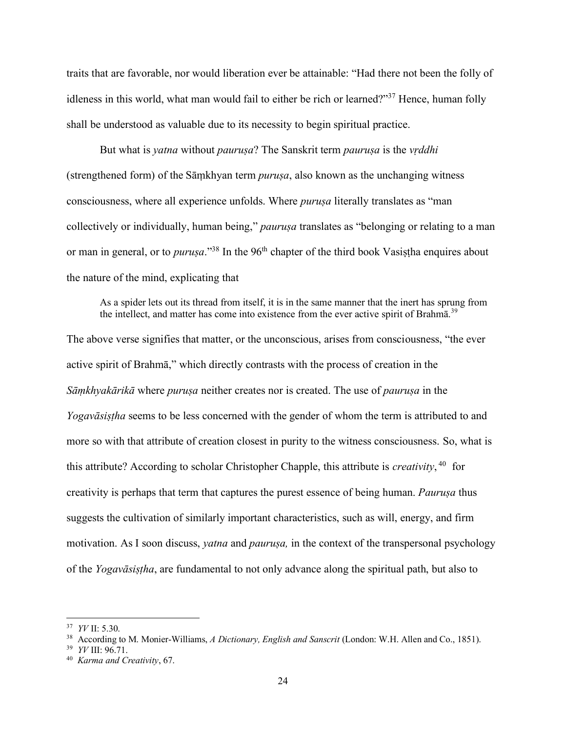traits that are favorable, nor would liberation ever be attainable: "Had there not been the folly of idleness in this world, what man would fail to either be rich or learned?"<sup>37</sup> Hence, human folly shall be understood as valuable due to its necessity to begin spiritual practice.

But what is *yatna* without *pauruṣa*? The Sanskrit term *pauruṣa* is the *vṛddhi* (strengthened form) of the Sāṃkhyan term *puruṣa*, also known as the unchanging witness consciousness, where all experience unfolds. Where *puruṣa* literally translates as "man collectively or individually, human being," *paurusa* translates as "belonging or relating to a man or man in general, or to *puruṣa*."<sup>38</sup> In the 96<sup>th</sup> chapter of the third book Vasiṣṭha enquires about the nature of the mind, explicating that

As a spider lets out its thread from itself, it is in the same manner that the inert has sprung from the intellect, and matter has come into existence from the ever active spirit of Brahm $\bar{a}$ .<sup>39</sup>

The above verse signifies that matter, or the unconscious, arises from consciousness, "the ever active spirit of Brahmā," which directly contrasts with the process of creation in the *Sāṃkhyakārikā* where *puruṣa* neither creates nor is created. The use of *pauruṣa* in the *Yogavāsiṣṭha* seems to be less concerned with the gender of whom the term is attributed to and more so with that attribute of creation closest in purity to the witness consciousness. So, what is this attribute? According to scholar Christopher Chapple, this attribute is *creativity*, 40 for creativity is perhaps that term that captures the purest essence of being human. *Pauruṣa* thus suggests the cultivation of similarly important characteristics, such as will, energy, and firm motivation. As I soon discuss, *yatna* and *pauruṣa,* in the context of the transpersonal psychology of the *Yogavāsiṣṭha*, are fundamental to not only advance along the spiritual path, but also to

<sup>37</sup> *YV* II: 5.30.

<sup>38</sup> According to M. Monier-Williams, *A Dictionary, English and Sanscrit* (London: W.H. Allen and Co., 1851).

<sup>39</sup> *YV* III: 96.71.

<sup>40</sup> *Karma and Creativity*, 67.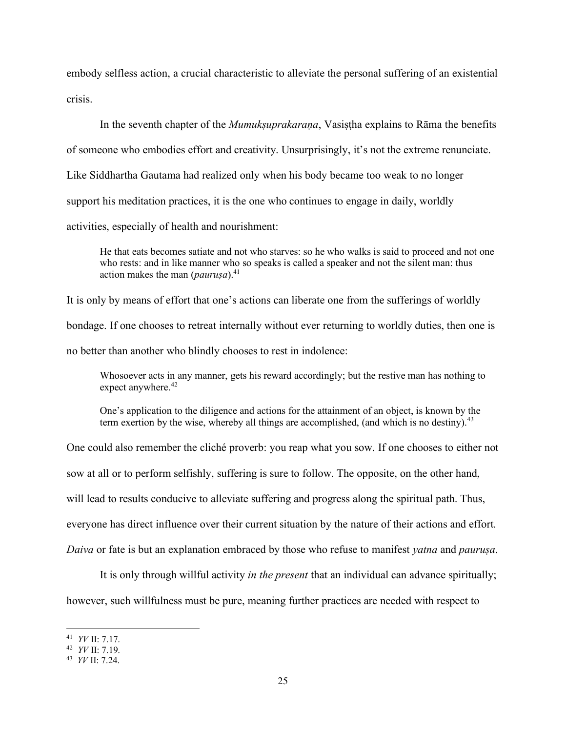embody selfless action, a crucial characteristic to alleviate the personal suffering of an existential crisis.

In the seventh chapter of the *Mumukṣuprakaraṇa*, Vasiṣṭha explains to Rāma the benefits of someone who embodies effort and creativity. Unsurprisingly, it's not the extreme renunciate. Like Siddhartha Gautama had realized only when his body became too weak to no longer support his meditation practices, it is the one who continues to engage in daily, worldly activities, especially of health and nourishment:

He that eats becomes satiate and not who starves: so he who walks is said to proceed and not one who rests: and in like manner who so speaks is called a speaker and not the silent man: thus action makes the man (*paurusa*).<sup>41</sup>

It is only by means of effort that one's actions can liberate one from the sufferings of worldly bondage. If one chooses to retreat internally without ever returning to worldly duties, then one is no better than another who blindly chooses to rest in indolence:

Whosoever acts in any manner, gets his reward accordingly; but the restive man has nothing to expect anywhere. $42$ 

One's application to the diligence and actions for the attainment of an object, is known by the term exertion by the wise, whereby all things are accomplished, (and which is no destiny).  $43$ 

One could also remember the cliché proverb: you reap what you sow. If one chooses to either not sow at all or to perform selfishly, suffering is sure to follow. The opposite, on the other hand, will lead to results conducive to alleviate suffering and progress along the spiritual path. Thus, everyone has direct influence over their current situation by the nature of their actions and effort. *Daiva* or fate is but an explanation embraced by those who refuse to manifest *yatna* and *pauruṣa*.

It is only through willful activity *in the present* that an individual can advance spiritually; however, such willfulness must be pure, meaning further practices are needed with respect to

<sup>41</sup> *YV* II: 7.17.

<sup>42</sup> *YV* II: 7.19.

<sup>43</sup> *YV* II: 7.24.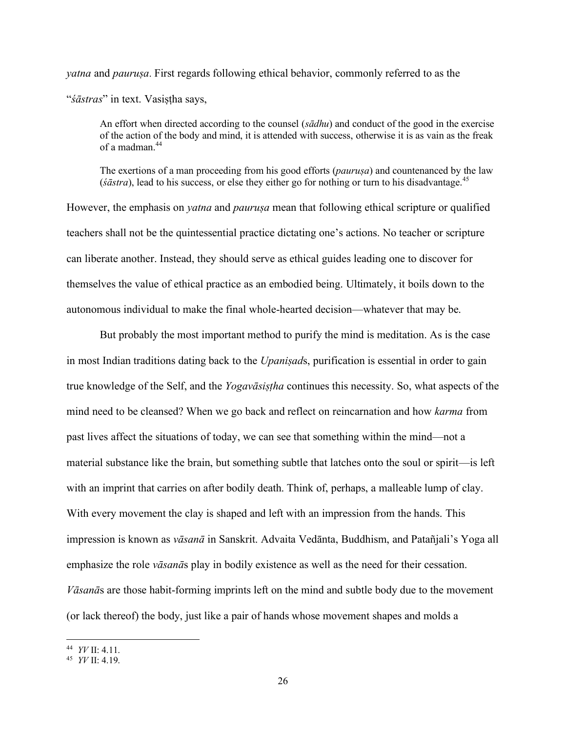*yatna* and *pauruṣa*. First regards following ethical behavior, commonly referred to as the "*śāstras*" in text. Vasistha says,

An effort when directed according to the counsel (*sādhu*) and conduct of the good in the exercise of the action of the body and mind, it is attended with success, otherwise it is as vain as the freak of a madman.<sup>44</sup>

The exertions of a man proceeding from his good efforts (*pauruṣa*) and countenanced by the law (*śāstra*), lead to his success, or else they either go for nothing or turn to his disadvantage.<sup>45</sup>

However, the emphasis on *yatna* and *pauruṣa* mean that following ethical scripture or qualified teachers shall not be the quintessential practice dictating one's actions. No teacher or scripture can liberate another. Instead, they should serve as ethical guides leading one to discover for themselves the value of ethical practice as an embodied being. Ultimately, it boils down to the autonomous individual to make the final whole-hearted decision—whatever that may be.

But probably the most important method to purify the mind is meditation. As is the case in most Indian traditions dating back to the *Upaniṣad*s, purification is essential in order to gain true knowledge of the Self, and the *Yogavāsiṣṭha* continues this necessity. So, what aspects of the mind need to be cleansed? When we go back and reflect on reincarnation and how *karma* from past lives affect the situations of today, we can see that something within the mind—not a material substance like the brain, but something subtle that latches onto the soul or spirit—is left with an imprint that carries on after bodily death. Think of, perhaps, a malleable lump of clay. With every movement the clay is shaped and left with an impression from the hands. This impression is known as *vāsanā* in Sanskrit. Advaita Vedānta, Buddhism, and Patañjali's Yoga all emphasize the role *vāsanā*s play in bodily existence as well as the need for their cessation. *Vāsanā*s are those habit-forming imprints left on the mind and subtle body due to the movement (or lack thereof) the body, just like a pair of hands whose movement shapes and molds a

<sup>44</sup> *YV* II: 4.11.

<sup>45</sup> *YV* II: 4.19.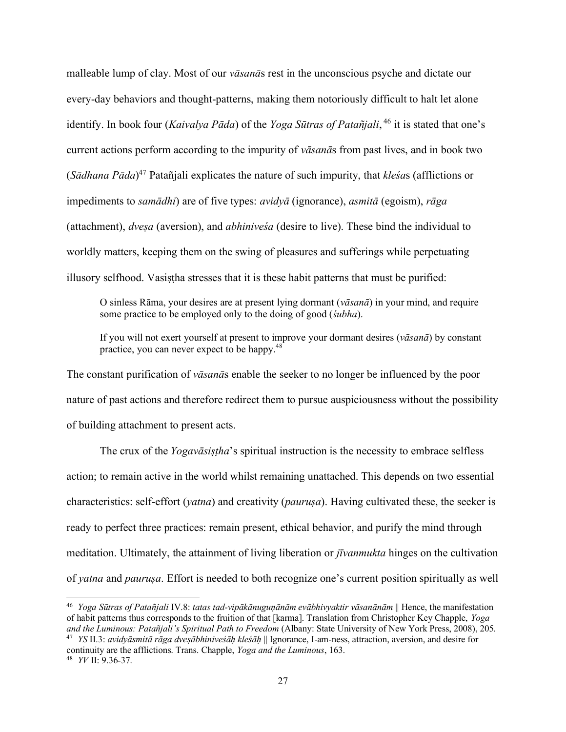malleable lump of clay. Most of our *vāsanā*s rest in the unconscious psyche and dictate our every-day behaviors and thought-patterns, making them notoriously difficult to halt let alone identify. In book four (*Kaivalya Pāda*) of the *Yoga Sūtras of Patañjali*, <sup>46</sup> it is stated that one's current actions perform according to the impurity of *vāsanā*s from past lives, and in book two (*Sādhana Pāda*) <sup>47</sup> Patañjali explicates the nature of such impurity, that *kleśa*s (afflictions or impediments to *samādhi*) are of five types: *avidyā* (ignorance), *asmitā* (egoism), *rāga* (attachment), *dveṣa* (aversion), and *abhiniveśa* (desire to live). These bind the individual to worldly matters, keeping them on the swing of pleasures and sufferings while perpetuating illusory selfhood. Vasistha stresses that it is these habit patterns that must be purified:

O sinless Rāma, your desires are at present lying dormant (*vāsanā*) in your mind, and require some practice to be employed only to the doing of good (*śubha*).

If you will not exert yourself at present to improve your dormant desires (*vāsanā*) by constant practice, you can never expect to be happy.<sup>48</sup>

The constant purification of *vāsanā*s enable the seeker to no longer be influenced by the poor nature of past actions and therefore redirect them to pursue auspiciousness without the possibility of building attachment to present acts.

The crux of the *Yogavāsiṣṭha*'s spiritual instruction is the necessity to embrace selfless action; to remain active in the world whilst remaining unattached. This depends on two essential characteristics: self-effort (*yatna*) and creativity (*pauruṣa*). Having cultivated these, the seeker is ready to perfect three practices: remain present, ethical behavior, and purify the mind through meditation. Ultimately, the attainment of living liberation or *jīvanmukta* hinges on the cultivation of *yatna* and *pauruṣa*. Effort is needed to both recognize one's current position spiritually as well

<sup>46</sup> *Yoga Sūtras of Patañjali* IV.8: *tatas tad-vipākānuguṇānām evābhivyaktir vāsanānām* || Hence, the manifestation of habit patterns thus corresponds to the fruition of that [karma]. Translation from Christopher Key Chapple, *Yoga and the Luminous: Patañjali's Spiritual Path to Freedom* (Albany: State University of New York Press, 2008), 205. <sup>47</sup> *YS* II.3: *avidyāsmitā rāga dveṣābhiniveśāḥ kleśāḥ* || Ignorance, I-am-ness, attraction, aversion, and desire for continuity are the afflictions. Trans. Chapple, *Yoga and the Luminous*, 163.

<sup>48</sup> *YV* II: 9.36-37.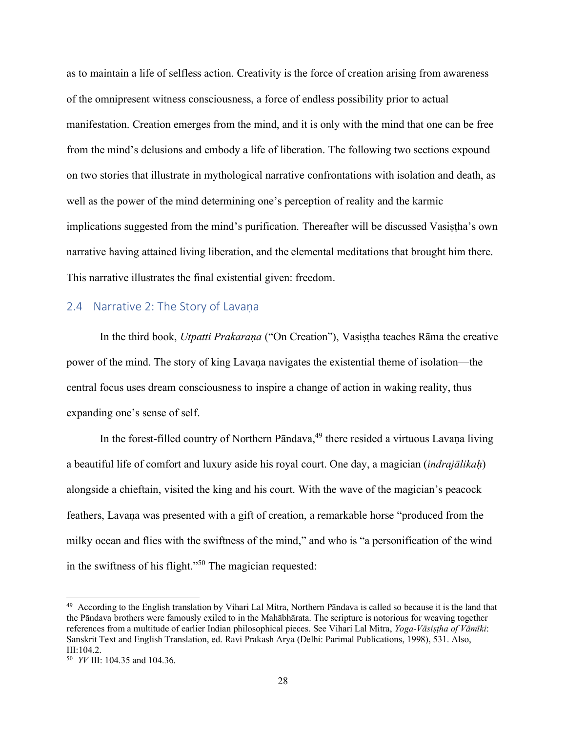as to maintain a life of selfless action. Creativity is the force of creation arising from awareness of the omnipresent witness consciousness, a force of endless possibility prior to actual manifestation. Creation emerges from the mind, and it is only with the mind that one can be free from the mind's delusions and embody a life of liberation. The following two sections expound on two stories that illustrate in mythological narrative confrontations with isolation and death, as well as the power of the mind determining one's perception of reality and the karmic implications suggested from the mind's purification. Thereafter will be discussed Vasiṣṭha's own narrative having attained living liberation, and the elemental meditations that brought him there. This narrative illustrates the final existential given: freedom.

## 2.4 Narrative 2: The Story of Lavana

In the third book, *Utpatti Prakaraṇa* ("On Creation"), Vasiṣṭha teaches Rāma the creative power of the mind. The story of king Lavaṇa navigates the existential theme of isolation—the central focus uses dream consciousness to inspire a change of action in waking reality, thus expanding one's sense of self.

In the forest-filled country of Northern Pāndava, <sup>49</sup> there resided a virtuous Lavaṇa living a beautiful life of comfort and luxury aside his royal court. One day, a magician (*indrajālikaḥ*) alongside a chieftain, visited the king and his court. With the wave of the magician's peacock feathers, Lavaṇa was presented with a gift of creation, a remarkable horse "produced from the milky ocean and flies with the swiftness of the mind," and who is "a personification of the wind in the swiftness of his flight." <sup>50</sup> The magician requested:

 $49$  According to the English translation by Vihari Lal Mitra, Northern Pāndava is called so because it is the land that the Pāndava brothers were famously exiled to in the Mahābhārata. The scripture is notorious for weaving together references from a multitude of earlier Indian philosophical pieces. See Vihari Lal Mitra, *Yoga-Vāsiṣṭha of Vāmīki*: Sanskrit Text and English Translation, ed. Ravi Prakash Arya (Delhi: Parimal Publications, 1998), 531. Also, III:104.2.

<sup>50</sup> *YV* III: 104.35 and 104.36.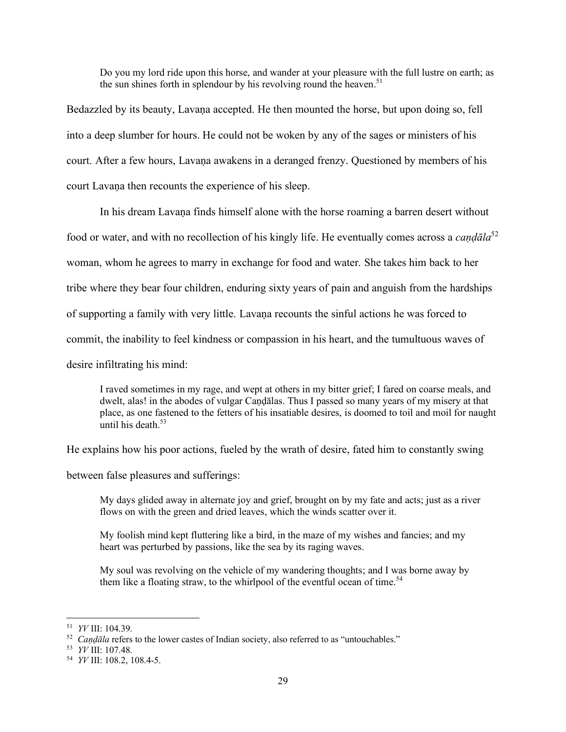Do you my lord ride upon this horse, and wander at your pleasure with the full lustre on earth; as the sun shines forth in splendour by his revolving round the heaven.<sup>51</sup>

Bedazzled by its beauty, Lavaṇa accepted. He then mounted the horse, but upon doing so, fell into a deep slumber for hours. He could not be woken by any of the sages or ministers of his court. After a few hours, Lavaṇa awakens in a deranged frenzy. Questioned by members of his court Lavaṇa then recounts the experience of his sleep.

In his dream Lavaṇa finds himself alone with the horse roaming a barren desert without food or water, and with no recollection of his kingly life. He eventually comes across a *caṇḍāla*<sup>52</sup> woman, whom he agrees to marry in exchange for food and water. She takes him back to her tribe where they bear four children, enduring sixty years of pain and anguish from the hardships of supporting a family with very little. Lavaṇa recounts the sinful actions he was forced to commit, the inability to feel kindness or compassion in his heart, and the tumultuous waves of desire infiltrating his mind:

I raved sometimes in my rage, and wept at others in my bitter grief; I fared on coarse meals, and dwelt, alas! in the abodes of vulgar Caṇḍālas. Thus I passed so many years of my misery at that place, as one fastened to the fetters of his insatiable desires, is doomed to toil and moil for naught until his death  $53$ 

He explains how his poor actions, fueled by the wrath of desire, fated him to constantly swing

between false pleasures and sufferings:

My days glided away in alternate joy and grief, brought on by my fate and acts; just as a river flows on with the green and dried leaves, which the winds scatter over it.

My foolish mind kept fluttering like a bird, in the maze of my wishes and fancies; and my heart was perturbed by passions, like the sea by its raging waves.

My soul was revolving on the vehicle of my wandering thoughts; and I was borne away by them like a floating straw, to the whirlpool of the eventful ocean of time.<sup>54</sup>

<sup>51</sup> *YV* III: 104.39.

<sup>&</sup>lt;sup>52</sup> *Caṇḍāla* refers to the lower castes of Indian society, also referred to as "untouchables."

<sup>53</sup> *YV* III: 107.48.

<sup>54</sup> *YV* III: 108.2, 108.4-5.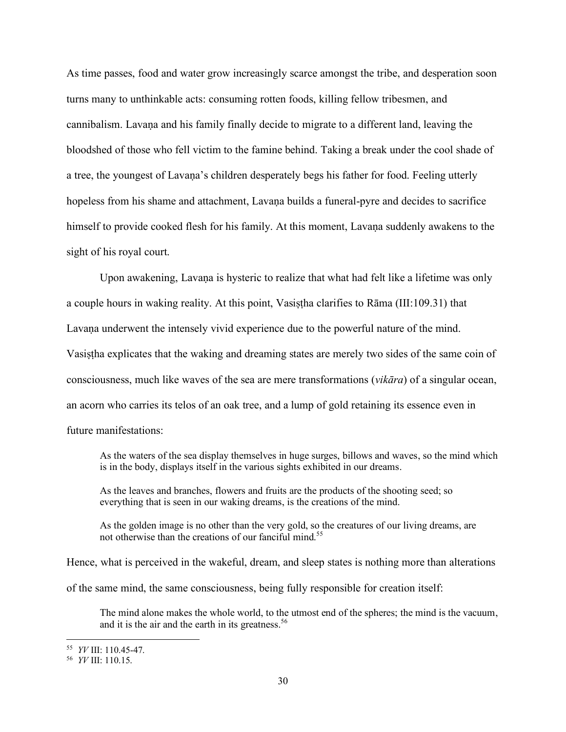As time passes, food and water grow increasingly scarce amongst the tribe, and desperation soon turns many to unthinkable acts: consuming rotten foods, killing fellow tribesmen, and cannibalism. Lavaṇa and his family finally decide to migrate to a different land, leaving the bloodshed of those who fell victim to the famine behind. Taking a break under the cool shade of a tree, the youngest of Lavaṇa's children desperately begs his father for food. Feeling utterly hopeless from his shame and attachment, Lavaṇa builds a funeral-pyre and decides to sacrifice himself to provide cooked flesh for his family. At this moment, Lavana suddenly awakens to the sight of his royal court.

Upon awakening, Lavaṇa is hysteric to realize that what had felt like a lifetime was only a couple hours in waking reality. At this point, Vasistha clarifies to Rāma (III:109.31) that Lavaṇa underwent the intensely vivid experience due to the powerful nature of the mind. Vasiṣṭha explicates that the waking and dreaming states are merely two sides of the same coin of consciousness, much like waves of the sea are mere transformations (*vikāra*) of a singular ocean, an acorn who carries its telos of an oak tree, and a lump of gold retaining its essence even in future manifestations:

As the waters of the sea display themselves in huge surges, billows and waves, so the mind which is in the body, displays itself in the various sights exhibited in our dreams.

As the leaves and branches, flowers and fruits are the products of the shooting seed; so everything that is seen in our waking dreams, is the creations of the mind.

As the golden image is no other than the very gold, so the creatures of our living dreams, are not otherwise than the creations of our fanciful mind.<sup>55</sup>

Hence, what is perceived in the wakeful, dream, and sleep states is nothing more than alterations

of the same mind, the same consciousness, being fully responsible for creation itself:

The mind alone makes the whole world, to the utmost end of the spheres; the mind is the vacuum, and it is the air and the earth in its greatness.<sup>56</sup>

<sup>55</sup> *YV* III: 110.45-47.

<sup>56</sup> *YV* III: 110.15.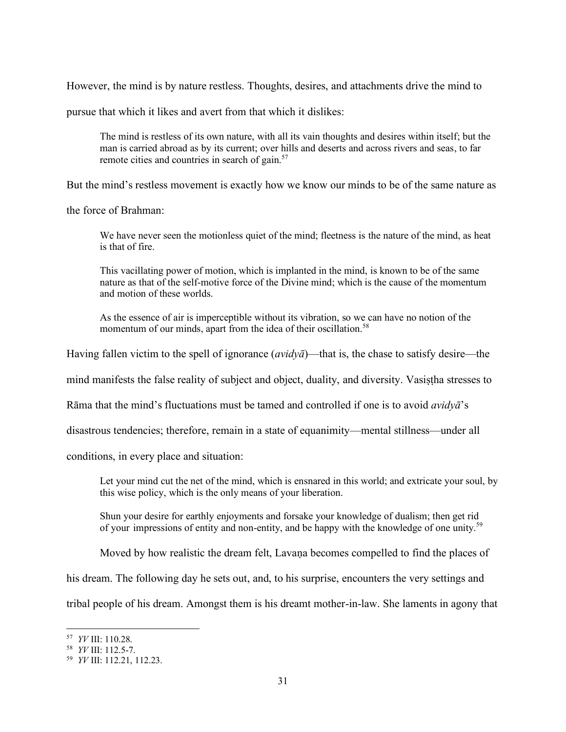However, the mind is by nature restless. Thoughts, desires, and attachments drive the mind to

pursue that which it likes and avert from that which it dislikes:

The mind is restless of its own nature, with all its vain thoughts and desires within itself; but the man is carried abroad as by its current; over hills and deserts and across rivers and seas, to far remote cities and countries in search of gain.<sup>57</sup>

But the mind's restless movement is exactly how we know our minds to be of the same nature as

the force of Brahman:

We have never seen the motionless quiet of the mind; fleetness is the nature of the mind, as heat is that of fire.

This vacillating power of motion, which is implanted in the mind, is known to be of the same nature as that of the self-motive force of the Divine mind; which is the cause of the momentum and motion of these worlds.

As the essence of air is imperceptible without its vibration, so we can have no notion of the momentum of our minds, apart from the idea of their oscillation.<sup>58</sup>

Having fallen victim to the spell of ignorance (*avidyā*)—that is, the chase to satisfy desire—the

mind manifests the false reality of subject and object, duality, and diversity. Vasiṣṭha stresses to

Rāma that the mind's fluctuations must be tamed and controlled if one is to avoid *avidyā*'s

disastrous tendencies; therefore, remain in a state of equanimity—mental stillness—under all

conditions, in every place and situation:

Let your mind cut the net of the mind, which is ensnared in this world; and extricate your soul, by this wise policy, which is the only means of your liberation.

Shun your desire for earthly enjoyments and forsake your knowledge of dualism; then get rid of your impressions of entity and non-entity, and be happy with the knowledge of one unity.<sup>59</sup>

Moved by how realistic the dream felt, Lavaṇa becomes compelled to find the places of

his dream. The following day he sets out, and, to his surprise, encounters the very settings and

tribal people of his dream. Amongst them is his dreamt mother-in-law. She laments in agony that

<sup>57</sup> *YV* III: 110.28.

<sup>58</sup> *YV* III: 112.5-7.

<sup>59</sup> *YV* III: 112.21, 112.23.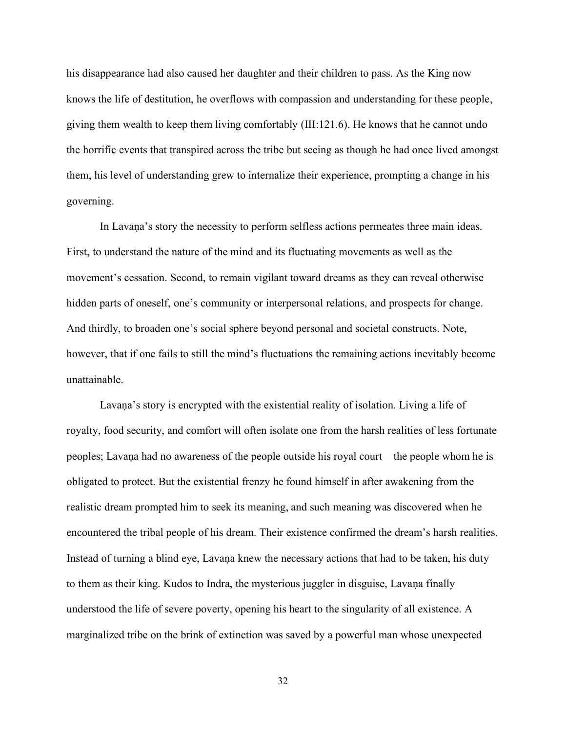his disappearance had also caused her daughter and their children to pass. As the King now knows the life of destitution, he overflows with compassion and understanding for these people, giving them wealth to keep them living comfortably (III:121.6). He knows that he cannot undo the horrific events that transpired across the tribe but seeing as though he had once lived amongst them, his level of understanding grew to internalize their experience, prompting a change in his governing.

In Lavaṇa's story the necessity to perform selfless actions permeates three main ideas. First, to understand the nature of the mind and its fluctuating movements as well as the movement's cessation. Second, to remain vigilant toward dreams as they can reveal otherwise hidden parts of oneself, one's community or interpersonal relations, and prospects for change. And thirdly, to broaden one's social sphere beyond personal and societal constructs. Note, however, that if one fails to still the mind's fluctuations the remaining actions inevitably become unattainable.

Lavaṇa's story is encrypted with the existential reality of isolation. Living a life of royalty, food security, and comfort will often isolate one from the harsh realities of less fortunate peoples; Lavaṇa had no awareness of the people outside his royal court—the people whom he is obligated to protect. But the existential frenzy he found himself in after awakening from the realistic dream prompted him to seek its meaning, and such meaning was discovered when he encountered the tribal people of his dream. Their existence confirmed the dream's harsh realities. Instead of turning a blind eye, Lavaṇa knew the necessary actions that had to be taken, his duty to them as their king. Kudos to Indra, the mysterious juggler in disguise, Lavaṇa finally understood the life of severe poverty, opening his heart to the singularity of all existence. A marginalized tribe on the brink of extinction was saved by a powerful man whose unexpected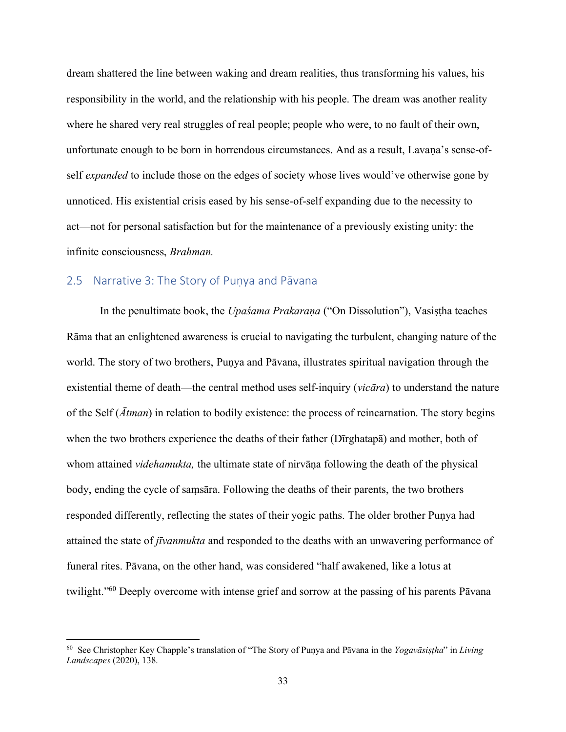dream shattered the line between waking and dream realities, thus transforming his values, his responsibility in the world, and the relationship with his people. The dream was another reality where he shared very real struggles of real people; people who were, to no fault of their own, unfortunate enough to be born in horrendous circumstances. And as a result, Lavaṇa's sense-ofself *expanded* to include those on the edges of society whose lives would've otherwise gone by unnoticed. His existential crisis eased by his sense-of-self expanding due to the necessity to act—not for personal satisfaction but for the maintenance of a previously existing unity: the infinite consciousness, *Brahman.*

## 2.5 Narrative 3: The Story of Punya and Pāvana

In the penultimate book, the *Upaśama Prakarana* ("On Dissolution"), Vasistha teaches Rāma that an enlightened awareness is crucial to navigating the turbulent, changing nature of the world. The story of two brothers, Puṇya and Pāvana, illustrates spiritual navigation through the existential theme of death—the central method uses self-inquiry (*vicāra*) to understand the nature of the Self (*Ātman*) in relation to bodily existence: the process of reincarnation. The story begins when the two brothers experience the deaths of their father (Dīrghatapā) and mother, both of whom attained *videhamukta,* the ultimate state of nirvāṇa following the death of the physical body, ending the cycle of saṃsāra. Following the deaths of their parents, the two brothers responded differently, reflecting the states of their yogic paths. The older brother Puṇya had attained the state of *jīvanmukta* and responded to the deaths with an unwavering performance of funeral rites. Pāvana, on the other hand, was considered "half awakened, like a lotus at twilight."<sup>60</sup> Deeply overcome with intense grief and sorrow at the passing of his parents Pāvana

<sup>60</sup> See Christopher Key Chapple's translation of "The Story of Puṇya and Pāvana in the *Yogavāsiṣṭha*" in *Living Landscapes* (2020), 138.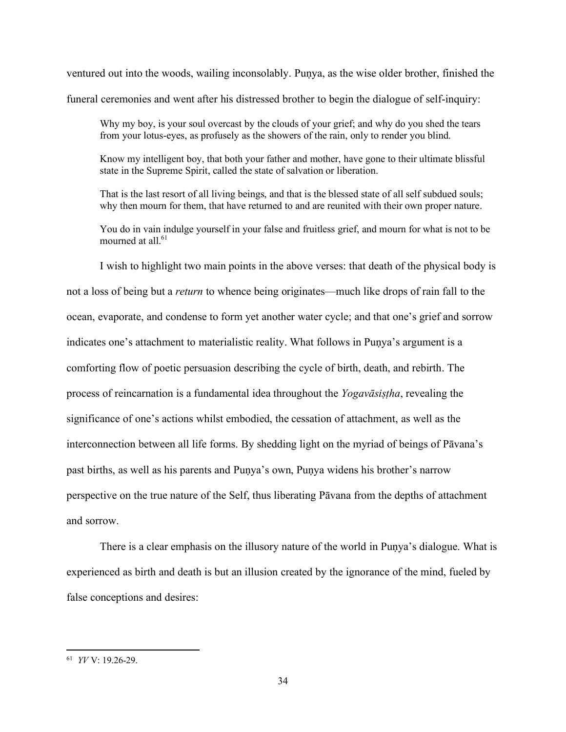ventured out into the woods, wailing inconsolably. Puṇya, as the wise older brother, finished the funeral ceremonies and went after his distressed brother to begin the dialogue of self-inquiry:

Why my boy, is your soul overcast by the clouds of your grief; and why do you shed the tears from your lotus-eyes, as profusely as the showers of the rain, only to render you blind.

Know my intelligent boy, that both your father and mother, have gone to their ultimate blissful state in the Supreme Spirit, called the state of salvation or liberation.

That is the last resort of all living beings, and that is the blessed state of all self subdued souls; why then mourn for them, that have returned to and are reunited with their own proper nature.

You do in vain indulge yourself in your false and fruitless grief, and mourn for what is not to be mourned at all. $61$ 

I wish to highlight two main points in the above verses: that death of the physical body is not a loss of being but a *return* to whence being originates—much like drops of rain fall to the ocean, evaporate, and condense to form yet another water cycle; and that one's grief and sorrow indicates one's attachment to materialistic reality. What follows in Puṇya's argument is a comforting flow of poetic persuasion describing the cycle of birth, death, and rebirth. The process of reincarnation is a fundamental idea throughout the *Yogavāsiṣṭha*, revealing the significance of one's actions whilst embodied, the cessation of attachment, as well as the interconnection between all life forms. By shedding light on the myriad of beings of Pāvana's past births, as well as his parents and Puṇya's own, Puṇya widens his brother's narrow perspective on the true nature of the Self, thus liberating Pāvana from the depths of attachment and sorrow.

There is a clear emphasis on the illusory nature of the world in Puṇya's dialogue. What is experienced as birth and death is but an illusion created by the ignorance of the mind, fueled by false conceptions and desires:

<sup>61</sup> *YV* V: 19.26-29.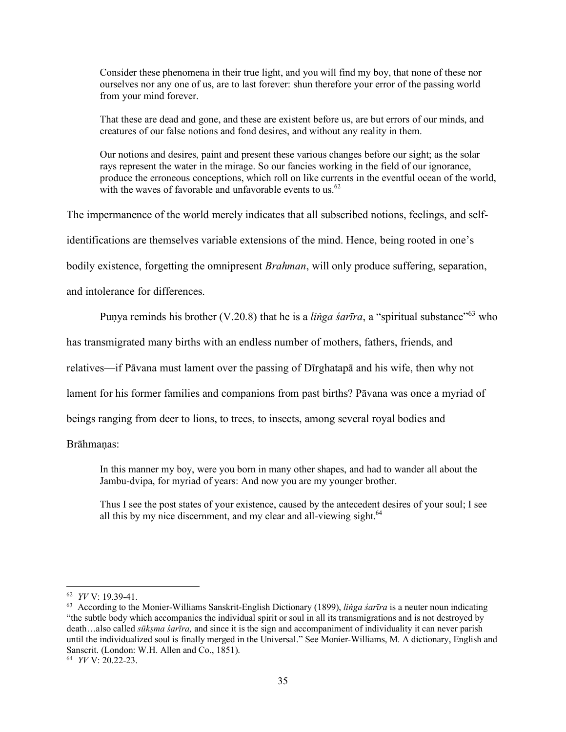Consider these phenomena in their true light, and you will find my boy, that none of these nor ourselves nor any one of us, are to last forever: shun therefore your error of the passing world from your mind forever.

That these are dead and gone, and these are existent before us, are but errors of our minds, and creatures of our false notions and fond desires, and without any reality in them.

Our notions and desires, paint and present these various changes before our sight; as the solar rays represent the water in the mirage. So our fancies working in the field of our ignorance, produce the erroneous conceptions, which roll on like currents in the eventful ocean of the world, with the waves of favorable and unfavorable events to us.  $62$ 

The impermanence of the world merely indicates that all subscribed notions, feelings, and self-

identifications are themselves variable extensions of the mind. Hence, being rooted in one's

bodily existence, forgetting the omnipresent *Brahman*, will only produce suffering, separation,

and intolerance for differences.

Punya reminds his brother (V.20.8) that he is a *linga sarīra*, a "spiritual substance"<sup>63</sup> who

has transmigrated many births with an endless number of mothers, fathers, friends, and

relatives—if Pāvana must lament over the passing of Dīrghatapā and his wife, then why not

lament for his former families and companions from past births? Pāvana was once a myriad of

beings ranging from deer to lions, to trees, to insects, among several royal bodies and

Brāhmaṇas:

In this manner my boy, were you born in many other shapes, and had to wander all about the Jambu-dvipa, for myriad of years: And now you are my younger brother.

Thus I see the post states of your existence, caused by the antecedent desires of your soul; I see all this by my nice discernment, and my clear and all-viewing sight. $64$ 

<sup>62</sup> *YV* V: 19.39-41.

<sup>63</sup> According to the Monier-Williams Sanskrit-English Dictionary (1899), *liṅga śarīra* is a neuter noun indicating "the subtle body which accompanies the individual spirit or soul in all its transmigrations and is not destroyed by death...also called *sūkṣma śarīra*, and since it is the sign and accompaniment of individuality it can never parish until the individualized soul is finally merged in the Universal." See Monier-Williams, M. A dictionary, English and Sanscrit. (London: W.H. Allen and Co., 1851).

<sup>64</sup> *YV* V: 20.22-23.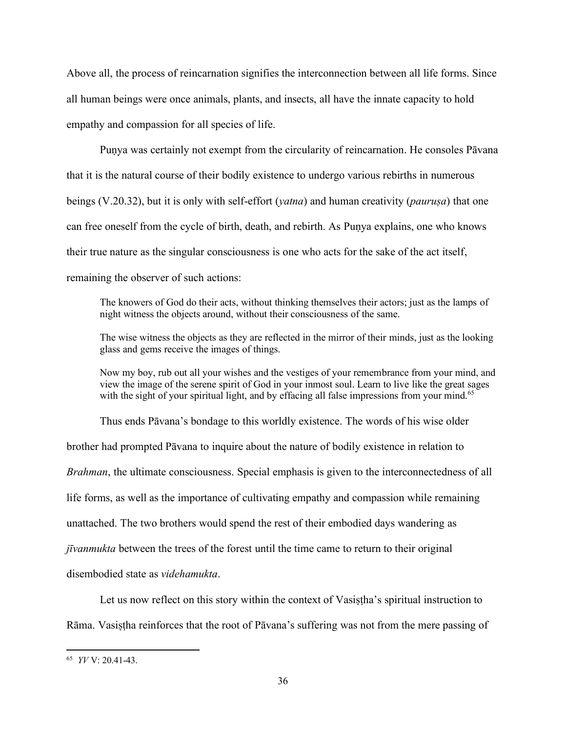Above all, the process of reincarnation signifies the interconnection between all life forms. Since all human beings were once animals, plants, and insects, all have the innate capacity to hold empathy and compassion for all species of life.

Puṇya was certainly not exempt from the circularity of reincarnation. He consoles Pāvana that it is the natural course of their bodily existence to undergo various rebirths in numerous beings (V.20.32), but it is only with self-effort (*yatna*) and human creativity (*pauruṣa*) that one can free oneself from the cycle of birth, death, and rebirth. As Puṇya explains, one who knows their true nature as the singular consciousness is one who acts for the sake of the act itself, remaining the observer of such actions:

The knowers of God do their acts, without thinking themselves their actors; just as the lamps of night witness the objects around, without their consciousness of the same.

The wise witness the objects as they are reflected in the mirror of their minds, just as the looking glass and gems receive the images of things.

Now my boy, rub out all your wishes and the vestiges of your remembrance from your mind, and view the image of the serene spirit of God in your inmost soul. Learn to live like the great sages with the sight of your spiritual light, and by effacing all false impressions from your mind.<sup>65</sup>

Thus ends Pāvana's bondage to this worldly existence. The words of his wise older brother had prompted Pāvana to inquire about the nature of bodily existence in relation to *Brahman*, the ultimate consciousness. Special emphasis is given to the interconnectedness of all life forms, as well as the importance of cultivating empathy and compassion while remaining unattached. The two brothers would spend the rest of their embodied days wandering as *jīvanmukta* between the trees of the forest until the time came to return to their original disembodied state as *videhamukta*.

Let us now reflect on this story within the context of Vasistha's spiritual instruction to Rāma. Vasiṣṭha reinforces that the root of Pāvana's suffering was not from the mere passing of

<sup>65</sup> *YV* V: 20.41-43.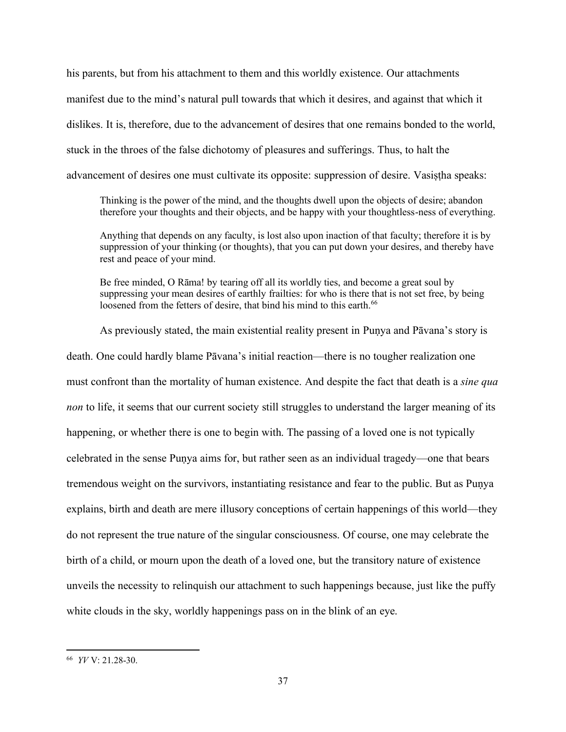his parents, but from his attachment to them and this worldly existence. Our attachments manifest due to the mind's natural pull towards that which it desires, and against that which it dislikes. It is, therefore, due to the advancement of desires that one remains bonded to the world, stuck in the throes of the false dichotomy of pleasures and sufferings. Thus, to halt the advancement of desires one must cultivate its opposite: suppression of desire. Vasistha speaks:

Thinking is the power of the mind, and the thoughts dwell upon the objects of desire; abandon therefore your thoughts and their objects, and be happy with your thoughtless-ness of everything.

Anything that depends on any faculty, is lost also upon inaction of that faculty; therefore it is by suppression of your thinking (or thoughts), that you can put down your desires, and thereby have rest and peace of your mind.

Be free minded, O Rāma! by tearing off all its worldly ties, and become a great soul by suppressing your mean desires of earthly frailties: for who is there that is not set free, by being loosened from the fetters of desire, that bind his mind to this earth.<sup>66</sup>

As previously stated, the main existential reality present in Puṇya and Pāvana's story is death. One could hardly blame Pāvana's initial reaction—there is no tougher realization one must confront than the mortality of human existence. And despite the fact that death is a *sine qua non* to life, it seems that our current society still struggles to understand the larger meaning of its happening, or whether there is one to begin with. The passing of a loved one is not typically celebrated in the sense Puṇya aims for, but rather seen as an individual tragedy—one that bears tremendous weight on the survivors, instantiating resistance and fear to the public. But as Puṇya explains, birth and death are mere illusory conceptions of certain happenings of this world—they do not represent the true nature of the singular consciousness. Of course, one may celebrate the birth of a child, or mourn upon the death of a loved one, but the transitory nature of existence unveils the necessity to relinquish our attachment to such happenings because, just like the puffy white clouds in the sky, worldly happenings pass on in the blink of an eye.

<sup>66</sup> *YV* V: 21.28-30.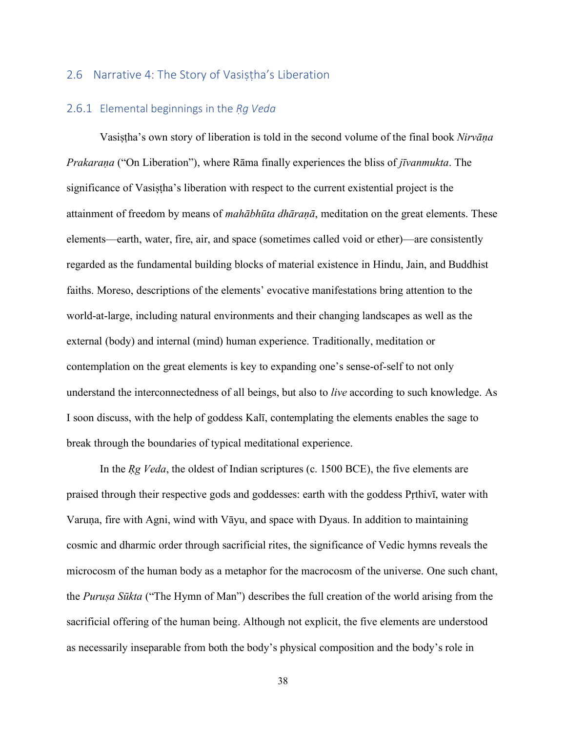#### 2.6 Narrative 4: The Story of Vasiṣṭha's Liberation

## 2.6.1 Elemental beginnings in the *Ṛg Veda*

Vasiṣṭha's own story of liberation is told in the second volume of the final book *Nirvāṇa Prakaraṇa* ("On Liberation"), where Rāma finally experiences the bliss of *jīvanmukta*. The significance of Vasiṣṭha's liberation with respect to the current existential project is the attainment of freedom by means of *mahābhūta dhāraṇā*, meditation on the great elements. These elements—earth, water, fire, air, and space (sometimes called void or ether)—are consistently regarded as the fundamental building blocks of material existence in Hindu, Jain, and Buddhist faiths. Moreso, descriptions of the elements' evocative manifestations bring attention to the world-at-large, including natural environments and their changing landscapes as well as the external (body) and internal (mind) human experience. Traditionally, meditation or contemplation on the great elements is key to expanding one's sense-of-self to not only understand the interconnectedness of all beings, but also to *live* according to such knowledge. As I soon discuss, with the help of goddess Kalī, contemplating the elements enables the sage to break through the boundaries of typical meditational experience.

In the *Rg Veda*, the oldest of Indian scriptures (c. 1500 BCE), the five elements are praised through their respective gods and goddesses: earth with the goddess Pṛthivī, water with Varuṇa, fire with Agni, wind with Vāyu, and space with Dyaus. In addition to maintaining cosmic and dharmic order through sacrificial rites, the significance of Vedic hymns reveals the microcosm of the human body as a metaphor for the macrocosm of the universe. One such chant, the *Puruṣa Sūkta* ("The Hymn of Man") describes the full creation of the world arising from the sacrificial offering of the human being. Although not explicit, the five elements are understood as necessarily inseparable from both the body's physical composition and the body's role in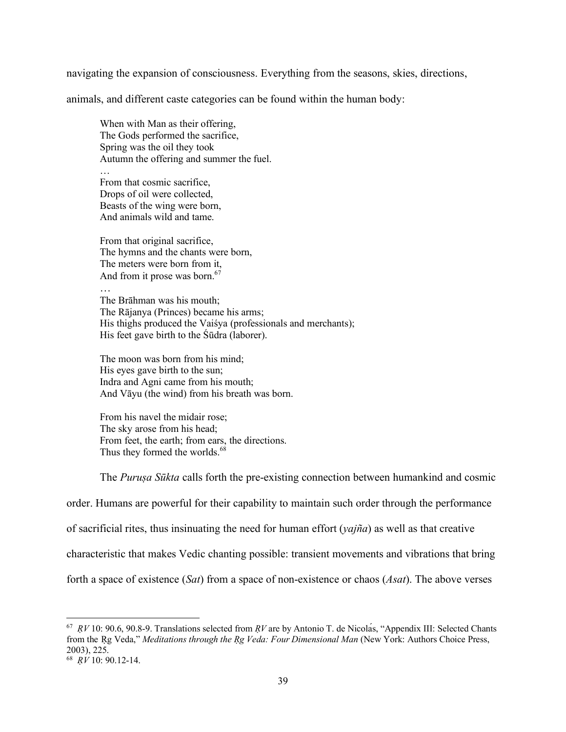navigating the expansion of consciousness. Everything from the seasons, skies, directions,

animals, and different caste categories can be found within the human body:

When with Man as their offering, The Gods performed the sacrifice, Spring was the oil they took Autumn the offering and summer the fuel.

… From that cosmic sacrifice, Drops of oil were collected, Beasts of the wing were born, And animals wild and tame.

From that original sacrifice, The hymns and the chants were born, The meters were born from it, And from it prose was born. $67$ 

… The Brāhman was his mouth; The Rājanya (Princes) became his arms; His thighs produced the Vaiśya (professionals and merchants); His feet gave birth to the Śūdra (laborer).

The moon was born from his mind; His eyes gave birth to the sun; Indra and Agni came from his mouth; And Vāyu (the wind) from his breath was born.

From his navel the midair rose; The sky arose from his head; From feet, the earth; from ears, the directions. Thus they formed the worlds.<sup>68</sup>

The *Puruṣa Sūkta* calls forth the pre-existing connection between humankind and cosmic

order. Humans are powerful for their capability to maintain such order through the performance

of sacrificial rites, thus insinuating the need for human effort (*yajña*) as well as that creative

characteristic that makes Vedic chanting possible: transient movements and vibrations that bring

forth a space of existence (*Sat*) from a space of non-existence or chaos (*Asat*). The above verses

<sup>67</sup> *ṚV* 10: 90.6, 90.8-9. Translations selected from *ṚV* are by Antonio T. de Nicolás, "Appendix III: Selected Chants from the Ṛg Veda," *Meditations through the Ṛg Veda: Four Dimensional Man* (New York: Authors Choice Press, 2003), 225.

<sup>68</sup> *ṚV* 10: 90.12-14.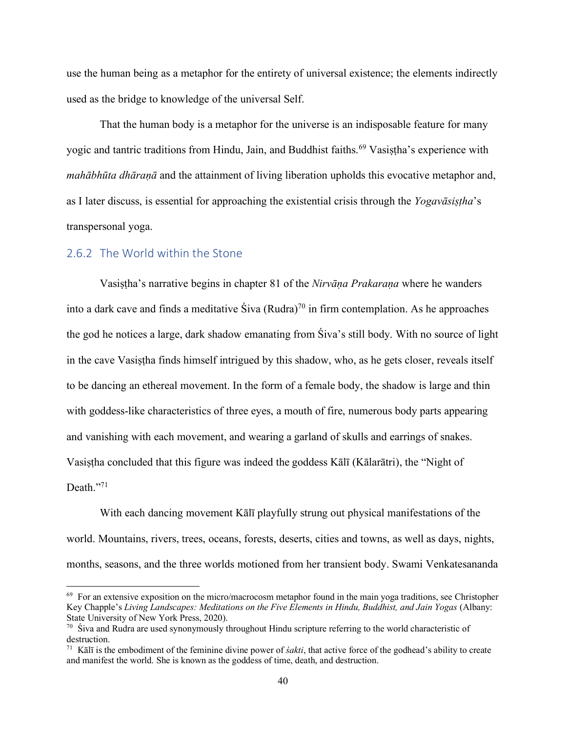use the human being as a metaphor for the entirety of universal existence; the elements indirectly used as the bridge to knowledge of the universal Self.

That the human body is a metaphor for the universe is an indisposable feature for many yogic and tantric traditions from Hindu, Jain, and Buddhist faiths.<sup>69</sup> Vasistha's experience with *mahābhūta dhāraṇā* and the attainment of living liberation upholds this evocative metaphor and, as I later discuss, is essential for approaching the existential crisis through the *Yogavāsiṣṭha*'s transpersonal yoga.

## 2.6.2 The World within the Stone

Vasiṣṭha's narrative begins in chapter 81 of the *Nirvāṇa Prakaraṇa* where he wanders into a dark cave and finds a meditative  $\text{S}$ iva (Rudra)<sup>70</sup> in firm contemplation. As he approaches the god he notices a large, dark shadow emanating from Śiva's still body. With no source of light in the cave Vasiṣṭha finds himself intrigued by this shadow, who, as he gets closer, reveals itself to be dancing an ethereal movement. In the form of a female body, the shadow is large and thin with goddess-like characteristics of three eyes, a mouth of fire, numerous body parts appearing and vanishing with each movement, and wearing a garland of skulls and earrings of snakes. Vasiṣṭha concluded that this figure was indeed the goddess Kālī (Kālarātri), the "Night of Death."71

With each dancing movement Kālī playfully strung out physical manifestations of the world. Mountains, rivers, trees, oceans, forests, deserts, cities and towns, as well as days, nights, months, seasons, and the three worlds motioned from her transient body. Swami Venkatesananda

 $69$  For an extensive exposition on the micro/macrocosm metaphor found in the main yoga traditions, see Christopher Key Chapple's *Living Landscapes: Meditations on the Five Elements in Hindu, Buddhist, and Jain Yogas* (Albany: State University of New York Press, 2020).

 $70\,$  Śiva and Rudra are used synonymously throughout Hindu scripture referring to the world characteristic of destruction.

<sup>71</sup> Kālī is the embodiment of the feminine divine power of *śakti*, that active force of the godhead's ability to create and manifest the world. She is known as the goddess of time, death, and destruction.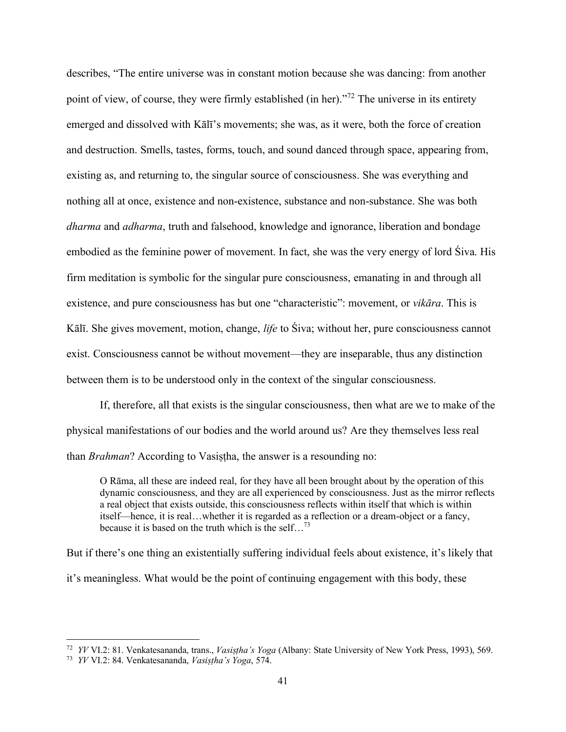describes, "The entire universe was in constant motion because she was dancing: from another point of view, of course, they were firmly established (in her)."<sup>72</sup> The universe in its entirety emerged and dissolved with Kālī's movements; she was, as it were, both the force of creation and destruction. Smells, tastes, forms, touch, and sound danced through space, appearing from, existing as, and returning to, the singular source of consciousness. She was everything and nothing all at once, existence and non-existence, substance and non-substance. She was both *dharma* and *adharma*, truth and falsehood, knowledge and ignorance, liberation and bondage embodied as the feminine power of movement. In fact, she was the very energy of lord Śiva. His firm meditation is symbolic for the singular pure consciousness, emanating in and through all existence, and pure consciousness has but one "characteristic": movement, or *vikāra*. This is Kālī. She gives movement, motion, change, *life* to Śiva; without her, pure consciousness cannot exist. Consciousness cannot be without movement—they are inseparable, thus any distinction between them is to be understood only in the context of the singular consciousness.

If, therefore, all that exists is the singular consciousness, then what are we to make of the physical manifestations of our bodies and the world around us? Are they themselves less real than *Brahman*? According to Vasiṣṭha, the answer is a resounding no:

O Rāma, all these are indeed real, for they have all been brought about by the operation of this dynamic consciousness, and they are all experienced by consciousness. Just as the mirror reflects a real object that exists outside, this consciousness reflects within itself that which is within itself—hence, it is real…whether it is regarded as a reflection or a dream-object or a fancy, because it is based on the truth which is the self...<sup>73</sup>

But if there's one thing an existentially suffering individual feels about existence, it's likely that it's meaningless. What would be the point of continuing engagement with this body, these

<sup>72</sup> *YV* VI.2: 81. Venkatesananda, trans., *Vasiṣṭha's Yoga* (Albany: State University of New York Press, 1993), 569.

<sup>73</sup> *YV* VI.2: 84. Venkatesananda, *Vasiṣṭha's Yoga*, 574.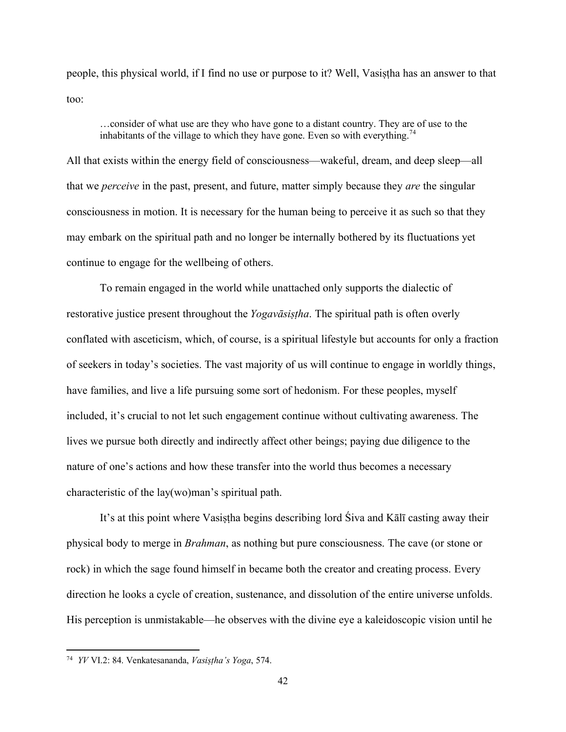people, this physical world, if I find no use or purpose to it? Well, Vasiṣṭha has an answer to that too:

…consider of what use are they who have gone to a distant country. They are of use to the inhabitants of the village to which they have gone. Even so with everything.<sup>74</sup>

All that exists within the energy field of consciousness—wakeful, dream, and deep sleep—all that we *perceive* in the past, present, and future, matter simply because they *are* the singular consciousness in motion. It is necessary for the human being to perceive it as such so that they may embark on the spiritual path and no longer be internally bothered by its fluctuations yet continue to engage for the wellbeing of others.

To remain engaged in the world while unattached only supports the dialectic of restorative justice present throughout the *Yogavāsiṣṭha*. The spiritual path is often overly conflated with asceticism, which, of course, is a spiritual lifestyle but accounts for only a fraction of seekers in today's societies. The vast majority of us will continue to engage in worldly things, have families, and live a life pursuing some sort of hedonism. For these peoples, myself included, it's crucial to not let such engagement continue without cultivating awareness. The lives we pursue both directly and indirectly affect other beings; paying due diligence to the nature of one's actions and how these transfer into the world thus becomes a necessary characteristic of the lay(wo)man's spiritual path.

It's at this point where Vasistha begins describing lord Śiva and Kālī casting away their physical body to merge in *Brahman*, as nothing but pure consciousness. The cave (or stone or rock) in which the sage found himself in became both the creator and creating process. Every direction he looks a cycle of creation, sustenance, and dissolution of the entire universe unfolds. His perception is unmistakable—he observes with the divine eye a kaleidoscopic vision until he

<sup>74</sup> *YV* VI.2: 84. Venkatesananda, *Vasiṣṭha's Yoga*, 574.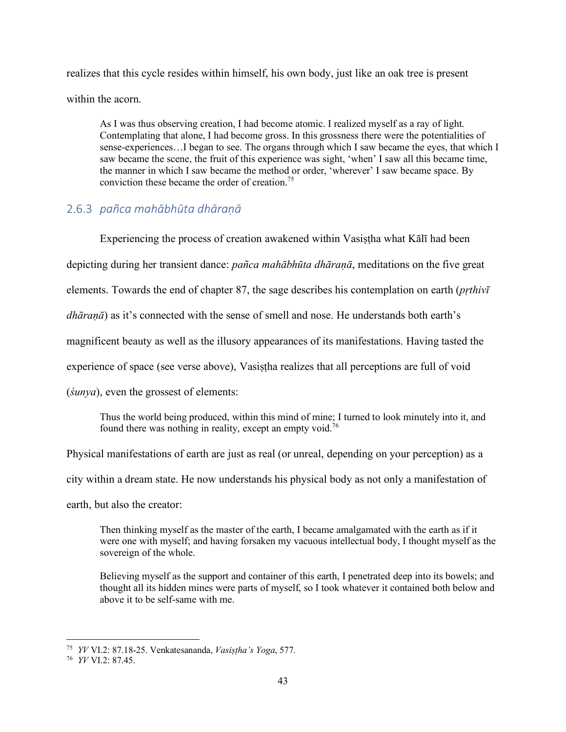realizes that this cycle resides within himself, his own body, just like an oak tree is present within the acorn.

As I was thus observing creation, I had become atomic. I realized myself as a ray of light. Contemplating that alone, I had become gross. In this grossness there were the potentialities of sense-experiences…I began to see. The organs through which I saw became the eyes, that which I saw became the scene, the fruit of this experience was sight, 'when' I saw all this became time, the manner in which I saw became the method or order, 'wherever' I saw became space. By conviction these became the order of creation.<sup>75</sup>

# 2.6.3 *pañca mahābhūta dhāraṇā*

Experiencing the process of creation awakened within Vasiṣṭha what Kālī had been depicting during her transient dance: *pañca mahābhūta dhāraṇā*, meditations on the five great elements. Towards the end of chapter 87, the sage describes his contemplation on earth (*pṛthivī dhāraṇā*) as it's connected with the sense of smell and nose. He understands both earth's magnificent beauty as well as the illusory appearances of its manifestations. Having tasted the experience of space (see verse above), Vasistha realizes that all perceptions are full of void (*śunya*), even the grossest of elements:

Thus the world being produced, within this mind of mine; I turned to look minutely into it, and found there was nothing in reality, except an empty void.<sup>76</sup>

Physical manifestations of earth are just as real (or unreal, depending on your perception) as a

city within a dream state. He now understands his physical body as not only a manifestation of

earth, but also the creator:

Then thinking myself as the master of the earth, I became amalgamated with the earth as if it were one with myself; and having forsaken my vacuous intellectual body, I thought myself as the sovereign of the whole.

Believing myself as the support and container of this earth, I penetrated deep into its bowels; and thought all its hidden mines were parts of myself, so I took whatever it contained both below and above it to be self-same with me.

<sup>75</sup> *YV* VI.2: 87.18-25. Venkatesananda, *Vasiṣṭha's Yoga*, 577.

<sup>76</sup> *YV* VI.2: 87.45.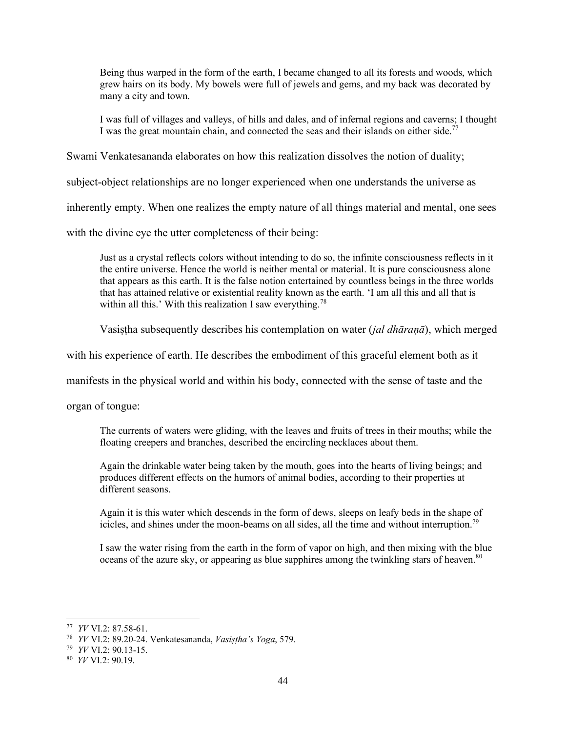Being thus warped in the form of the earth, I became changed to all its forests and woods, which grew hairs on its body. My bowels were full of jewels and gems, and my back was decorated by many a city and town.

I was full of villages and valleys, of hills and dales, and of infernal regions and caverns; I thought I was the great mountain chain, and connected the seas and their islands on either side.<sup>77</sup>

Swami Venkatesananda elaborates on how this realization dissolves the notion of duality;

subject-object relationships are no longer experienced when one understands the universe as

inherently empty. When one realizes the empty nature of all things material and mental, one sees

with the divine eye the utter completeness of their being:

Just as a crystal reflects colors without intending to do so, the infinite consciousness reflects in it the entire universe. Hence the world is neither mental or material. It is pure consciousness alone that appears as this earth. It is the false notion entertained by countless beings in the three worlds that has attained relative or existential reality known as the earth. 'I am all this and all that is within all this.' With this realization I saw everything.<sup>78</sup>

Vasiṣṭha subsequently describes his contemplation on water (*jal dhāraṇā*), which merged

with his experience of earth. He describes the embodiment of this graceful element both as it

manifests in the physical world and within his body, connected with the sense of taste and the

organ of tongue:

The currents of waters were gliding, with the leaves and fruits of trees in their mouths; while the floating creepers and branches, described the encircling necklaces about them.

Again the drinkable water being taken by the mouth, goes into the hearts of living beings; and produces different effects on the humors of animal bodies, according to their properties at different seasons.

Again it is this water which descends in the form of dews, sleeps on leafy beds in the shape of icicles, and shines under the moon-beams on all sides, all the time and without interruption.<sup>79</sup>

I saw the water rising from the earth in the form of vapor on high, and then mixing with the blue oceans of the azure sky, or appearing as blue sapphires among the twinkling stars of heaven.<sup>80</sup>

<sup>77</sup> *YV* VI.2: 87.58-61.

<sup>78</sup> *YV* VI.2: 89.20-24. Venkatesananda, *Vasiṣṭha's Yoga*, 579.

<sup>79</sup> *YV* VI.2: 90.13-15.

<sup>80</sup> *YV* VI.2: 90.19.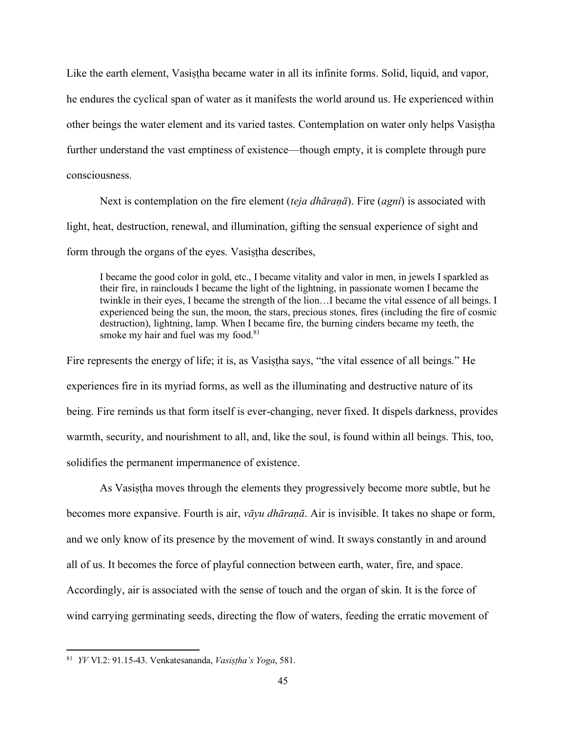Like the earth element, Vasistha became water in all its infinite forms. Solid, liquid, and vapor, he endures the cyclical span of water as it manifests the world around us. He experienced within other beings the water element and its varied tastes. Contemplation on water only helps Vasiṣṭha further understand the vast emptiness of existence—though empty, it is complete through pure consciousness.

Next is contemplation on the fire element (*teja dhāraṇā*). Fire (*agni*) is associated with light, heat, destruction, renewal, and illumination, gifting the sensual experience of sight and form through the organs of the eyes. Vasistha describes,

I became the good color in gold, etc., I became vitality and valor in men, in jewels I sparkled as their fire, in rainclouds I became the light of the lightning, in passionate women I became the twinkle in their eyes, I became the strength of the lion…I became the vital essence of all beings. I experienced being the sun, the moon, the stars, precious stones, fires (including the fire of cosmic destruction), lightning, lamp. When I became fire, the burning cinders became my teeth, the smoke my hair and fuel was my food.<sup>81</sup>

Fire represents the energy of life; it is, as Vasistha says, "the vital essence of all beings." He experiences fire in its myriad forms, as well as the illuminating and destructive nature of its being. Fire reminds us that form itself is ever-changing, never fixed. It dispels darkness, provides warmth, security, and nourishment to all, and, like the soul, is found within all beings. This, too, solidifies the permanent impermanence of existence.

As Vasiṣṭha moves through the elements they progressively become more subtle, but he becomes more expansive. Fourth is air, *vāyu dhāraṇā*. Air is invisible. It takes no shape or form, and we only know of its presence by the movement of wind. It sways constantly in and around all of us. It becomes the force of playful connection between earth, water, fire, and space. Accordingly, air is associated with the sense of touch and the organ of skin. It is the force of wind carrying germinating seeds, directing the flow of waters, feeding the erratic movement of

<sup>81</sup> *YV* VI.2: 91.15-43. Venkatesananda, *Vasiṣṭha's Yoga*, 581.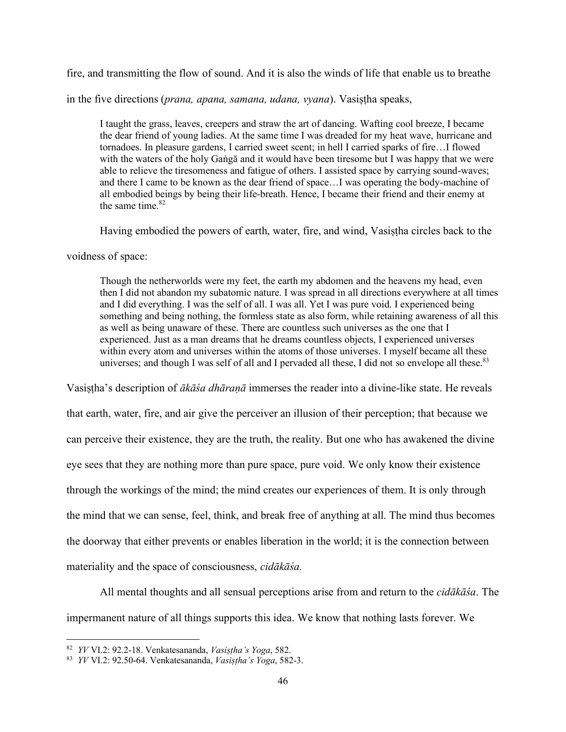fire, and transmitting the flow of sound. And it is also the winds of life that enable us to breathe

in the five directions (*prana, apana, samana, udana, vyana*). Vasistha speaks,

I taught the grass, leaves, creepers and straw the art of dancing. Wafting cool breeze, I became the dear friend of young ladies. At the same time I was dreaded for my heat wave, hurricane and tornadoes. In pleasure gardens, I carried sweet scent; in hell I carried sparks of fire…I flowed with the waters of the holy Gaṅgā and it would have been tiresome but I was happy that we were able to relieve the tiresomeness and fatigue of others. I assisted space by carrying sound-waves; and there I came to be known as the dear friend of space…I was operating the body-machine of all embodied beings by being their life-breath. Hence, I became their friend and their enemy at the same time. $82$ 

Having embodied the powers of earth, water, fire, and wind, Vasistha circles back to the

voidness of space:

Though the netherworlds were my feet, the earth my abdomen and the heavens my head, even then I did not abandon my subatomic nature. I was spread in all directions everywhere at all times and I did everything. I was the self of all. I was all. Yet I was pure void. I experienced being something and being nothing, the formless state as also form, while retaining awareness of all this as well as being unaware of these. There are countless such universes as the one that I experienced. Just as a man dreams that he dreams countless objects, I experienced universes within every atom and universes within the atoms of those universes. I myself became all these universes; and though I was self of all and I pervaded all these, I did not so envelope all these.<sup>83</sup>

Vasiṣṭha's description of *ākāśa dhāraṇā* immerses the reader into a divine-like state. He reveals that earth, water, fire, and air give the perceiver an illusion of their perception; that because we can perceive their existence, they are the truth, the reality. But one who has awakened the divine eye sees that they are nothing more than pure space, pure void. We only know their existence through the workings of the mind; the mind creates our experiences of them. It is only through the mind that we can sense, feel, think, and break free of anything at all. The mind thus becomes the doorway that either prevents or enables liberation in the world; it is the connection between materiality and the space of consciousness, *cidākāśa.*

All mental thoughts and all sensual perceptions arise from and return to the *cidākāśa*. The impermanent nature of all things supports this idea. We know that nothing lasts forever. We

<sup>82</sup> *YV* VI.2: 92.2-18. Venkatesananda, *Vasiṣṭha's Yoga*, 582.

<sup>83</sup> *YV* VI.2: 92.50-64. Venkatesananda, *Vasiṣṭha's Yoga*, 582-3.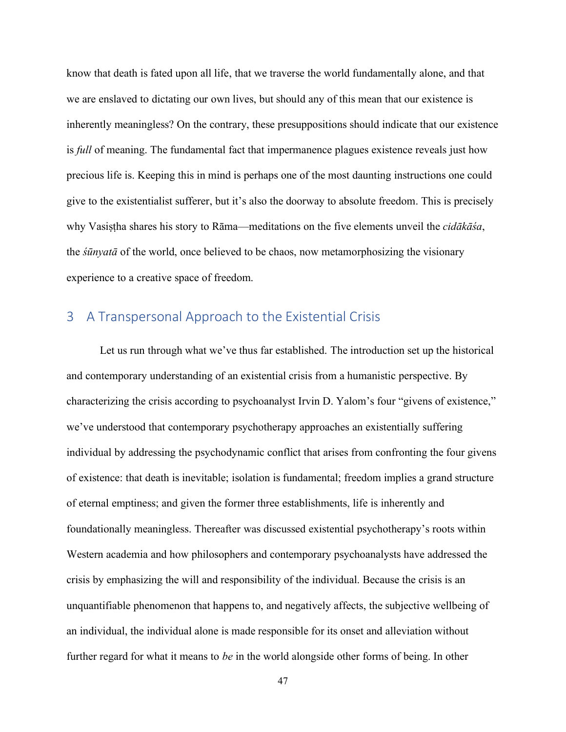know that death is fated upon all life, that we traverse the world fundamentally alone, and that we are enslaved to dictating our own lives, but should any of this mean that our existence is inherently meaningless? On the contrary, these presuppositions should indicate that our existence is *full* of meaning. The fundamental fact that impermanence plagues existence reveals just how precious life is. Keeping this in mind is perhaps one of the most daunting instructions one could give to the existentialist sufferer, but it's also the doorway to absolute freedom. This is precisely why Vasiṣṭha shares his story to Rāma—meditations on the five elements unveil the *cidākāśa*, the *śūnyatā* of the world, once believed to be chaos, now metamorphosizing the visionary experience to a creative space of freedom.

# 3 A Transpersonal Approach to the Existential Crisis

Let us run through what we've thus far established. The introduction set up the historical and contemporary understanding of an existential crisis from a humanistic perspective. By characterizing the crisis according to psychoanalyst Irvin D. Yalom's four "givens of existence," we've understood that contemporary psychotherapy approaches an existentially suffering individual by addressing the psychodynamic conflict that arises from confronting the four givens of existence: that death is inevitable; isolation is fundamental; freedom implies a grand structure of eternal emptiness; and given the former three establishments, life is inherently and foundationally meaningless. Thereafter was discussed existential psychotherapy's roots within Western academia and how philosophers and contemporary psychoanalysts have addressed the crisis by emphasizing the will and responsibility of the individual. Because the crisis is an unquantifiable phenomenon that happens to, and negatively affects, the subjective wellbeing of an individual, the individual alone is made responsible for its onset and alleviation without further regard for what it means to *be* in the world alongside other forms of being. In other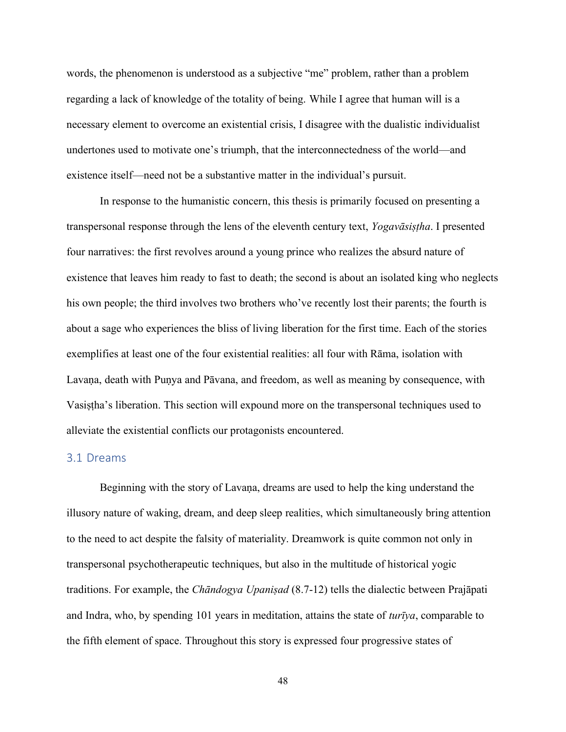words, the phenomenon is understood as a subjective "me" problem, rather than a problem regarding a lack of knowledge of the totality of being. While I agree that human will is a necessary element to overcome an existential crisis, I disagree with the dualistic individualist undertones used to motivate one's triumph, that the interconnectedness of the world—and existence itself—need not be a substantive matter in the individual's pursuit.

In response to the humanistic concern, this thesis is primarily focused on presenting a transpersonal response through the lens of the eleventh century text, *Yogavāsiṣṭha*. I presented four narratives: the first revolves around a young prince who realizes the absurd nature of existence that leaves him ready to fast to death; the second is about an isolated king who neglects his own people; the third involves two brothers who've recently lost their parents; the fourth is about a sage who experiences the bliss of living liberation for the first time. Each of the stories exemplifies at least one of the four existential realities: all four with Rāma, isolation with Lavana, death with Punya and Pāvana, and freedom, as well as meaning by consequence, with Vasiṣṭha's liberation. This section will expound more on the transpersonal techniques used to alleviate the existential conflicts our protagonists encountered.

#### 3.1 Dreams

Beginning with the story of Lavaṇa, dreams are used to help the king understand the illusory nature of waking, dream, and deep sleep realities, which simultaneously bring attention to the need to act despite the falsity of materiality. Dreamwork is quite common not only in transpersonal psychotherapeutic techniques, but also in the multitude of historical yogic traditions. For example, the *Chāndogya Upaniṣad* (8.7-12) tells the dialectic between Prajāpati and Indra, who, by spending 101 years in meditation, attains the state of *turīya*, comparable to the fifth element of space. Throughout this story is expressed four progressive states of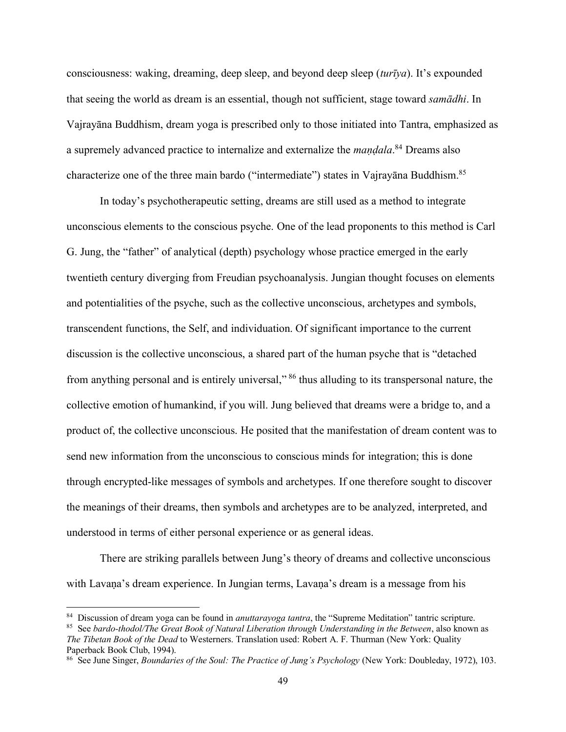consciousness: waking, dreaming, deep sleep, and beyond deep sleep (*turīya*). It's expounded that seeing the world as dream is an essential, though not sufficient, stage toward *samādhi*. In Vajrayāna Buddhism, dream yoga is prescribed only to those initiated into Tantra, emphasized as a supremely advanced practice to internalize and externalize the *maṇḍala*. <sup>84</sup> Dreams also characterize one of the three main bardo ("intermediate") states in Vajrayāna Buddhism.<sup>85</sup>

In today's psychotherapeutic setting, dreams are still used as a method to integrate unconscious elements to the conscious psyche. One of the lead proponents to this method is Carl G. Jung, the "father" of analytical (depth) psychology whose practice emerged in the early twentieth century diverging from Freudian psychoanalysis. Jungian thought focuses on elements and potentialities of the psyche, such as the collective unconscious, archetypes and symbols, transcendent functions, the Self, and individuation. Of significant importance to the current discussion is the collective unconscious, a shared part of the human psyche that is "detached from anything personal and is entirely universal," <sup>86</sup> thus alluding to its transpersonal nature, the collective emotion of humankind, if you will. Jung believed that dreams were a bridge to, and a product of, the collective unconscious. He posited that the manifestation of dream content was to send new information from the unconscious to conscious minds for integration; this is done through encrypted-like messages of symbols and archetypes. If one therefore sought to discover the meanings of their dreams, then symbols and archetypes are to be analyzed, interpreted, and understood in terms of either personal experience or as general ideas.

There are striking parallels between Jung's theory of dreams and collective unconscious with Lavaṇa's dream experience. In Jungian terms, Lavaṇa's dream is a message from his

<sup>84</sup> Discussion of dream yoga can be found in *anuttarayoga tantra*, the "Supreme Meditation" tantric scripture.

<sup>85</sup> See *bardo-thodol/The Great Book of Natural Liberation through Understanding in the Between*, also known as *The Tibetan Book of the Dead* to Westerners. Translation used: Robert A. F. Thurman (New York: Quality Paperback Book Club, 1994).

<sup>86</sup> See June Singer, *Boundaries of the Soul: The Practice of Jung's Psychology* (New York: Doubleday, 1972), 103.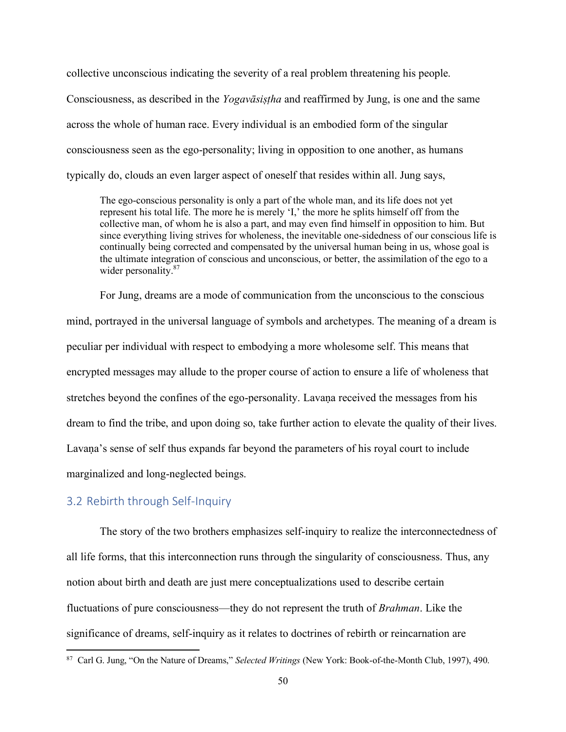collective unconscious indicating the severity of a real problem threatening his people.

Consciousness, as described in the *Yogavāsiṣṭha* and reaffirmed by Jung, is one and the same across the whole of human race. Every individual is an embodied form of the singular consciousness seen as the ego-personality; living in opposition to one another, as humans typically do, clouds an even larger aspect of oneself that resides within all. Jung says,

The ego-conscious personality is only a part of the whole man, and its life does not yet represent his total life. The more he is merely 'I,' the more he splits himself off from the collective man, of whom he is also a part, and may even find himself in opposition to him. But since everything living strives for wholeness, the inevitable one-sidedness of our conscious life is continually being corrected and compensated by the universal human being in us, whose goal is the ultimate integration of conscious and unconscious, or better, the assimilation of the ego to a wider personality.<sup>87</sup>

For Jung, dreams are a mode of communication from the unconscious to the conscious mind, portrayed in the universal language of symbols and archetypes. The meaning of a dream is peculiar per individual with respect to embodying a more wholesome self. This means that encrypted messages may allude to the proper course of action to ensure a life of wholeness that stretches beyond the confines of the ego-personality. Lavaṇa received the messages from his dream to find the tribe, and upon doing so, take further action to elevate the quality of their lives. Lavana's sense of self thus expands far beyond the parameters of his royal court to include marginalized and long-neglected beings.

#### 3.2 Rebirth through Self-Inquiry

The story of the two brothers emphasizes self-inquiry to realize the interconnectedness of all life forms, that this interconnection runs through the singularity of consciousness. Thus, any notion about birth and death are just mere conceptualizations used to describe certain fluctuations of pure consciousness—they do not represent the truth of *Brahman*. Like the significance of dreams, self-inquiry as it relates to doctrines of rebirth or reincarnation are

<sup>87</sup> Carl G. Jung, "On the Nature of Dreams," *Selected Writings* (New York: Book-of-the-Month Club, 1997), 490.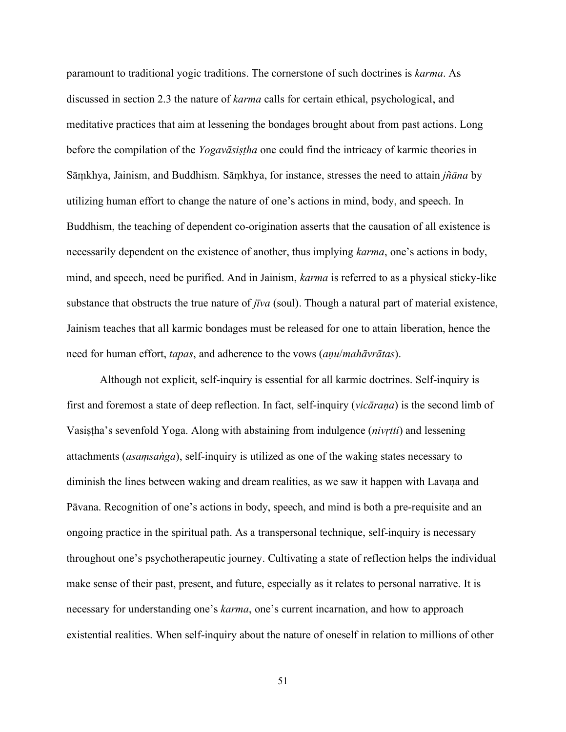paramount to traditional yogic traditions. The cornerstone of such doctrines is *karma*. As discussed in section 2.3 the nature of *karma* calls for certain ethical, psychological, and meditative practices that aim at lessening the bondages brought about from past actions. Long before the compilation of the *Yogavāsiṣṭha* one could find the intricacy of karmic theories in Sāṃkhya, Jainism, and Buddhism. Sāṃkhya, for instance, stresses the need to attain *jñāna* by utilizing human effort to change the nature of one's actions in mind, body, and speech. In Buddhism, the teaching of dependent co-origination asserts that the causation of all existence is necessarily dependent on the existence of another, thus implying *karma*, one's actions in body, mind, and speech, need be purified. And in Jainism, *karma* is referred to as a physical sticky-like substance that obstructs the true nature of *jīva* (soul). Though a natural part of material existence, Jainism teaches that all karmic bondages must be released for one to attain liberation, hence the need for human effort, *tapas*, and adherence to the vows (*aṇu*/*mahāvrātas*).

Although not explicit, self-inquiry is essential for all karmic doctrines. Self-inquiry is first and foremost a state of deep reflection. In fact, self-inquiry (*vicāraṇa*) is the second limb of Vasiṣṭha's sevenfold Yoga. Along with abstaining from indulgence (*nivṛtti*) and lessening attachments (*asaṃsaṅga*), self-inquiry is utilized as one of the waking states necessary to diminish the lines between waking and dream realities, as we saw it happen with Lavaṇa and Pāvana. Recognition of one's actions in body, speech, and mind is both a pre-requisite and an ongoing practice in the spiritual path. As a transpersonal technique, self-inquiry is necessary throughout one's psychotherapeutic journey. Cultivating a state of reflection helps the individual make sense of their past, present, and future, especially as it relates to personal narrative. It is necessary for understanding one's *karma*, one's current incarnation, and how to approach existential realities. When self-inquiry about the nature of oneself in relation to millions of other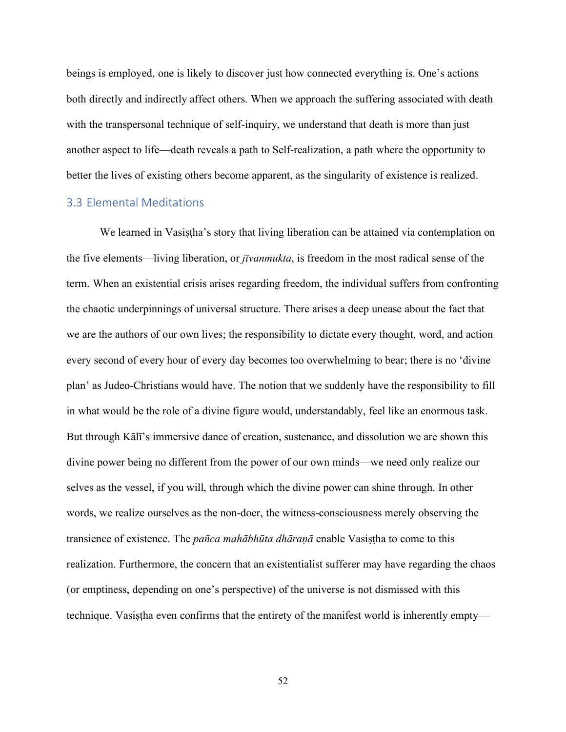beings is employed, one is likely to discover just how connected everything is. One's actions both directly and indirectly affect others. When we approach the suffering associated with death with the transpersonal technique of self-inquiry, we understand that death is more than just another aspect to life—death reveals a path to Self-realization, a path where the opportunity to better the lives of existing others become apparent, as the singularity of existence is realized.

## 3.3 Elemental Meditations

We learned in Vasistha's story that living liberation can be attained via contemplation on the five elements—living liberation, or *jīvanmukta*, is freedom in the most radical sense of the term. When an existential crisis arises regarding freedom, the individual suffers from confronting the chaotic underpinnings of universal structure. There arises a deep unease about the fact that we are the authors of our own lives; the responsibility to dictate every thought, word, and action every second of every hour of every day becomes too overwhelming to bear; there is no 'divine plan' as Judeo-Christians would have. The notion that we suddenly have the responsibility to fill in what would be the role of a divine figure would, understandably, feel like an enormous task. But through Kālī's immersive dance of creation, sustenance, and dissolution we are shown this divine power being no different from the power of our own minds—we need only realize our selves as the vessel, if you will, through which the divine power can shine through. In other words, we realize ourselves as the non-doer, the witness-consciousness merely observing the transience of existence. The *pañca mahābhūta dhāraṇā* enable Vasiṣṭha to come to this realization. Furthermore, the concern that an existentialist sufferer may have regarding the chaos (or emptiness, depending on one's perspective) of the universe is not dismissed with this technique. Vasistha even confirms that the entirety of the manifest world is inherently empty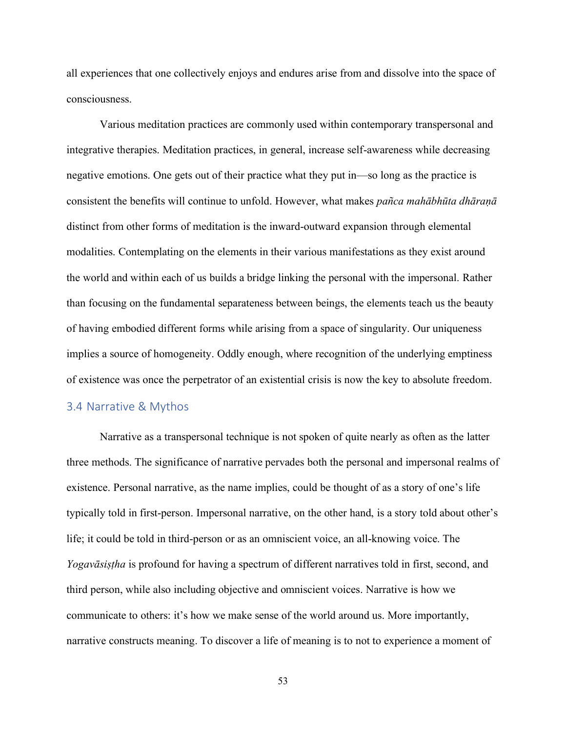all experiences that one collectively enjoys and endures arise from and dissolve into the space of consciousness.

Various meditation practices are commonly used within contemporary transpersonal and integrative therapies. Meditation practices, in general, increase self-awareness while decreasing negative emotions. One gets out of their practice what they put in—so long as the practice is consistent the benefits will continue to unfold. However, what makes *pañca mahābhūta dhāraṇā* distinct from other forms of meditation is the inward-outward expansion through elemental modalities. Contemplating on the elements in their various manifestations as they exist around the world and within each of us builds a bridge linking the personal with the impersonal. Rather than focusing on the fundamental separateness between beings, the elements teach us the beauty of having embodied different forms while arising from a space of singularity. Our uniqueness implies a source of homogeneity. Oddly enough, where recognition of the underlying emptiness of existence was once the perpetrator of an existential crisis is now the key to absolute freedom.

#### 3.4 Narrative & Mythos

Narrative as a transpersonal technique is not spoken of quite nearly as often as the latter three methods. The significance of narrative pervades both the personal and impersonal realms of existence. Personal narrative, as the name implies, could be thought of as a story of one's life typically told in first-person. Impersonal narrative, on the other hand, is a story told about other's life; it could be told in third-person or as an omniscient voice, an all-knowing voice. The *Yogavāsiṣṭha* is profound for having a spectrum of different narratives told in first, second, and third person, while also including objective and omniscient voices. Narrative is how we communicate to others: it's how we make sense of the world around us. More importantly, narrative constructs meaning. To discover a life of meaning is to not to experience a moment of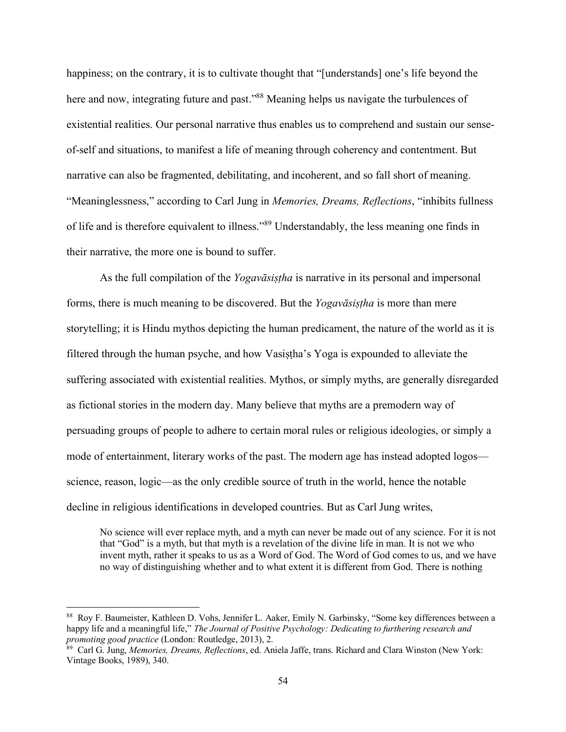happiness; on the contrary, it is to cultivate thought that "[understands] one's life beyond the here and now, integrating future and past.<sup>88</sup> Meaning helps us navigate the turbulences of existential realities. Our personal narrative thus enables us to comprehend and sustain our senseof-self and situations, to manifest a life of meaning through coherency and contentment. But narrative can also be fragmented, debilitating, and incoherent, and so fall short of meaning. "Meaninglessness," according to Carl Jung in *Memories, Dreams, Reflections*, "inhibits fullness of life and is therefore equivalent to illness."<sup>89</sup> Understandably, the less meaning one finds in their narrative, the more one is bound to suffer.

As the full compilation of the *Yogavāsiṣṭha* is narrative in its personal and impersonal forms, there is much meaning to be discovered. But the *Yogavāsiṣṭha* is more than mere storytelling; it is Hindu mythos depicting the human predicament, the nature of the world as it is filtered through the human psyche, and how Vasiṣṭha's Yoga is expounded to alleviate the suffering associated with existential realities. Mythos, or simply myths, are generally disregarded as fictional stories in the modern day. Many believe that myths are a premodern way of persuading groups of people to adhere to certain moral rules or religious ideologies, or simply a mode of entertainment, literary works of the past. The modern age has instead adopted logos science, reason, logic—as the only credible source of truth in the world, hence the notable decline in religious identifications in developed countries. But as Carl Jung writes,

No science will ever replace myth, and a myth can never be made out of any science. For it is not that "God" is a myth, but that myth is a revelation of the divine life in man. It is not we who invent myth, rather it speaks to us as a Word of God. The Word of God comes to us, and we have no way of distinguishing whether and to what extent it is different from God. There is nothing

<sup>88</sup> Roy F. Baumeister, Kathleen D. Vohs, Jennifer L. Aaker, Emily N. Garbinsky, "Some key differences between a happy life and a meaningful life," *The Journal of Positive Psychology: Dedicating to furthering research and promoting good practice* (London: Routledge, 2013), 2.

<sup>89</sup> Carl G. Jung, *Memories, Dreams, Reflections*, ed. Aniela Jaffe, trans. Richard and Clara Winston (New York: Vintage Books, 1989), 340.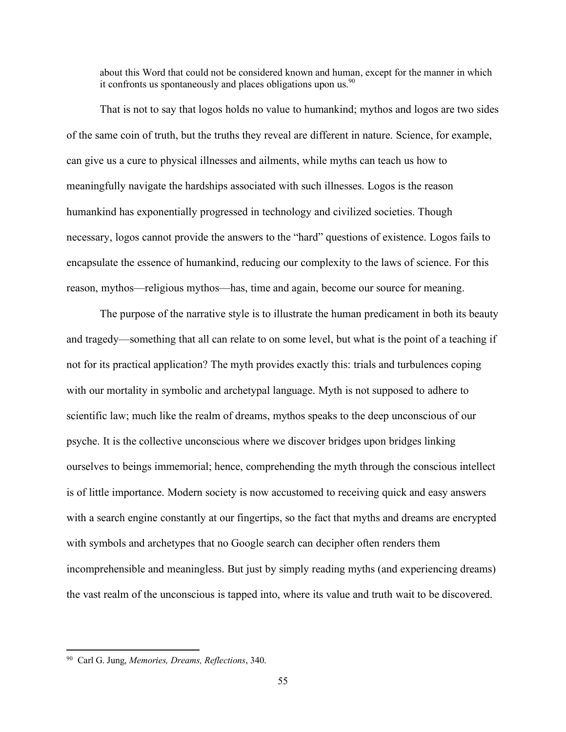about this Word that could not be considered known and human, except for the manner in which it confronts us spontaneously and places obligations upon us. $90$ 

That is not to say that logos holds no value to humankind; mythos and logos are two sides of the same coin of truth, but the truths they reveal are different in nature. Science, for example, can give us a cure to physical illnesses and ailments, while myths can teach us how to meaningfully navigate the hardships associated with such illnesses. Logos is the reason humankind has exponentially progressed in technology and civilized societies. Though necessary, logos cannot provide the answers to the "hard" questions of existence. Logos fails to encapsulate the essence of humankind, reducing our complexity to the laws of science. For this reason, mythos—religious mythos—has, time and again, become our source for meaning.

The purpose of the narrative style is to illustrate the human predicament in both its beauty and tragedy—something that all can relate to on some level, but what is the point of a teaching if not for its practical application? The myth provides exactly this: trials and turbulences coping with our mortality in symbolic and archetypal language. Myth is not supposed to adhere to scientific law; much like the realm of dreams, mythos speaks to the deep unconscious of our psyche. It is the collective unconscious where we discover bridges upon bridges linking ourselves to beings immemorial; hence, comprehending the myth through the conscious intellect is of little importance. Modern society is now accustomed to receiving quick and easy answers with a search engine constantly at our fingertips, so the fact that myths and dreams are encrypted with symbols and archetypes that no Google search can decipher often renders them incomprehensible and meaningless. But just by simply reading myths (and experiencing dreams) the vast realm of the unconscious is tapped into, where its value and truth wait to be discovered.

<sup>90</sup> Carl G. Jung, *Memories, Dreams, Reflections*, 340.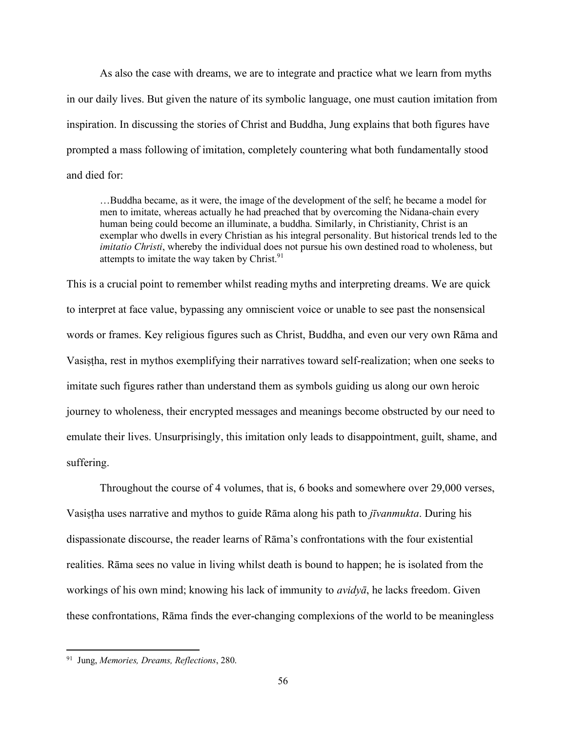As also the case with dreams, we are to integrate and practice what we learn from myths in our daily lives. But given the nature of its symbolic language, one must caution imitation from inspiration. In discussing the stories of Christ and Buddha, Jung explains that both figures have prompted a mass following of imitation, completely countering what both fundamentally stood and died for:

…Buddha became, as it were, the image of the development of the self; he became a model for men to imitate, whereas actually he had preached that by overcoming the Nidana-chain every human being could become an illuminate, a buddha. Similarly, in Christianity, Christ is an exemplar who dwells in every Christian as his integral personality. But historical trends led to the *imitatio Christi*, whereby the individual does not pursue his own destined road to wholeness, but attempts to imitate the way taken by Christ. $91$ 

This is a crucial point to remember whilst reading myths and interpreting dreams. We are quick to interpret at face value, bypassing any omniscient voice or unable to see past the nonsensical words or frames. Key religious figures such as Christ, Buddha, and even our very own Rāma and Vasiṣṭha, rest in mythos exemplifying their narratives toward self-realization; when one seeks to imitate such figures rather than understand them as symbols guiding us along our own heroic journey to wholeness, their encrypted messages and meanings become obstructed by our need to emulate their lives. Unsurprisingly, this imitation only leads to disappointment, guilt, shame, and suffering.

Throughout the course of 4 volumes, that is, 6 books and somewhere over 29,000 verses, Vasiṣṭha uses narrative and mythos to guide Rāma along his path to *jīvanmukta*. During his dispassionate discourse, the reader learns of Rāma's confrontations with the four existential realities. Rāma sees no value in living whilst death is bound to happen; he is isolated from the workings of his own mind; knowing his lack of immunity to *avidyā*, he lacks freedom. Given these confrontations, Rāma finds the ever-changing complexions of the world to be meaningless

<sup>91</sup> Jung, *Memories, Dreams, Reflections*, 280.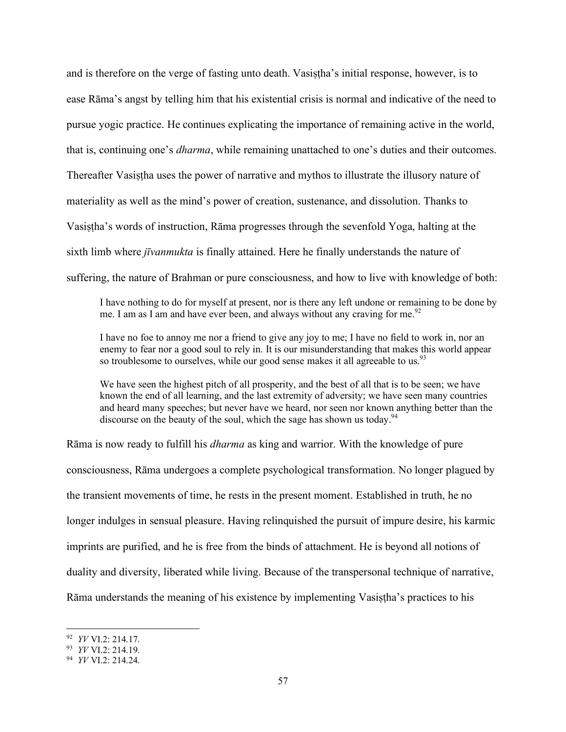and is therefore on the verge of fasting unto death. Vasiṣṭha's initial response, however, is to ease Rāma's angst by telling him that his existential crisis is normal and indicative of the need to pursue yogic practice. He continues explicating the importance of remaining active in the world, that is, continuing one's *dharma*, while remaining unattached to one's duties and their outcomes. Thereafter Vasiṣṭha uses the power of narrative and mythos to illustrate the illusory nature of materiality as well as the mind's power of creation, sustenance, and dissolution. Thanks to Vasistha's words of instruction, Rāma progresses through the sevenfold Yoga, halting at the sixth limb where *jīvanmukta* is finally attained. Here he finally understands the nature of suffering, the nature of Brahman or pure consciousness, and how to live with knowledge of both:

I have nothing to do for myself at present, nor is there any left undone or remaining to be done by me. I am as I am and have ever been, and always without any craving for me.<sup>92</sup>

I have no foe to annoy me nor a friend to give any joy to me; I have no field to work in, nor an enemy to fear nor a good soul to rely in. It is our misunderstanding that makes this world appear so troublesome to ourselves, while our good sense makes it all agreeable to us.<sup>93</sup>

We have seen the highest pitch of all prosperity, and the best of all that is to be seen; we have known the end of all learning, and the last extremity of adversity; we have seen many countries and heard many speeches; but never have we heard, nor seen nor known anything better than the discourse on the beauty of the soul, which the sage has shown us today.<sup>94</sup>

Rāma is now ready to fulfill his *dharma* as king and warrior. With the knowledge of pure consciousness, Rāma undergoes a complete psychological transformation. No longer plagued by the transient movements of time, he rests in the present moment. Established in truth, he no longer indulges in sensual pleasure. Having relinquished the pursuit of impure desire, his karmic imprints are purified, and he is free from the binds of attachment. He is beyond all notions of duality and diversity, liberated while living. Because of the transpersonal technique of narrative, Rāma understands the meaning of his existence by implementing Vasistha's practices to his

<sup>92</sup> *YV* VI.2: 214.17.

<sup>93</sup> *YV* VI.2: 214.19.

<sup>94</sup> *YV* VI.2: 214.24.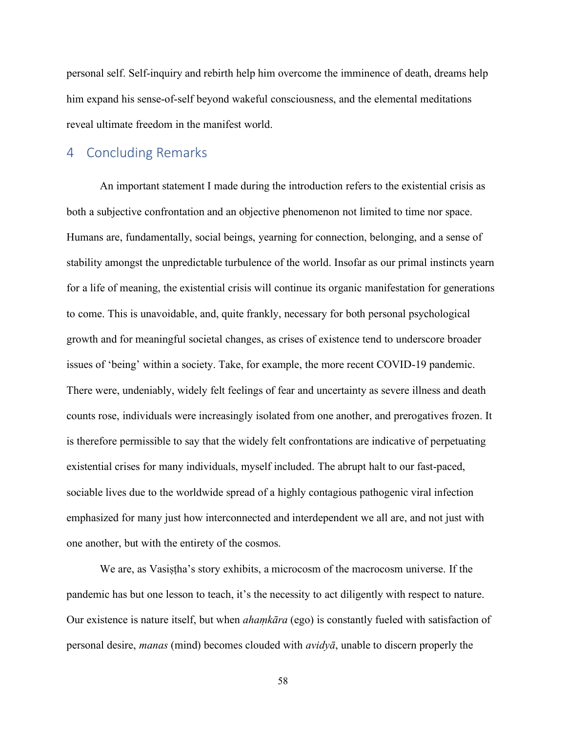personal self. Self-inquiry and rebirth help him overcome the imminence of death, dreams help him expand his sense-of-self beyond wakeful consciousness, and the elemental meditations reveal ultimate freedom in the manifest world.

# 4 Concluding Remarks

An important statement I made during the introduction refers to the existential crisis as both a subjective confrontation and an objective phenomenon not limited to time nor space. Humans are, fundamentally, social beings, yearning for connection, belonging, and a sense of stability amongst the unpredictable turbulence of the world. Insofar as our primal instincts yearn for a life of meaning, the existential crisis will continue its organic manifestation for generations to come. This is unavoidable, and, quite frankly, necessary for both personal psychological growth and for meaningful societal changes, as crises of existence tend to underscore broader issues of 'being' within a society. Take, for example, the more recent COVID-19 pandemic. There were, undeniably, widely felt feelings of fear and uncertainty as severe illness and death counts rose, individuals were increasingly isolated from one another, and prerogatives frozen. It is therefore permissible to say that the widely felt confrontations are indicative of perpetuating existential crises for many individuals, myself included. The abrupt halt to our fast-paced, sociable lives due to the worldwide spread of a highly contagious pathogenic viral infection emphasized for many just how interconnected and interdependent we all are, and not just with one another, but with the entirety of the cosmos.

We are, as Vasistha's story exhibits, a microcosm of the macrocosm universe. If the pandemic has but one lesson to teach, it's the necessity to act diligently with respect to nature. Our existence is nature itself, but when *ahaṃkāra* (ego) is constantly fueled with satisfaction of personal desire, *manas* (mind) becomes clouded with *avidyā*, unable to discern properly the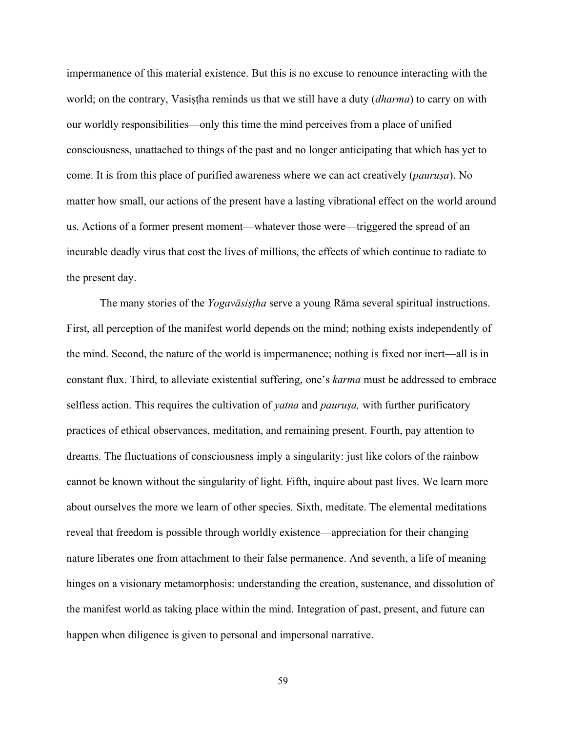impermanence of this material existence. But this is no excuse to renounce interacting with the world; on the contrary, Vasistha reminds us that we still have a duty *(dharma)* to carry on with our worldly responsibilities—only this time the mind perceives from a place of unified consciousness, unattached to things of the past and no longer anticipating that which has yet to come. It is from this place of purified awareness where we can act creatively (*pauruṣa*). No matter how small, our actions of the present have a lasting vibrational effect on the world around us. Actions of a former present moment—whatever those were—triggered the spread of an incurable deadly virus that cost the lives of millions, the effects of which continue to radiate to the present day.

The many stories of the *Yogavāsiṣṭha* serve a young Rāma several spiritual instructions. First, all perception of the manifest world depends on the mind; nothing exists independently of the mind. Second, the nature of the world is impermanence; nothing is fixed nor inert—all is in constant flux. Third, to alleviate existential suffering, one's *karma* must be addressed to embrace selfless action. This requires the cultivation of *yatna* and *pauruṣa,* with further purificatory practices of ethical observances, meditation, and remaining present. Fourth, pay attention to dreams. The fluctuations of consciousness imply a singularity: just like colors of the rainbow cannot be known without the singularity of light. Fifth, inquire about past lives. We learn more about ourselves the more we learn of other species. Sixth, meditate. The elemental meditations reveal that freedom is possible through worldly existence—appreciation for their changing nature liberates one from attachment to their false permanence. And seventh, a life of meaning hinges on a visionary metamorphosis: understanding the creation, sustenance, and dissolution of the manifest world as taking place within the mind. Integration of past, present, and future can happen when diligence is given to personal and impersonal narrative.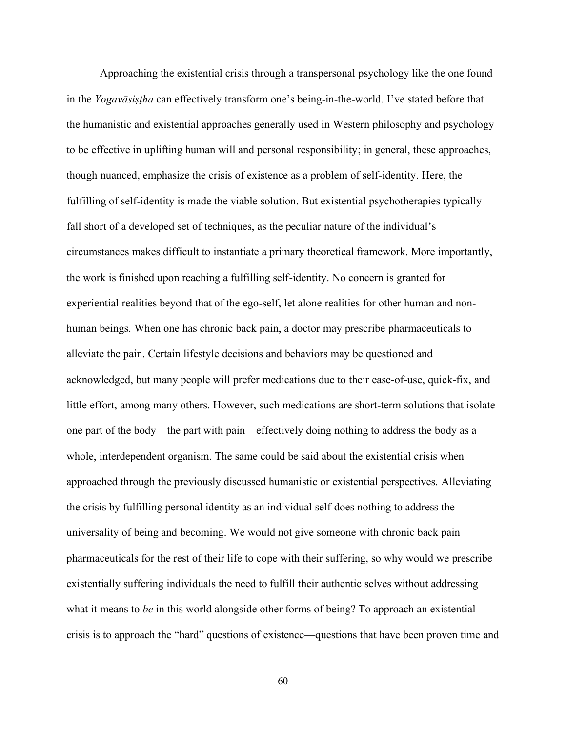Approaching the existential crisis through a transpersonal psychology like the one found in the *Yogavāsiṣṭha* can effectively transform one's being-in-the-world. I've stated before that the humanistic and existential approaches generally used in Western philosophy and psychology to be effective in uplifting human will and personal responsibility; in general, these approaches, though nuanced, emphasize the crisis of existence as a problem of self-identity. Here, the fulfilling of self-identity is made the viable solution. But existential psychotherapies typically fall short of a developed set of techniques, as the peculiar nature of the individual's circumstances makes difficult to instantiate a primary theoretical framework. More importantly, the work is finished upon reaching a fulfilling self-identity. No concern is granted for experiential realities beyond that of the ego-self, let alone realities for other human and nonhuman beings. When one has chronic back pain, a doctor may prescribe pharmaceuticals to alleviate the pain. Certain lifestyle decisions and behaviors may be questioned and acknowledged, but many people will prefer medications due to their ease-of-use, quick-fix, and little effort, among many others. However, such medications are short-term solutions that isolate one part of the body—the part with pain—effectively doing nothing to address the body as a whole, interdependent organism. The same could be said about the existential crisis when approached through the previously discussed humanistic or existential perspectives. Alleviating the crisis by fulfilling personal identity as an individual self does nothing to address the universality of being and becoming. We would not give someone with chronic back pain pharmaceuticals for the rest of their life to cope with their suffering, so why would we prescribe existentially suffering individuals the need to fulfill their authentic selves without addressing what it means to *be* in this world alongside other forms of being? To approach an existential crisis is to approach the "hard" questions of existence—questions that have been proven time and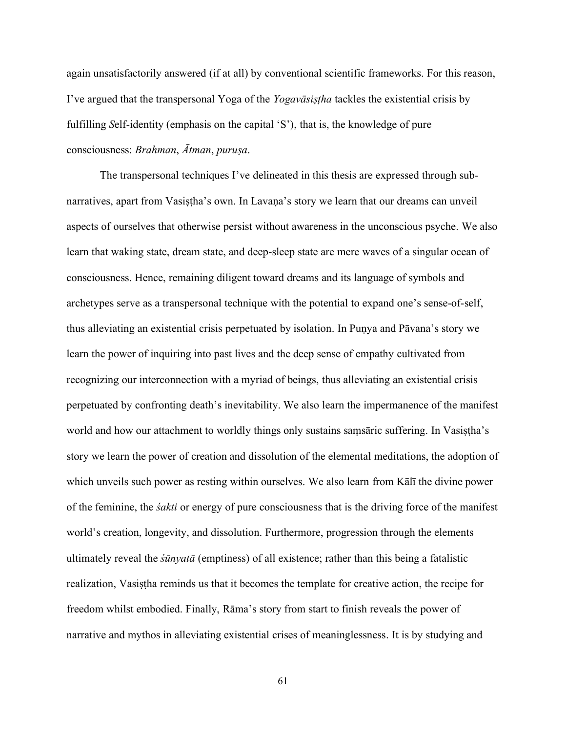again unsatisfactorily answered (if at all) by conventional scientific frameworks. For this reason, I've argued that the transpersonal Yoga of the *Yogavāsiṣṭha* tackles the existential crisis by fulfilling *S*elf-identity (emphasis on the capital 'S'), that is, the knowledge of pure consciousness: *Brahman*, *Ātman*, *puruṣa*.

The transpersonal techniques I've delineated in this thesis are expressed through subnarratives, apart from Vasiṣṭha's own. In Lavaṇa's story we learn that our dreams can unveil aspects of ourselves that otherwise persist without awareness in the unconscious psyche. We also learn that waking state, dream state, and deep-sleep state are mere waves of a singular ocean of consciousness. Hence, remaining diligent toward dreams and its language of symbols and archetypes serve as a transpersonal technique with the potential to expand one's sense-of-self, thus alleviating an existential crisis perpetuated by isolation. In Puṇya and Pāvana's story we learn the power of inquiring into past lives and the deep sense of empathy cultivated from recognizing our interconnection with a myriad of beings, thus alleviating an existential crisis perpetuated by confronting death's inevitability. We also learn the impermanence of the manifest world and how our attachment to worldly things only sustains samsaric suffering. In Vasistha's story we learn the power of creation and dissolution of the elemental meditations, the adoption of which unveils such power as resting within ourselves. We also learn from Kālī the divine power of the feminine, the *śakti* or energy of pure consciousness that is the driving force of the manifest world's creation, longevity, and dissolution. Furthermore, progression through the elements ultimately reveal the *śūnyatā* (emptiness) of all existence; rather than this being a fatalistic realization, Vasiṣṭha reminds us that it becomes the template for creative action, the recipe for freedom whilst embodied. Finally, Rāma's story from start to finish reveals the power of narrative and mythos in alleviating existential crises of meaninglessness. It is by studying and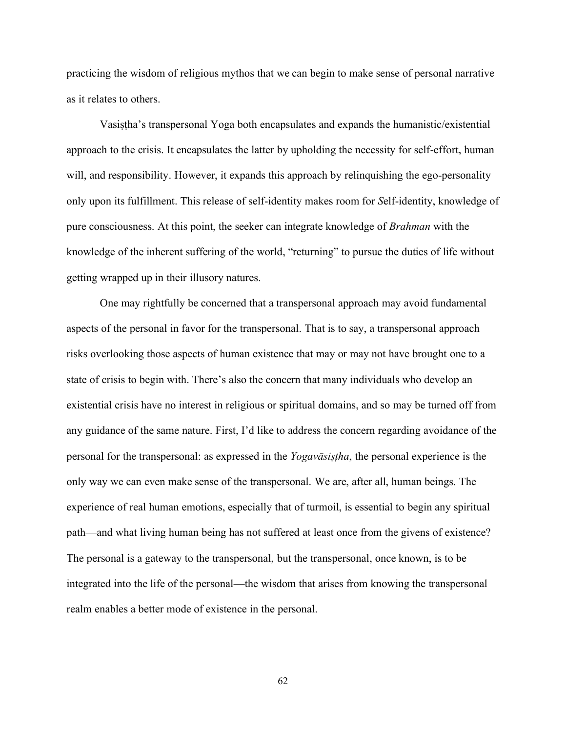practicing the wisdom of religious mythos that we can begin to make sense of personal narrative as it relates to others.

Vasiṣṭha's transpersonal Yoga both encapsulates and expands the humanistic/existential approach to the crisis. It encapsulates the latter by upholding the necessity for self-effort, human will, and responsibility. However, it expands this approach by relinquishing the ego-personality only upon its fulfillment. This release of self-identity makes room for *S*elf-identity, knowledge of pure consciousness. At this point, the seeker can integrate knowledge of *Brahman* with the knowledge of the inherent suffering of the world, "returning" to pursue the duties of life without getting wrapped up in their illusory natures.

One may rightfully be concerned that a transpersonal approach may avoid fundamental aspects of the personal in favor for the transpersonal. That is to say, a transpersonal approach risks overlooking those aspects of human existence that may or may not have brought one to a state of crisis to begin with. There's also the concern that many individuals who develop an existential crisis have no interest in religious or spiritual domains, and so may be turned off from any guidance of the same nature. First, I'd like to address the concern regarding avoidance of the personal for the transpersonal: as expressed in the *Yogavāsiṣṭha*, the personal experience is the only way we can even make sense of the transpersonal. We are, after all, human beings. The experience of real human emotions, especially that of turmoil, is essential to begin any spiritual path—and what living human being has not suffered at least once from the givens of existence? The personal is a gateway to the transpersonal, but the transpersonal, once known, is to be integrated into the life of the personal—the wisdom that arises from knowing the transpersonal realm enables a better mode of existence in the personal.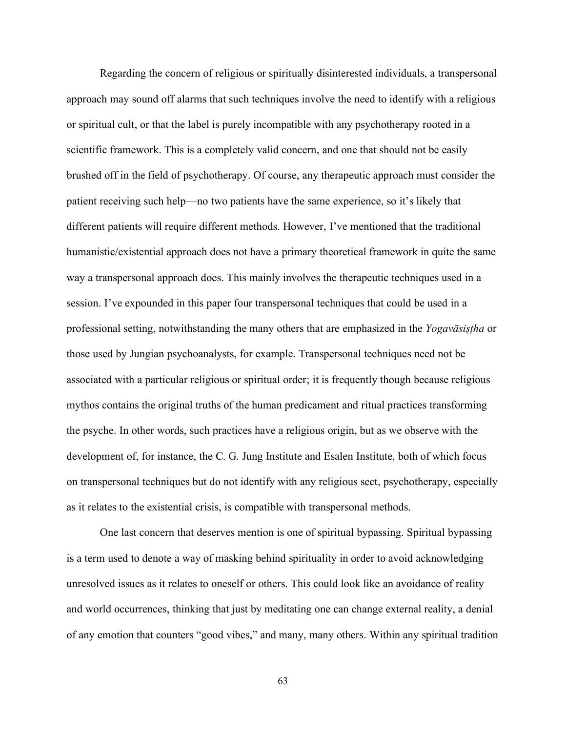Regarding the concern of religious or spiritually disinterested individuals, a transpersonal approach may sound off alarms that such techniques involve the need to identify with a religious or spiritual cult, or that the label is purely incompatible with any psychotherapy rooted in a scientific framework. This is a completely valid concern, and one that should not be easily brushed off in the field of psychotherapy. Of course, any therapeutic approach must consider the patient receiving such help—no two patients have the same experience, so it's likely that different patients will require different methods. However, I've mentioned that the traditional humanistic/existential approach does not have a primary theoretical framework in quite the same way a transpersonal approach does. This mainly involves the therapeutic techniques used in a session. I've expounded in this paper four transpersonal techniques that could be used in a professional setting, notwithstanding the many others that are emphasized in the *Yogavāsiṣṭha* or those used by Jungian psychoanalysts, for example. Transpersonal techniques need not be associated with a particular religious or spiritual order; it is frequently though because religious mythos contains the original truths of the human predicament and ritual practices transforming the psyche. In other words, such practices have a religious origin, but as we observe with the development of, for instance, the C. G. Jung Institute and Esalen Institute, both of which focus on transpersonal techniques but do not identify with any religious sect, psychotherapy, especially as it relates to the existential crisis, is compatible with transpersonal methods.

One last concern that deserves mention is one of spiritual bypassing. Spiritual bypassing is a term used to denote a way of masking behind spirituality in order to avoid acknowledging unresolved issues as it relates to oneself or others. This could look like an avoidance of reality and world occurrences, thinking that just by meditating one can change external reality, a denial of any emotion that counters "good vibes," and many, many others. Within any spiritual tradition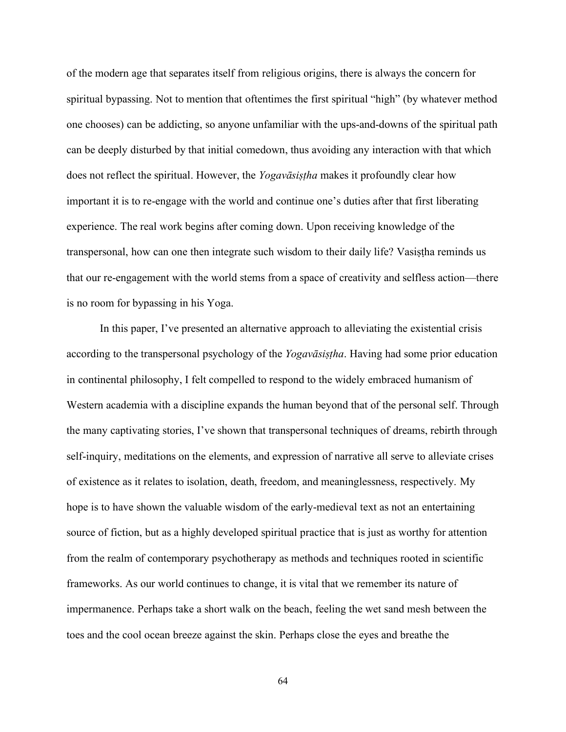of the modern age that separates itself from religious origins, there is always the concern for spiritual bypassing. Not to mention that oftentimes the first spiritual "high" (by whatever method one chooses) can be addicting, so anyone unfamiliar with the ups-and-downs of the spiritual path can be deeply disturbed by that initial comedown, thus avoiding any interaction with that which does not reflect the spiritual. However, the *Yogavāsiṣṭha* makes it profoundly clear how important it is to re-engage with the world and continue one's duties after that first liberating experience. The real work begins after coming down. Upon receiving knowledge of the transpersonal, how can one then integrate such wisdom to their daily life? Vasiṣṭha reminds us that our re-engagement with the world stems from a space of creativity and selfless action—there is no room for bypassing in his Yoga.

In this paper, I've presented an alternative approach to alleviating the existential crisis according to the transpersonal psychology of the *Yogavāsiṣṭha*. Having had some prior education in continental philosophy, I felt compelled to respond to the widely embraced humanism of Western academia with a discipline expands the human beyond that of the personal self. Through the many captivating stories, I've shown that transpersonal techniques of dreams, rebirth through self-inquiry, meditations on the elements, and expression of narrative all serve to alleviate crises of existence as it relates to isolation, death, freedom, and meaninglessness, respectively. My hope is to have shown the valuable wisdom of the early-medieval text as not an entertaining source of fiction, but as a highly developed spiritual practice that is just as worthy for attention from the realm of contemporary psychotherapy as methods and techniques rooted in scientific frameworks. As our world continues to change, it is vital that we remember its nature of impermanence. Perhaps take a short walk on the beach, feeling the wet sand mesh between the toes and the cool ocean breeze against the skin. Perhaps close the eyes and breathe the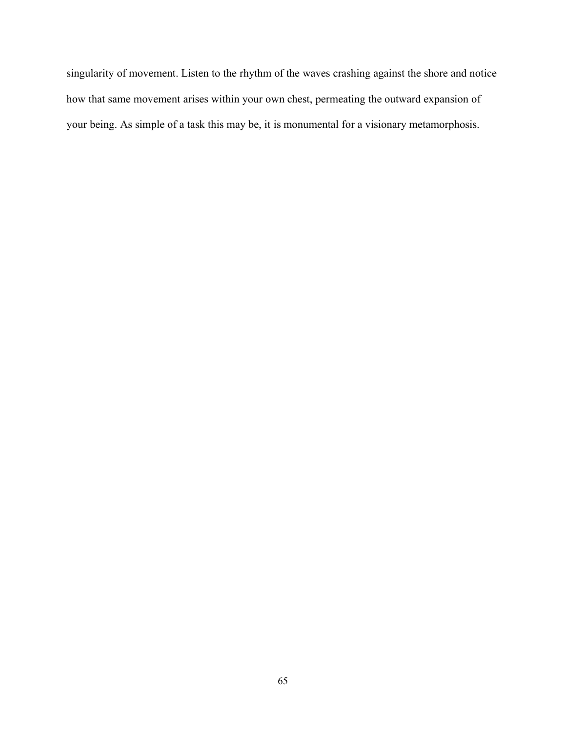singularity of movement. Listen to the rhythm of the waves crashing against the shore and notice how that same movement arises within your own chest, permeating the outward expansion of your being. As simple of a task this may be, it is monumental for a visionary metamorphosis.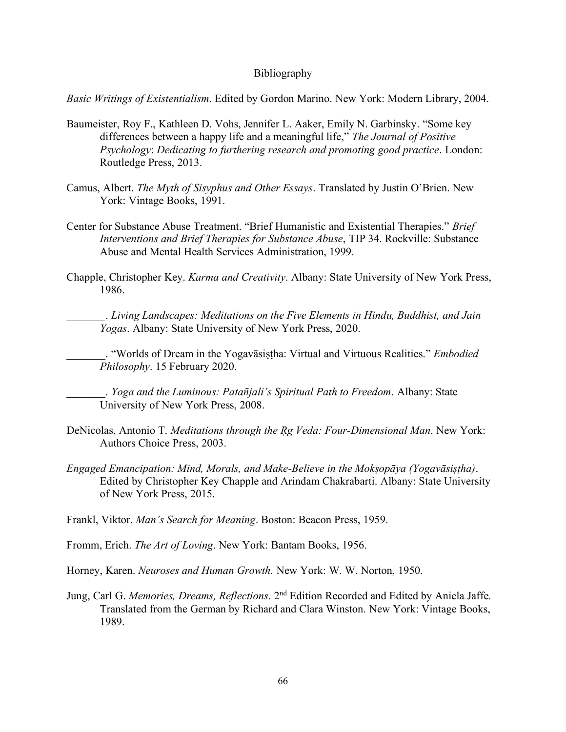#### Bibliography

*Basic Writings of Existentialism*. Edited by Gordon Marino. New York: Modern Library, 2004.

- Baumeister, Roy F., Kathleen D. Vohs, Jennifer L. Aaker, Emily N. Garbinsky. "Some key differences between a happy life and a meaningful life," *The Journal of Positive Psychology*: *Dedicating to furthering research and promoting good practice*. London: Routledge Press, 2013.
- Camus, Albert. *The Myth of Sisyphus and Other Essays*. Translated by Justin O'Brien. New York: Vintage Books, 1991.
- Center for Substance Abuse Treatment. "Brief Humanistic and Existential Therapies." *Brief Interventions and Brief Therapies for Substance Abuse*, TIP 34. Rockville: Substance Abuse and Mental Health Services Administration, 1999.
- Chapple, Christopher Key. *Karma and Creativity*. Albany: State University of New York Press, 1986.

\_\_\_\_\_\_\_. *Living Landscapes: Meditations on the Five Elements in Hindu, Buddhist, and Jain Yogas*. Albany: State University of New York Press, 2020.

\_\_\_\_\_\_\_. "Worlds of Dream in the Yogavāsiṣṭha: Virtual and Virtuous Realities." *Embodied Philosophy*. 15 February 2020.

\_\_\_\_\_\_\_. *Yoga and the Luminous: Patañjali's Spiritual Path to Freedom*. Albany: State University of New York Press, 2008.

- DeNicolas, Antonio T. *Meditations through the Ṛg Veda: Four-Dimensional Man*. New York: Authors Choice Press, 2003.
- *Engaged Emancipation: Mind, Morals, and Make-Believe in the Mokṣopāya (Yogavāsiṣṭha)*. Edited by Christopher Key Chapple and Arindam Chakrabarti. Albany: State University of New York Press, 2015.

Frankl, Viktor. *Man's Search for Meaning*. Boston: Beacon Press, 1959.

Fromm, Erich. *The Art of Loving*. New York: Bantam Books, 1956.

Horney, Karen. *Neuroses and Human Growth.* New York: W. W. Norton, 1950.

Jung, Carl G. Memories, Dreams, Reflections. 2<sup>nd</sup> Edition Recorded and Edited by Aniela Jaffe. Translated from the German by Richard and Clara Winston. New York: Vintage Books, 1989.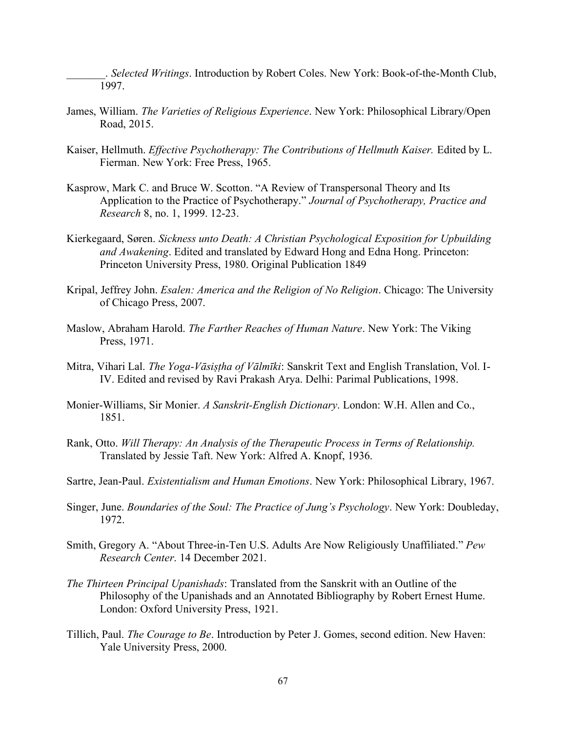\_\_\_\_\_\_\_. *Selected Writings*. Introduction by Robert Coles. New York: Book-of-the-Month Club, 1997.

- James, William. *The Varieties of Religious Experience*. New York: Philosophical Library/Open Road, 2015.
- Kaiser, Hellmuth. *Effective Psychotherapy: The Contributions of Hellmuth Kaiser.* Edited by L. Fierman. New York: Free Press, 1965.
- Kasprow, Mark C. and Bruce W. Scotton. "A Review of Transpersonal Theory and Its Application to the Practice of Psychotherapy." *Journal of Psychotherapy, Practice and Research* 8, no. 1, 1999. 12-23.
- Kierkegaard, Søren. *Sickness unto Death: A Christian Psychological Exposition for Upbuilding and Awakening*. Edited and translated by Edward Hong and Edna Hong. Princeton: Princeton University Press, 1980. Original Publication 1849
- Kripal, Jeffrey John. *Esalen: America and the Religion of No Religion*. Chicago: The University of Chicago Press, 2007.
- Maslow, Abraham Harold. *The Farther Reaches of Human Nature*. New York: The Viking Press, 1971.
- Mitra, Vihari Lal. *The Yoga-Vāsiṣṭha of Vālmīki*: Sanskrit Text and English Translation, Vol. I-IV. Edited and revised by Ravi Prakash Arya. Delhi: Parimal Publications, 1998.
- Monier-Williams, Sir Monier. *A Sanskrit-English Dictionary*. London: W.H. Allen and Co., 1851.
- Rank, Otto. *Will Therapy: An Analysis of the Therapeutic Process in Terms of Relationship.* Translated by Jessie Taft. New York: Alfred A. Knopf, 1936.
- Sartre, Jean-Paul. *Existentialism and Human Emotions*. New York: Philosophical Library, 1967.
- Singer, June. *Boundaries of the Soul: The Practice of Jung's Psychology*. New York: Doubleday, 1972.
- Smith, Gregory A. "About Three-in-Ten U.S. Adults Are Now Religiously Unaffiliated." *Pew Research Center*. 14 December 2021.
- *The Thirteen Principal Upanishads*: Translated from the Sanskrit with an Outline of the Philosophy of the Upanishads and an Annotated Bibliography by Robert Ernest Hume. London: Oxford University Press, 1921.
- Tillich, Paul. *The Courage to Be*. Introduction by Peter J. Gomes, second edition. New Haven: Yale University Press, 2000.